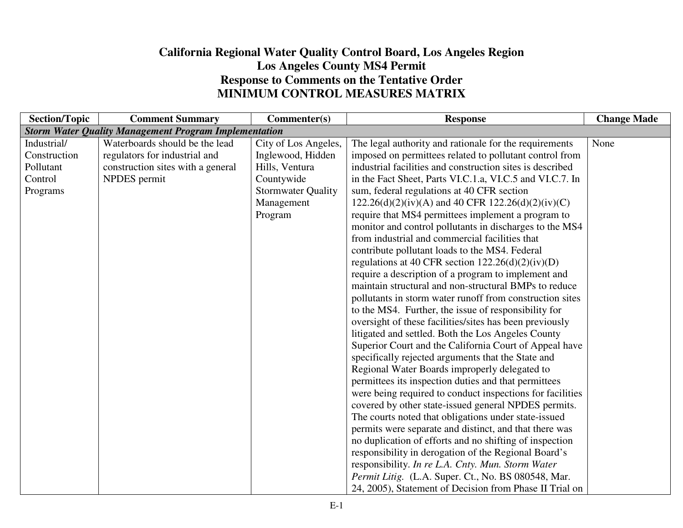## **California Regional Water Quality Control Board, Los Angeles Region Los Angeles County MS4 Permit Response to Comments on the Tentative Order MINIMUM CONTROL MEASURES MATRIX**

| <b>Section/Topic</b> | <b>Comment Summary</b>                                       | Commenter(s)              | <b>Response</b>                                           | <b>Change Made</b> |
|----------------------|--------------------------------------------------------------|---------------------------|-----------------------------------------------------------|--------------------|
|                      | <b>Storm Water Quality Management Program Implementation</b> |                           |                                                           |                    |
| Industrial/          | Waterboards should be the lead                               | City of Los Angeles,      | The legal authority and rationale for the requirements    | None               |
| Construction         | regulators for industrial and                                | Inglewood, Hidden         | imposed on permittees related to pollutant control from   |                    |
| Pollutant            | construction sites with a general                            | Hills, Ventura            | industrial facilities and construction sites is described |                    |
| Control              | NPDES permit                                                 | Countywide                | in the Fact Sheet, Parts VI.C.1.a, VI.C.5 and VI.C.7. In  |                    |
| Programs             |                                                              | <b>Stormwater Quality</b> | sum, federal regulations at 40 CFR section                |                    |
|                      |                                                              | Management                | $122.26(d)(2)(iv)(A)$ and 40 CFR $122.26(d)(2)(iv)(C)$    |                    |
|                      |                                                              | Program                   | require that MS4 permittees implement a program to        |                    |
|                      |                                                              |                           | monitor and control pollutants in discharges to the MS4   |                    |
|                      |                                                              |                           | from industrial and commercial facilities that            |                    |
|                      |                                                              |                           | contribute pollutant loads to the MS4. Federal            |                    |
|                      |                                                              |                           | regulations at 40 CFR section $122.26(d)(2)(iv)(D)$       |                    |
|                      |                                                              |                           | require a description of a program to implement and       |                    |
|                      |                                                              |                           | maintain structural and non-structural BMPs to reduce     |                    |
|                      |                                                              |                           | pollutants in storm water runoff from construction sites  |                    |
|                      |                                                              |                           | to the MS4. Further, the issue of responsibility for      |                    |
|                      |                                                              |                           | oversight of these facilities/sites has been previously   |                    |
|                      |                                                              |                           | litigated and settled. Both the Los Angeles County        |                    |
|                      |                                                              |                           | Superior Court and the California Court of Appeal have    |                    |
|                      |                                                              |                           | specifically rejected arguments that the State and        |                    |
|                      |                                                              |                           | Regional Water Boards improperly delegated to             |                    |
|                      |                                                              |                           | permittees its inspection duties and that permittees      |                    |
|                      |                                                              |                           | were being required to conduct inspections for facilities |                    |
|                      |                                                              |                           | covered by other state-issued general NPDES permits.      |                    |
|                      |                                                              |                           | The courts noted that obligations under state-issued      |                    |
|                      |                                                              |                           | permits were separate and distinct, and that there was    |                    |
|                      |                                                              |                           | no duplication of efforts and no shifting of inspection   |                    |
|                      |                                                              |                           | responsibility in derogation of the Regional Board's      |                    |
|                      |                                                              |                           | responsibility. In re L.A. Cnty. Mun. Storm Water         |                    |
|                      |                                                              |                           | Permit Litig. (L.A. Super. Ct., No. BS 080548, Mar.       |                    |
|                      |                                                              |                           | 24, 2005), Statement of Decision from Phase II Trial on   |                    |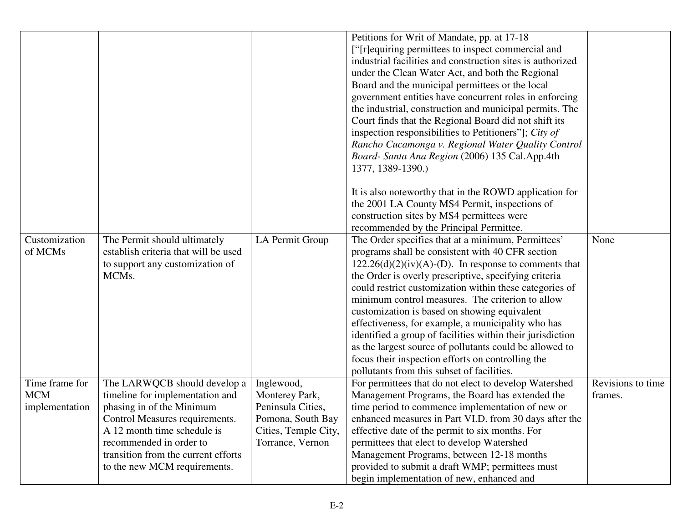|                                                |                                                                                                                                                                                                                                                                 |                                                                                                                    | Petitions for Writ of Mandate, pp. at 17-18<br>["[r]equiring permittees to inspect commercial and<br>industrial facilities and construction sites is authorized<br>under the Clean Water Act, and both the Regional<br>Board and the municipal permittees or the local<br>government entities have concurrent roles in enforcing                                                                                                                                                                                                                                                                                                                                             |                              |
|------------------------------------------------|-----------------------------------------------------------------------------------------------------------------------------------------------------------------------------------------------------------------------------------------------------------------|--------------------------------------------------------------------------------------------------------------------|------------------------------------------------------------------------------------------------------------------------------------------------------------------------------------------------------------------------------------------------------------------------------------------------------------------------------------------------------------------------------------------------------------------------------------------------------------------------------------------------------------------------------------------------------------------------------------------------------------------------------------------------------------------------------|------------------------------|
|                                                |                                                                                                                                                                                                                                                                 |                                                                                                                    | the industrial, construction and municipal permits. The<br>Court finds that the Regional Board did not shift its<br>inspection responsibilities to Petitioners"]; City of                                                                                                                                                                                                                                                                                                                                                                                                                                                                                                    |                              |
|                                                |                                                                                                                                                                                                                                                                 |                                                                                                                    | Rancho Cucamonga v. Regional Water Quality Control<br>Board- Santa Ana Region (2006) 135 Cal.App.4th<br>1377, 1389-1390.)                                                                                                                                                                                                                                                                                                                                                                                                                                                                                                                                                    |                              |
|                                                |                                                                                                                                                                                                                                                                 |                                                                                                                    | It is also noteworthy that in the ROWD application for<br>the 2001 LA County MS4 Permit, inspections of                                                                                                                                                                                                                                                                                                                                                                                                                                                                                                                                                                      |                              |
|                                                |                                                                                                                                                                                                                                                                 |                                                                                                                    | construction sites by MS4 permittees were<br>recommended by the Principal Permittee.                                                                                                                                                                                                                                                                                                                                                                                                                                                                                                                                                                                         |                              |
| Customization<br>of MCMs                       | The Permit should ultimately<br>establish criteria that will be used<br>to support any customization of<br>MCMs.                                                                                                                                                | LA Permit Group                                                                                                    | The Order specifies that at a minimum, Permittees'<br>programs shall be consistent with 40 CFR section<br>$122.26(d)(2)(iv)(A)$ -(D). In response to comments that<br>the Order is overly prescriptive, specifying criteria<br>could restrict customization within these categories of<br>minimum control measures. The criterion to allow<br>customization is based on showing equivalent<br>effectiveness, for example, a municipality who has<br>identified a group of facilities within their jurisdiction<br>as the largest source of pollutants could be allowed to<br>focus their inspection efforts on controlling the<br>pollutants from this subset of facilities. | None                         |
| Time frame for<br><b>MCM</b><br>implementation | The LARWQCB should develop a<br>timeline for implementation and<br>phasing in of the Minimum<br>Control Measures requirements.<br>A 12 month time schedule is<br>recommended in order to<br>transition from the current efforts<br>to the new MCM requirements. | Inglewood,<br>Monterey Park,<br>Peninsula Cities,<br>Pomona, South Bay<br>Cities, Temple City,<br>Torrance, Vernon | For permittees that do not elect to develop Watershed<br>Management Programs, the Board has extended the<br>time period to commence implementation of new or<br>enhanced measures in Part VI.D. from 30 days after the<br>effective date of the permit to six months. For<br>permittees that elect to develop Watershed<br>Management Programs, between 12-18 months<br>provided to submit a draft WMP; permittees must<br>begin implementation of new, enhanced and                                                                                                                                                                                                         | Revisions to time<br>frames. |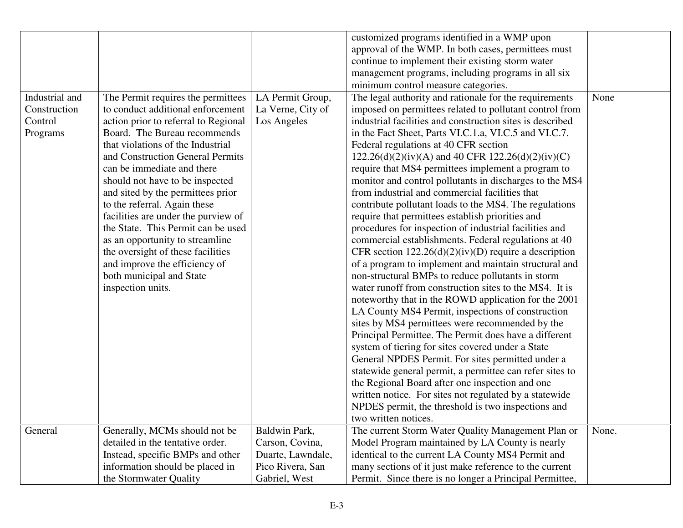|                |                                      |                   | customized programs identified in a WMP upon              |       |
|----------------|--------------------------------------|-------------------|-----------------------------------------------------------|-------|
|                |                                      |                   | approval of the WMP. In both cases, permittees must       |       |
|                |                                      |                   | continue to implement their existing storm water          |       |
|                |                                      |                   | management programs, including programs in all six        |       |
|                |                                      |                   | minimum control measure categories.                       |       |
| Industrial and | The Permit requires the permittees   | LA Permit Group,  | The legal authority and rationale for the requirements    | None  |
| Construction   | to conduct additional enforcement    | La Verne, City of | imposed on permittees related to pollutant control from   |       |
| Control        | action prior to referral to Regional | Los Angeles       | industrial facilities and construction sites is described |       |
| Programs       | Board. The Bureau recommends         |                   | in the Fact Sheet, Parts VI.C.1.a, VI.C.5 and VI.C.7.     |       |
|                | that violations of the Industrial    |                   | Federal regulations at 40 CFR section                     |       |
|                | and Construction General Permits     |                   | $122.26(d)(2)(iv)(A)$ and 40 CFR $122.26(d)(2)(iv)(C)$    |       |
|                | can be immediate and there           |                   | require that MS4 permittees implement a program to        |       |
|                | should not have to be inspected      |                   | monitor and control pollutants in discharges to the MS4   |       |
|                | and sited by the permittees prior    |                   | from industrial and commercial facilities that            |       |
|                | to the referral. Again these         |                   | contribute pollutant loads to the MS4. The regulations    |       |
|                | facilities are under the purview of  |                   | require that permittees establish priorities and          |       |
|                | the State. This Permit can be used   |                   | procedures for inspection of industrial facilities and    |       |
|                | as an opportunity to streamline      |                   | commercial establishments. Federal regulations at 40      |       |
|                | the oversight of these facilities    |                   | CFR section $122.26(d)(2)(iv)(D)$ require a description   |       |
|                | and improve the efficiency of        |                   | of a program to implement and maintain structural and     |       |
|                | both municipal and State             |                   | non-structural BMPs to reduce pollutants in storm         |       |
|                | inspection units.                    |                   | water runoff from construction sites to the MS4. It is    |       |
|                |                                      |                   | noteworthy that in the ROWD application for the 2001      |       |
|                |                                      |                   | LA County MS4 Permit, inspections of construction         |       |
|                |                                      |                   | sites by MS4 permittees were recommended by the           |       |
|                |                                      |                   | Principal Permittee. The Permit does have a different     |       |
|                |                                      |                   | system of tiering for sites covered under a State         |       |
|                |                                      |                   | General NPDES Permit. For sites permitted under a         |       |
|                |                                      |                   | statewide general permit, a permittee can refer sites to  |       |
|                |                                      |                   | the Regional Board after one inspection and one           |       |
|                |                                      |                   | written notice. For sites not regulated by a statewide    |       |
|                |                                      |                   | NPDES permit, the threshold is two inspections and        |       |
|                |                                      |                   | two written notices.                                      |       |
|                |                                      |                   |                                                           |       |
| General        | Generally, MCMs should not be        | Baldwin Park,     | The current Storm Water Quality Management Plan or        | None. |
|                | detailed in the tentative order.     | Carson, Covina,   | Model Program maintained by LA County is nearly           |       |
|                | Instead, specific BMPs and other     | Duarte, Lawndale, | identical to the current LA County MS4 Permit and         |       |
|                | information should be placed in      | Pico Rivera, San  | many sections of it just make reference to the current    |       |
|                | the Stormwater Quality               | Gabriel, West     | Permit. Since there is no longer a Principal Permittee,   |       |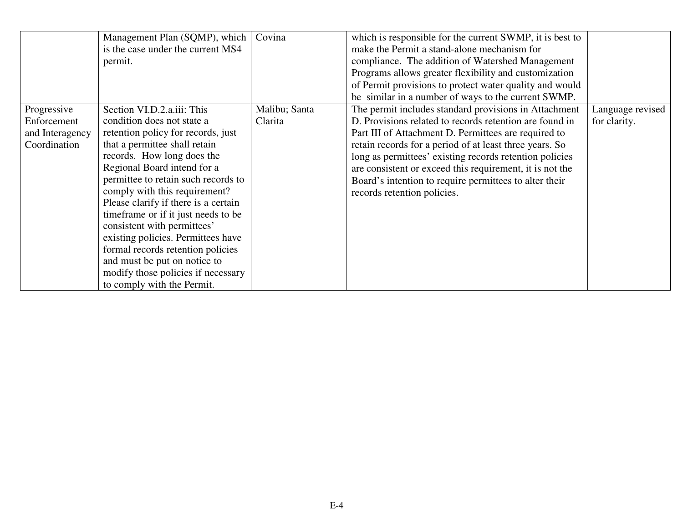|                 | Management Plan (SQMP), which<br>is the case under the current MS4<br>permit. | Covina        | which is responsible for the current SWMP, it is best to<br>make the Permit a stand-alone mechanism for<br>compliance. The addition of Watershed Management             |                  |
|-----------------|-------------------------------------------------------------------------------|---------------|-------------------------------------------------------------------------------------------------------------------------------------------------------------------------|------------------|
|                 |                                                                               |               | Programs allows greater flexibility and customization<br>of Permit provisions to protect water quality and would<br>be similar in a number of ways to the current SWMP. |                  |
| Progressive     | Section VI.D.2.a.iii: This                                                    | Malibu; Santa | The permit includes standard provisions in Attachment                                                                                                                   | Language revised |
| Enforcement     | condition does not state a                                                    | Clarita       | D. Provisions related to records retention are found in                                                                                                                 | for clarity.     |
| and Interagency | retention policy for records, just                                            |               | Part III of Attachment D. Permittees are required to                                                                                                                    |                  |
| Coordination    | that a permittee shall retain                                                 |               | retain records for a period of at least three years. So                                                                                                                 |                  |
|                 | records. How long does the                                                    |               | long as permittees' existing records retention policies                                                                                                                 |                  |
|                 | Regional Board intend for a                                                   |               | are consistent or exceed this requirement, it is not the                                                                                                                |                  |
|                 | permittee to retain such records to                                           |               | Board's intention to require permittees to alter their                                                                                                                  |                  |
|                 | comply with this requirement?                                                 |               | records retention policies.                                                                                                                                             |                  |
|                 | Please clarify if there is a certain                                          |               |                                                                                                                                                                         |                  |
|                 | time frame or if it just needs to be                                          |               |                                                                                                                                                                         |                  |
|                 | consistent with permittees'                                                   |               |                                                                                                                                                                         |                  |
|                 | existing policies. Permittees have                                            |               |                                                                                                                                                                         |                  |
|                 | formal records retention policies                                             |               |                                                                                                                                                                         |                  |
|                 | and must be put on notice to                                                  |               |                                                                                                                                                                         |                  |
|                 | modify those policies if necessary                                            |               |                                                                                                                                                                         |                  |
|                 | to comply with the Permit.                                                    |               |                                                                                                                                                                         |                  |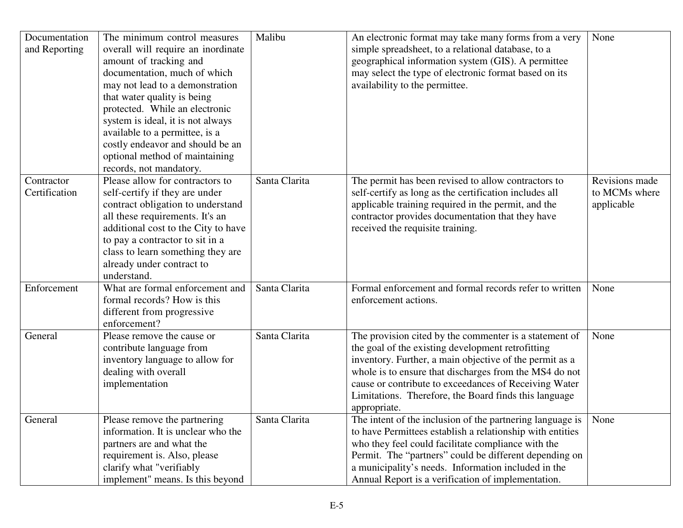| Documentation<br>and Reporting | The minimum control measures<br>overall will require an inordinate<br>amount of tracking and<br>documentation, much of which<br>may not lead to a demonstration<br>that water quality is being<br>protected. While an electronic<br>system is ideal, it is not always<br>available to a permittee, is a<br>costly endeavor and should be an<br>optional method of maintaining<br>records, not mandatory. | Malibu        | An electronic format may take many forms from a very<br>simple spreadsheet, to a relational database, to a<br>geographical information system (GIS). A permittee<br>may select the type of electronic format based on its<br>availability to the permittee.                                                                                                        | None                                          |
|--------------------------------|----------------------------------------------------------------------------------------------------------------------------------------------------------------------------------------------------------------------------------------------------------------------------------------------------------------------------------------------------------------------------------------------------------|---------------|--------------------------------------------------------------------------------------------------------------------------------------------------------------------------------------------------------------------------------------------------------------------------------------------------------------------------------------------------------------------|-----------------------------------------------|
| Contractor<br>Certification    | Please allow for contractors to<br>self-certify if they are under<br>contract obligation to understand<br>all these requirements. It's an<br>additional cost to the City to have<br>to pay a contractor to sit in a<br>class to learn something they are<br>already under contract to<br>understand.                                                                                                     | Santa Clarita | The permit has been revised to allow contractors to<br>self-certify as long as the certification includes all<br>applicable training required in the permit, and the<br>contractor provides documentation that they have<br>received the requisite training.                                                                                                       | Revisions made<br>to MCMs where<br>applicable |
| Enforcement                    | What are formal enforcement and<br>formal records? How is this<br>different from progressive<br>enforcement?                                                                                                                                                                                                                                                                                             | Santa Clarita | Formal enforcement and formal records refer to written<br>enforcement actions.                                                                                                                                                                                                                                                                                     | None                                          |
| General                        | Please remove the cause or<br>contribute language from<br>inventory language to allow for<br>dealing with overall<br>implementation                                                                                                                                                                                                                                                                      | Santa Clarita | The provision cited by the commenter is a statement of<br>the goal of the existing development retrofitting<br>inventory. Further, a main objective of the permit as a<br>whole is to ensure that discharges from the MS4 do not<br>cause or contribute to exceedances of Receiving Water<br>Limitations. Therefore, the Board finds this language<br>appropriate. | None                                          |
| General                        | Please remove the partnering<br>information. It is unclear who the<br>partners are and what the<br>requirement is. Also, please<br>clarify what "verifiably<br>implement" means. Is this beyond                                                                                                                                                                                                          | Santa Clarita | The intent of the inclusion of the partnering language is<br>to have Permittees establish a relationship with entities<br>who they feel could facilitate compliance with the<br>Permit. The "partners" could be different depending on<br>a municipality's needs. Information included in the<br>Annual Report is a verification of implementation.                | None                                          |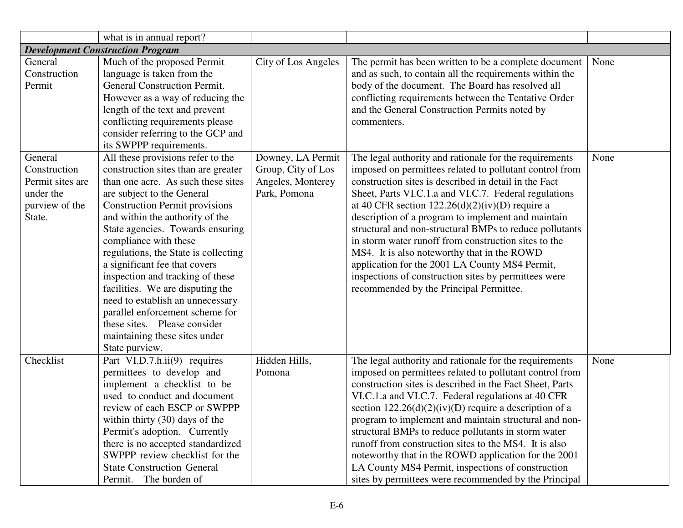|                                                                                      | what is in annual report?                                                                                                                                                                                                                                                                                                                                                                                                                                                                                                                                                                        |                                                                              |                                                                                                                                                                                                                                                                                                                                                                                                                                                                                                                                                                                                                                                                       |      |
|--------------------------------------------------------------------------------------|--------------------------------------------------------------------------------------------------------------------------------------------------------------------------------------------------------------------------------------------------------------------------------------------------------------------------------------------------------------------------------------------------------------------------------------------------------------------------------------------------------------------------------------------------------------------------------------------------|------------------------------------------------------------------------------|-----------------------------------------------------------------------------------------------------------------------------------------------------------------------------------------------------------------------------------------------------------------------------------------------------------------------------------------------------------------------------------------------------------------------------------------------------------------------------------------------------------------------------------------------------------------------------------------------------------------------------------------------------------------------|------|
|                                                                                      | <b>Development Construction Program</b>                                                                                                                                                                                                                                                                                                                                                                                                                                                                                                                                                          |                                                                              |                                                                                                                                                                                                                                                                                                                                                                                                                                                                                                                                                                                                                                                                       |      |
| General<br>Construction<br>Permit                                                    | Much of the proposed Permit<br>language is taken from the<br><b>General Construction Permit.</b><br>However as a way of reducing the<br>length of the text and prevent<br>conflicting requirements please<br>consider referring to the GCP and<br>its SWPPP requirements.                                                                                                                                                                                                                                                                                                                        | City of Los Angeles                                                          | The permit has been written to be a complete document<br>and as such, to contain all the requirements within the<br>body of the document. The Board has resolved all<br>conflicting requirements between the Tentative Order<br>and the General Construction Permits noted by<br>commenters.                                                                                                                                                                                                                                                                                                                                                                          | None |
| General<br>Construction<br>Permit sites are<br>under the<br>purview of the<br>State. | All these provisions refer to the<br>construction sites than are greater<br>than one acre. As such these sites<br>are subject to the General<br><b>Construction Permit provisions</b><br>and within the authority of the<br>State agencies. Towards ensuring<br>compliance with these<br>regulations, the State is collecting<br>a significant fee that covers<br>inspection and tracking of these<br>facilities. We are disputing the<br>need to establish an unnecessary<br>parallel enforcement scheme for<br>these sites. Please consider<br>maintaining these sites under<br>State purview. | Downey, LA Permit<br>Group, City of Los<br>Angeles, Monterey<br>Park, Pomona | The legal authority and rationale for the requirements<br>imposed on permittees related to pollutant control from<br>construction sites is described in detail in the Fact<br>Sheet, Parts VI.C.1.a and VI.C.7. Federal regulations<br>at 40 CFR section $122.26(d)(2)(iv)(D)$ require a<br>description of a program to implement and maintain<br>structural and non-structural BMPs to reduce pollutants<br>in storm water runoff from construction sites to the<br>MS4. It is also noteworthy that in the ROWD<br>application for the 2001 LA County MS4 Permit,<br>inspections of construction sites by permittees were<br>recommended by the Principal Permittee. | None |
| Checklist                                                                            | Part VI.D.7.h.ii(9) requires<br>permittees to develop and<br>implement a checklist to be<br>used to conduct and document<br>review of each ESCP or SWPPP<br>within thirty $(30)$ days of the<br>Permit's adoption. Currently<br>there is no accepted standardized<br>SWPPP review checklist for the<br><b>State Construction General</b><br>The burden of<br>Permit.                                                                                                                                                                                                                             | Hidden Hills,<br>Pomona                                                      | The legal authority and rationale for the requirements<br>imposed on permittees related to pollutant control from<br>construction sites is described in the Fact Sheet, Parts<br>VI.C.1.a and VI.C.7. Federal regulations at 40 CFR<br>section $122.26(d)(2)(iv)(D)$ require a description of a<br>program to implement and maintain structural and non-<br>structural BMPs to reduce pollutants in storm water<br>runoff from construction sites to the MS4. It is also<br>noteworthy that in the ROWD application for the 2001<br>LA County MS4 Permit, inspections of construction<br>sites by permittees were recommended by the Principal                        | None |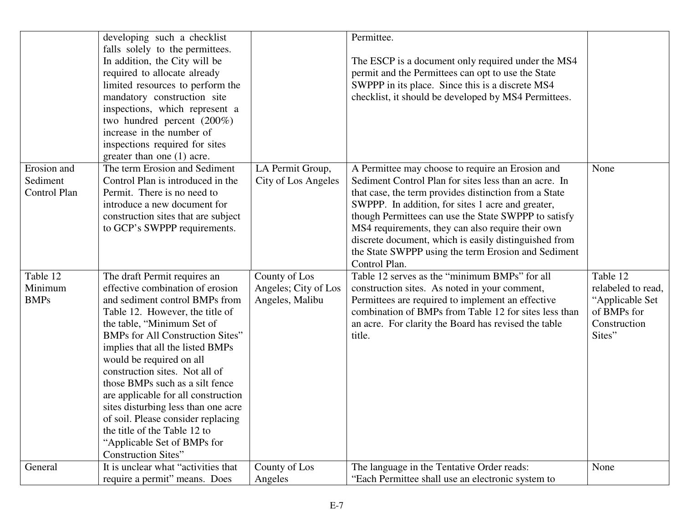|              | developing such a checklist             |                      | Permittee.                                            |                    |
|--------------|-----------------------------------------|----------------------|-------------------------------------------------------|--------------------|
|              | falls solely to the permittees.         |                      |                                                       |                    |
|              | In addition, the City will be           |                      | The ESCP is a document only required under the MS4    |                    |
|              | required to allocate already            |                      | permit and the Permittees can opt to use the State    |                    |
|              | limited resources to perform the        |                      | SWPPP in its place. Since this is a discrete MS4      |                    |
|              | mandatory construction site             |                      | checklist, it should be developed by MS4 Permittees.  |                    |
|              | inspections, which represent a          |                      |                                                       |                    |
|              | two hundred percent (200%)              |                      |                                                       |                    |
|              | increase in the number of               |                      |                                                       |                    |
|              | inspections required for sites          |                      |                                                       |                    |
|              | greater than one (1) acre.              |                      |                                                       |                    |
| Erosion and  | The term Erosion and Sediment           | LA Permit Group,     | A Permittee may choose to require an Erosion and      | None               |
| Sediment     | Control Plan is introduced in the       | City of Los Angeles  | Sediment Control Plan for sites less than an acre. In |                    |
| Control Plan | Permit. There is no need to             |                      | that case, the term provides distinction from a State |                    |
|              | introduce a new document for            |                      | SWPPP. In addition, for sites 1 acre and greater,     |                    |
|              | construction sites that are subject     |                      | though Permittees can use the State SWPPP to satisfy  |                    |
|              | to GCP's SWPPP requirements.            |                      | MS4 requirements, they can also require their own     |                    |
|              |                                         |                      | discrete document, which is easily distinguished from |                    |
|              |                                         |                      | the State SWPPP using the term Erosion and Sediment   |                    |
|              |                                         |                      | Control Plan.                                         |                    |
| Table 12     | The draft Permit requires an            | County of Los        | Table 12 serves as the "minimum BMPs" for all         | Table 12           |
| Minimum      | effective combination of erosion        | Angeles; City of Los | construction sites. As noted in your comment,         | relabeled to read, |
| <b>BMPs</b>  | and sediment control BMPs from          | Angeles, Malibu      | Permittees are required to implement an effective     | "Applicable Set    |
|              | Table 12. However, the title of         |                      | combination of BMPs from Table 12 for sites less than | of BMPs for        |
|              | the table, "Minimum Set of              |                      | an acre. For clarity the Board has revised the table  | Construction       |
|              | <b>BMPs for All Construction Sites"</b> |                      | title.                                                | Sites"             |
|              | implies that all the listed BMPs        |                      |                                                       |                    |
|              | would be required on all                |                      |                                                       |                    |
|              | construction sites. Not all of          |                      |                                                       |                    |
|              | those BMPs such as a silt fence         |                      |                                                       |                    |
|              | are applicable for all construction     |                      |                                                       |                    |
|              | sites disturbing less than one acre     |                      |                                                       |                    |
|              | of soil. Please consider replacing      |                      |                                                       |                    |
|              | the title of the Table 12 to            |                      |                                                       |                    |
|              | "Applicable Set of BMPs for             |                      |                                                       |                    |
|              | <b>Construction Sites"</b>              |                      |                                                       |                    |
| General      | It is unclear what "activities that     | County of Los        | The language in the Tentative Order reads:            | None               |
|              | require a permit" means. Does           | Angeles              | "Each Permittee shall use an electronic system to     |                    |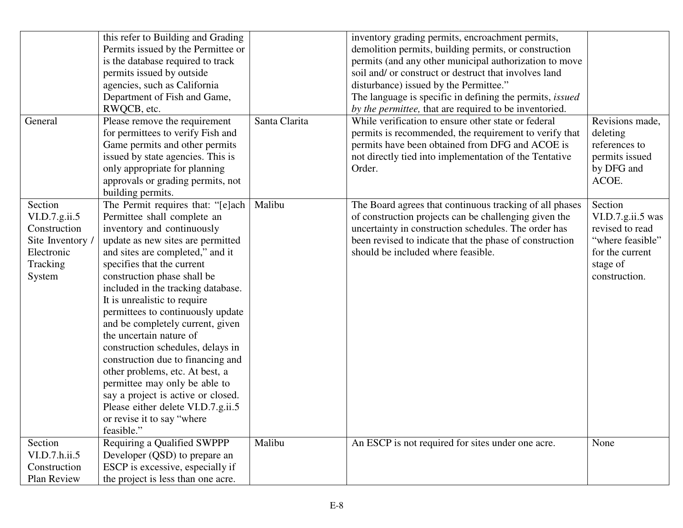|                  | this refer to Building and Grading |               | inventory grading permits, encroachment permits,                |                   |
|------------------|------------------------------------|---------------|-----------------------------------------------------------------|-------------------|
|                  | Permits issued by the Permittee or |               | demolition permits, building permits, or construction           |                   |
|                  | is the database required to track  |               | permits (and any other municipal authorization to move          |                   |
|                  | permits issued by outside          |               | soil and/ or construct or destruct that involves land           |                   |
|                  | agencies, such as California       |               | disturbance) issued by the Permittee."                          |                   |
|                  | Department of Fish and Game,       |               | The language is specific in defining the permits, <i>issued</i> |                   |
|                  | RWQCB, etc.                        |               | by the permittee, that are required to be inventoried.          |                   |
| General          | Please remove the requirement      | Santa Clarita | While verification to ensure other state or federal             | Revisions made,   |
|                  | for permittees to verify Fish and  |               | permits is recommended, the requirement to verify that          | deleting          |
|                  | Game permits and other permits     |               | permits have been obtained from DFG and ACOE is                 | references to     |
|                  | issued by state agencies. This is  |               | not directly tied into implementation of the Tentative          | permits issued    |
|                  | only appropriate for planning      |               | Order.                                                          | by DFG and        |
|                  | approvals or grading permits, not  |               |                                                                 | ACOE.             |
|                  | building permits.                  |               |                                                                 |                   |
| Section          | The Permit requires that: "[e]ach  | Malibu        | The Board agrees that continuous tracking of all phases         | Section           |
| VI.D.7.g.ii.5    | Permittee shall complete an        |               | of construction projects can be challenging given the           | VI.D.7.g.ii.5 was |
| Construction     | inventory and continuously         |               | uncertainty in construction schedules. The order has            | revised to read   |
| Site Inventory / | update as new sites are permitted  |               | been revised to indicate that the phase of construction         | "where feasible"  |
| Electronic       | and sites are completed," and it   |               | should be included where feasible.                              | for the current   |
| Tracking         | specifies that the current         |               |                                                                 | stage of          |
| System           | construction phase shall be        |               |                                                                 | construction.     |
|                  | included in the tracking database. |               |                                                                 |                   |
|                  | It is unrealistic to require       |               |                                                                 |                   |
|                  | permittees to continuously update  |               |                                                                 |                   |
|                  | and be completely current, given   |               |                                                                 |                   |
|                  | the uncertain nature of            |               |                                                                 |                   |
|                  | construction schedules, delays in  |               |                                                                 |                   |
|                  | construction due to financing and  |               |                                                                 |                   |
|                  | other problems, etc. At best, a    |               |                                                                 |                   |
|                  | permittee may only be able to      |               |                                                                 |                   |
|                  | say a project is active or closed. |               |                                                                 |                   |
|                  | Please either delete VI.D.7.g.ii.5 |               |                                                                 |                   |
|                  | or revise it to say "where         |               |                                                                 |                   |
|                  | feasible."                         |               |                                                                 |                   |
| Section          | Requiring a Qualified SWPPP        | Malibu        | An ESCP is not required for sites under one acre.               | None              |
| VI.D.7.h.ii.5    | Developer (QSD) to prepare an      |               |                                                                 |                   |
| Construction     | ESCP is excessive, especially if   |               |                                                                 |                   |
| Plan Review      | the project is less than one acre. |               |                                                                 |                   |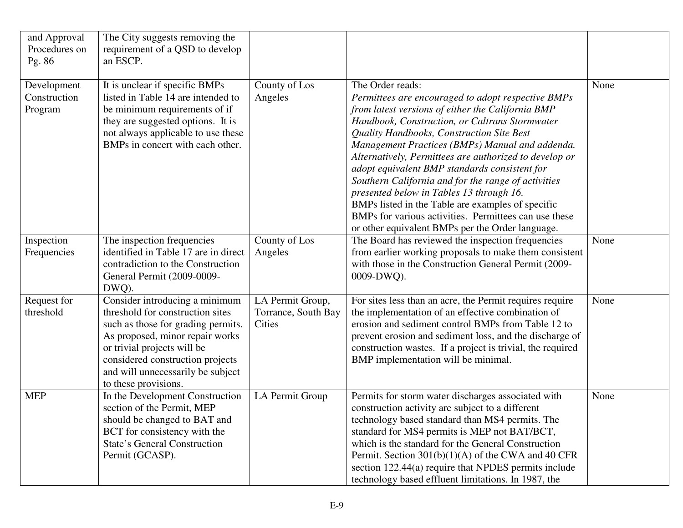| and Approval<br>Procedures on<br>Pg. 86 | The City suggests removing the<br>requirement of a QSD to develop<br>an ESCP.                                                                                                                                                                                               |                                                          |                                                                                                                                                                                                                                                                                                                                                                                                                                                                                                                                                                                                                                                               |      |
|-----------------------------------------|-----------------------------------------------------------------------------------------------------------------------------------------------------------------------------------------------------------------------------------------------------------------------------|----------------------------------------------------------|---------------------------------------------------------------------------------------------------------------------------------------------------------------------------------------------------------------------------------------------------------------------------------------------------------------------------------------------------------------------------------------------------------------------------------------------------------------------------------------------------------------------------------------------------------------------------------------------------------------------------------------------------------------|------|
| Development<br>Construction<br>Program  | It is unclear if specific BMPs<br>listed in Table 14 are intended to<br>be minimum requirements of if<br>they are suggested options. It is<br>not always applicable to use these<br>BMPs in concert with each other.                                                        | County of Los<br>Angeles                                 | The Order reads:<br>Permittees are encouraged to adopt respective BMPs<br>from latest versions of either the California BMP<br>Handbook, Construction, or Caltrans Stormwater<br>Quality Handbooks, Construction Site Best<br>Management Practices (BMPs) Manual and addenda.<br>Alternatively, Permittees are authorized to develop or<br>adopt equivalent BMP standards consistent for<br>Southern California and for the range of activities<br>presented below in Tables 13 through 16.<br>BMPs listed in the Table are examples of specific<br>BMPs for various activities. Permittees can use these<br>or other equivalent BMPs per the Order language. | None |
| Inspection<br>Frequencies               | The inspection frequencies<br>identified in Table 17 are in direct<br>contradiction to the Construction<br>General Permit (2009-0009-<br>DWQ).                                                                                                                              | County of Los<br>Angeles                                 | The Board has reviewed the inspection frequencies<br>from earlier working proposals to make them consistent<br>with those in the Construction General Permit (2009-<br>0009-DWQ).                                                                                                                                                                                                                                                                                                                                                                                                                                                                             | None |
| Request for<br>threshold                | Consider introducing a minimum<br>threshold for construction sites<br>such as those for grading permits.<br>As proposed, minor repair works<br>or trivial projects will be<br>considered construction projects<br>and will unnecessarily be subject<br>to these provisions. | LA Permit Group,<br>Torrance, South Bay<br><b>Cities</b> | For sites less than an acre, the Permit requires require<br>the implementation of an effective combination of<br>erosion and sediment control BMPs from Table 12 to<br>prevent erosion and sediment loss, and the discharge of<br>construction wastes. If a project is trivial, the required<br>BMP implementation will be minimal.                                                                                                                                                                                                                                                                                                                           | None |
| <b>MEP</b>                              | In the Development Construction<br>section of the Permit, MEP<br>should be changed to BAT and<br>BCT for consistency with the<br><b>State's General Construction</b><br>Permit (GCASP).                                                                                     | LA Permit Group                                          | Permits for storm water discharges associated with<br>construction activity are subject to a different<br>technology based standard than MS4 permits. The<br>standard for MS4 permits is MEP not BAT/BCT,<br>which is the standard for the General Construction<br>Permit. Section $301(b)(1)(A)$ of the CWA and 40 CFR<br>section 122.44(a) require that NPDES permits include<br>technology based effluent limitations. In 1987, the                                                                                                                                                                                                                        | None |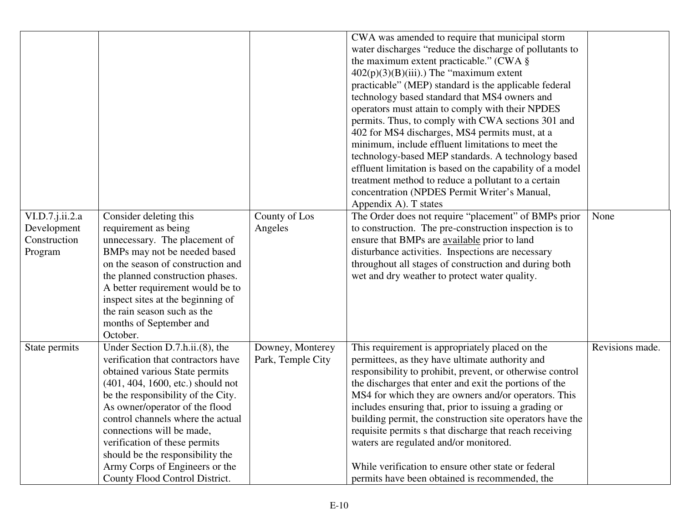|                                                           |                                                                                                                                                                                                                                                                                                                                                                                                                                 |                                       | CWA was amended to require that municipal storm<br>water discharges "reduce the discharge of pollutants to<br>the maximum extent practicable." (CWA §<br>$402(p)(3)(B)(iii)$ .) The "maximum extent"<br>practicable" (MEP) standard is the applicable federal<br>technology based standard that MS4 owners and<br>operators must attain to comply with their NPDES<br>permits. Thus, to comply with CWA sections 301 and<br>402 for MS4 discharges, MS4 permits must, at a<br>minimum, include effluent limitations to meet the<br>technology-based MEP standards. A technology based<br>effluent limitation is based on the capability of a model<br>treatment method to reduce a pollutant to a certain<br>concentration (NPDES Permit Writer's Manual,<br>Appendix A). T states |                 |
|-----------------------------------------------------------|---------------------------------------------------------------------------------------------------------------------------------------------------------------------------------------------------------------------------------------------------------------------------------------------------------------------------------------------------------------------------------------------------------------------------------|---------------------------------------|------------------------------------------------------------------------------------------------------------------------------------------------------------------------------------------------------------------------------------------------------------------------------------------------------------------------------------------------------------------------------------------------------------------------------------------------------------------------------------------------------------------------------------------------------------------------------------------------------------------------------------------------------------------------------------------------------------------------------------------------------------------------------------|-----------------|
| VI.D.7.j.ii.2.a<br>Development<br>Construction<br>Program | Consider deleting this<br>requirement as being<br>unnecessary. The placement of<br>BMPs may not be needed based<br>on the season of construction and<br>the planned construction phases.<br>A better requirement would be to<br>inspect sites at the beginning of<br>the rain season such as the<br>months of September and<br>October.                                                                                         | County of Los<br>Angeles              | The Order does not require "placement" of BMPs prior<br>to construction. The pre-construction inspection is to<br>ensure that BMPs are available prior to land<br>disturbance activities. Inspections are necessary<br>throughout all stages of construction and during both<br>wet and dry weather to protect water quality.                                                                                                                                                                                                                                                                                                                                                                                                                                                      | None            |
| State permits                                             | Under Section D.7.h.ii.(8), the<br>verification that contractors have<br>obtained various State permits<br>(401, 404, 1600, etc.) should not<br>be the responsibility of the City.<br>As owner/operator of the flood<br>control channels where the actual<br>connections will be made,<br>verification of these permits<br>should be the responsibility the<br>Army Corps of Engineers or the<br>County Flood Control District. | Downey, Monterey<br>Park, Temple City | This requirement is appropriately placed on the<br>permittees, as they have ultimate authority and<br>responsibility to prohibit, prevent, or otherwise control<br>the discharges that enter and exit the portions of the<br>MS4 for which they are owners and/or operators. This<br>includes ensuring that, prior to issuing a grading or<br>building permit, the construction site operators have the<br>requisite permits s that discharge that reach receiving<br>waters are regulated and/or monitored.<br>While verification to ensure other state or federal<br>permits have been obtained is recommended, the                                                                                                                                                              | Revisions made. |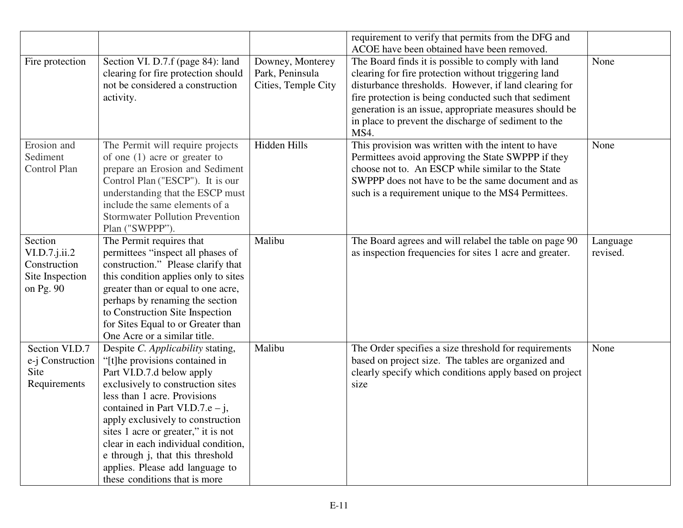|                                                                                |                                                                                                                                                                                                                                                                                                                                                                                                                                     |                                                            | requirement to verify that permits from the DFG and<br>ACOE have been obtained have been removed.                                                                                                                                                                                                                                                      |                      |
|--------------------------------------------------------------------------------|-------------------------------------------------------------------------------------------------------------------------------------------------------------------------------------------------------------------------------------------------------------------------------------------------------------------------------------------------------------------------------------------------------------------------------------|------------------------------------------------------------|--------------------------------------------------------------------------------------------------------------------------------------------------------------------------------------------------------------------------------------------------------------------------------------------------------------------------------------------------------|----------------------|
| Fire protection                                                                | Section VI. D.7.f (page 84): land<br>clearing for fire protection should<br>not be considered a construction<br>activity.                                                                                                                                                                                                                                                                                                           | Downey, Monterey<br>Park, Peninsula<br>Cities, Temple City | The Board finds it is possible to comply with land<br>clearing for fire protection without triggering land<br>disturbance thresholds. However, if land clearing for<br>fire protection is being conducted such that sediment<br>generation is an issue, appropriate measures should be<br>in place to prevent the discharge of sediment to the<br>MS4. | None                 |
| Erosion and<br>Sediment<br>Control Plan                                        | The Permit will require projects<br>of one $(1)$ acre or greater to<br>prepare an Erosion and Sediment<br>Control Plan ("ESCP"). It is our<br>understanding that the ESCP must<br>include the same elements of a<br><b>Stormwater Pollution Prevention</b><br>Plan ("SWPPP").                                                                                                                                                       | Hidden Hills                                               | This provision was written with the intent to have<br>Permittees avoid approving the State SWPPP if they<br>choose not to. An ESCP while similar to the State<br>SWPPP does not have to be the same document and as<br>such is a requirement unique to the MS4 Permittees.                                                                             | None                 |
| Section<br>$VI.D.7.$ j.ii. $2$<br>Construction<br>Site Inspection<br>on Pg. 90 | The Permit requires that<br>permittees "inspect all phases of<br>construction." Please clarify that<br>this condition applies only to sites<br>greater than or equal to one acre,<br>perhaps by renaming the section<br>to Construction Site Inspection<br>for Sites Equal to or Greater than<br>One Acre or a similar title.                                                                                                       | Malibu                                                     | The Board agrees and will relabel the table on page 90<br>as inspection frequencies for sites 1 acre and greater.                                                                                                                                                                                                                                      | Language<br>revised. |
| Section VI.D.7<br>e-j Construction<br>Site<br>Requirements                     | Despite C. Applicability stating,<br>"[t]he provisions contained in<br>Part VI.D.7.d below apply<br>exclusively to construction sites<br>less than 1 acre. Provisions<br>contained in Part VI.D.7.e – j,<br>apply exclusively to construction<br>sites 1 acre or greater," it is not<br>clear in each individual condition,<br>e through j, that this threshold<br>applies. Please add language to<br>these conditions that is more | Malibu                                                     | The Order specifies a size threshold for requirements<br>based on project size. The tables are organized and<br>clearly specify which conditions apply based on project<br>size                                                                                                                                                                        | None                 |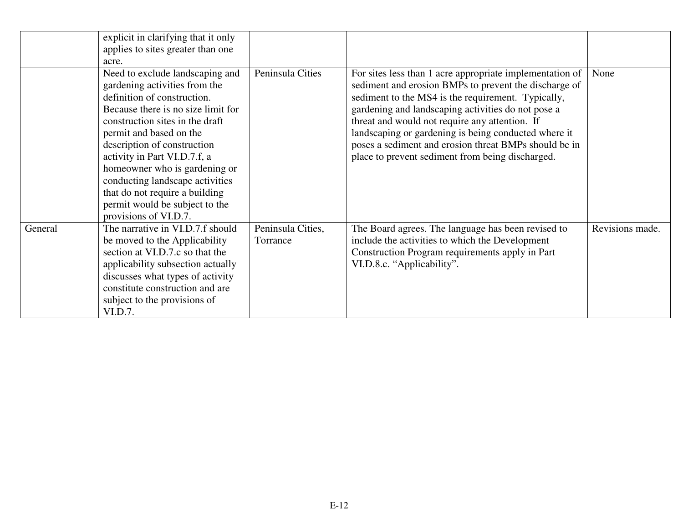|         | explicit in clarifying that it only                                                                                                                                                                                                                                                                                                                                                                                                 |                               |                                                                                                                                                                                                                                                                                                                                                                                                                                                      |                 |
|---------|-------------------------------------------------------------------------------------------------------------------------------------------------------------------------------------------------------------------------------------------------------------------------------------------------------------------------------------------------------------------------------------------------------------------------------------|-------------------------------|------------------------------------------------------------------------------------------------------------------------------------------------------------------------------------------------------------------------------------------------------------------------------------------------------------------------------------------------------------------------------------------------------------------------------------------------------|-----------------|
|         | applies to sites greater than one<br>acre.                                                                                                                                                                                                                                                                                                                                                                                          |                               |                                                                                                                                                                                                                                                                                                                                                                                                                                                      |                 |
|         | Need to exclude landscaping and<br>gardening activities from the<br>definition of construction.<br>Because there is no size limit for<br>construction sites in the draft<br>permit and based on the<br>description of construction<br>activity in Part VI.D.7.f, a<br>homeowner who is gardening or<br>conducting landscape activities<br>that do not require a building<br>permit would be subject to the<br>provisions of VI.D.7. | Peninsula Cities              | For sites less than 1 acre appropriate implementation of<br>sediment and erosion BMPs to prevent the discharge of<br>sediment to the MS4 is the requirement. Typically,<br>gardening and landscaping activities do not pose a<br>threat and would not require any attention. If<br>landscaping or gardening is being conducted where it<br>poses a sediment and erosion threat BMPs should be in<br>place to prevent sediment from being discharged. | None            |
| General | The narrative in VI.D.7.f should<br>be moved to the Applicability<br>section at VI.D.7.c so that the<br>applicability subsection actually<br>discusses what types of activity<br>constitute construction and are<br>subject to the provisions of<br>VI.D.7.                                                                                                                                                                         | Peninsula Cities,<br>Torrance | The Board agrees. The language has been revised to<br>include the activities to which the Development<br>Construction Program requirements apply in Part<br>VI.D.8.c. "Applicability".                                                                                                                                                                                                                                                               | Revisions made. |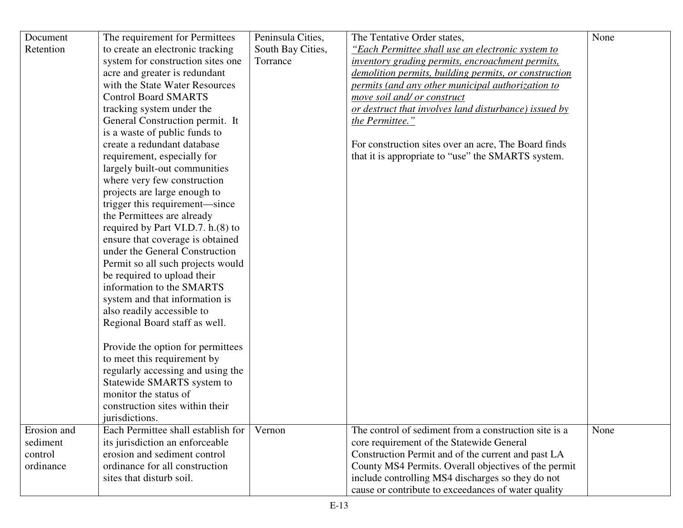| Document    | The requirement for Permittees                                     | Peninsula Cities, | The Tentative Order states,                                                      | None |
|-------------|--------------------------------------------------------------------|-------------------|----------------------------------------------------------------------------------|------|
|             |                                                                    |                   |                                                                                  |      |
| Retention   | to create an electronic tracking                                   | South Bay Cities, | "Each Permittee shall use an electronic system to                                |      |
|             | system for construction sites one<br>acre and greater is redundant | Torrance          | <i>inventory grading permits, encroachment permits,</i>                          |      |
|             | with the State Water Resources                                     |                   | demolition permits, building permits, or construction                            |      |
|             | <b>Control Board SMARTS</b>                                        |                   | permits (and any other municipal authorization to<br>move soil and/ or construct |      |
|             |                                                                    |                   |                                                                                  |      |
|             | tracking system under the                                          |                   | or destruct that involves land disturbance) issued by                            |      |
|             | General Construction permit. It<br>is a waste of public funds to   |                   | the Permittee."                                                                  |      |
|             | create a redundant database                                        |                   |                                                                                  |      |
|             |                                                                    |                   | For construction sites over an acre, The Board finds                             |      |
|             | requirement, especially for                                        |                   | that it is appropriate to "use" the SMARTS system.                               |      |
|             | largely built-out communities                                      |                   |                                                                                  |      |
|             | where very few construction                                        |                   |                                                                                  |      |
|             | projects are large enough to                                       |                   |                                                                                  |      |
|             | trigger this requirement—since                                     |                   |                                                                                  |      |
|             | the Permittees are already<br>required by Part VI.D.7. h.(8) to    |                   |                                                                                  |      |
|             | ensure that coverage is obtained                                   |                   |                                                                                  |      |
|             | under the General Construction                                     |                   |                                                                                  |      |
|             | Permit so all such projects would                                  |                   |                                                                                  |      |
|             | be required to upload their                                        |                   |                                                                                  |      |
|             | information to the SMARTS                                          |                   |                                                                                  |      |
|             | system and that information is                                     |                   |                                                                                  |      |
|             | also readily accessible to                                         |                   |                                                                                  |      |
|             | Regional Board staff as well.                                      |                   |                                                                                  |      |
|             |                                                                    |                   |                                                                                  |      |
|             | Provide the option for permittees                                  |                   |                                                                                  |      |
|             | to meet this requirement by                                        |                   |                                                                                  |      |
|             | regularly accessing and using the                                  |                   |                                                                                  |      |
|             | Statewide SMARTS system to                                         |                   |                                                                                  |      |
|             | monitor the status of                                              |                   |                                                                                  |      |
|             | construction sites within their                                    |                   |                                                                                  |      |
|             | jurisdictions.                                                     |                   |                                                                                  |      |
| Erosion and | Each Permittee shall establish for                                 | Vernon            | The control of sediment from a construction site is a                            | None |
| sediment    | its jurisdiction an enforceable                                    |                   | core requirement of the Statewide General                                        |      |
| control     | erosion and sediment control                                       |                   | Construction Permit and of the current and past LA                               |      |
| ordinance   | ordinance for all construction                                     |                   | County MS4 Permits. Overall objectives of the permit                             |      |
|             | sites that disturb soil.                                           |                   |                                                                                  |      |
|             |                                                                    |                   | include controlling MS4 discharges so they do not                                |      |
|             |                                                                    |                   | cause or contribute to exceedances of water quality                              |      |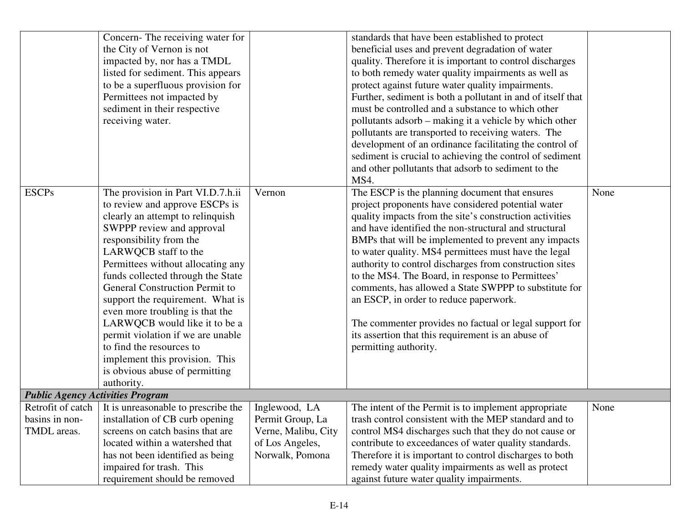|                   | Concern-The receiving water for         |                     | standards that have been established to protect             |      |
|-------------------|-----------------------------------------|---------------------|-------------------------------------------------------------|------|
|                   | the City of Vernon is not               |                     | beneficial uses and prevent degradation of water            |      |
|                   | impacted by, nor has a TMDL             |                     | quality. Therefore it is important to control discharges    |      |
|                   | listed for sediment. This appears       |                     | to both remedy water quality impairments as well as         |      |
|                   | to be a superfluous provision for       |                     | protect against future water quality impairments.           |      |
|                   | Permittees not impacted by              |                     | Further, sediment is both a pollutant in and of itself that |      |
|                   | sediment in their respective            |                     | must be controlled and a substance to which other           |      |
|                   | receiving water.                        |                     | pollutants adsorb – making it a vehicle by which other      |      |
|                   |                                         |                     | pollutants are transported to receiving waters. The         |      |
|                   |                                         |                     | development of an ordinance facilitating the control of     |      |
|                   |                                         |                     | sediment is crucial to achieving the control of sediment    |      |
|                   |                                         |                     | and other pollutants that adsorb to sediment to the         |      |
|                   |                                         |                     | MS4.                                                        |      |
| <b>ESCPs</b>      | The provision in Part VI.D.7.h.ii       | Vernon              | The ESCP is the planning document that ensures              | None |
|                   | to review and approve ESCPs is          |                     | project proponents have considered potential water          |      |
|                   | clearly an attempt to relinquish        |                     | quality impacts from the site's construction activities     |      |
|                   | SWPPP review and approval               |                     | and have identified the non-structural and structural       |      |
|                   | responsibility from the                 |                     | BMPs that will be implemented to prevent any impacts        |      |
|                   | LARWQCB staff to the                    |                     | to water quality. MS4 permittees must have the legal        |      |
|                   | Permittees without allocating any       |                     | authority to control discharges from construction sites     |      |
|                   | funds collected through the State       |                     | to the MS4. The Board, in response to Permittees'           |      |
|                   | General Construction Permit to          |                     | comments, has allowed a State SWPPP to substitute for       |      |
|                   | support the requirement. What is        |                     | an ESCP, in order to reduce paperwork.                      |      |
|                   | even more troubling is that the         |                     |                                                             |      |
|                   | LARWQCB would like it to be a           |                     | The commenter provides no factual or legal support for      |      |
|                   | permit violation if we are unable       |                     | its assertion that this requirement is an abuse of          |      |
|                   | to find the resources to                |                     | permitting authority.                                       |      |
|                   | implement this provision. This          |                     |                                                             |      |
|                   | is obvious abuse of permitting          |                     |                                                             |      |
|                   | authority.                              |                     |                                                             |      |
|                   | <b>Public Agency Activities Program</b> |                     |                                                             |      |
| Retrofit of catch | It is unreasonable to prescribe the     | Inglewood, LA       | The intent of the Permit is to implement appropriate        | None |
| basins in non-    | installation of CB curb opening         | Permit Group, La    | trash control consistent with the MEP standard and to       |      |
| TMDL areas.       | screens on catch basins that are        | Verne, Malibu, City | control MS4 discharges such that they do not cause or       |      |
|                   | located within a watershed that         | of Los Angeles,     | contribute to exceedances of water quality standards.       |      |
|                   | has not been identified as being        | Norwalk, Pomona     | Therefore it is important to control discharges to both     |      |
|                   | impaired for trash. This                |                     | remedy water quality impairments as well as protect         |      |
|                   | requirement should be removed           |                     | against future water quality impairments.                   |      |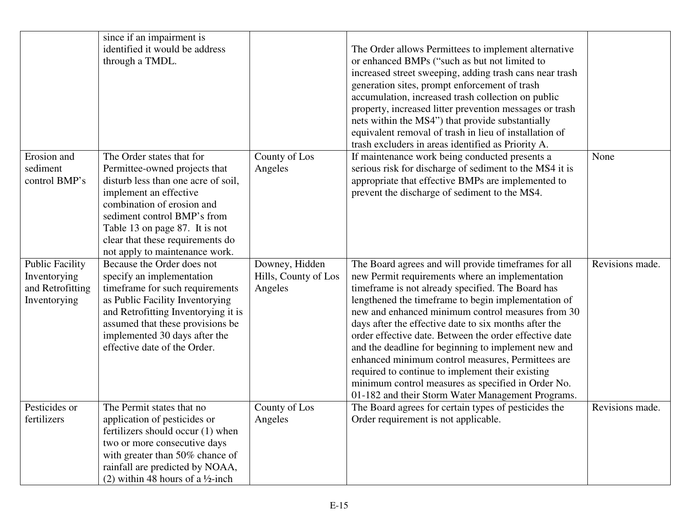|                        | since if an impairment is                    |                      |                                                         |                 |
|------------------------|----------------------------------------------|----------------------|---------------------------------------------------------|-----------------|
|                        | identified it would be address               |                      | The Order allows Permittees to implement alternative    |                 |
|                        | through a TMDL.                              |                      | or enhanced BMPs ("such as but not limited to           |                 |
|                        |                                              |                      | increased street sweeping, adding trash cans near trash |                 |
|                        |                                              |                      | generation sites, prompt enforcement of trash           |                 |
|                        |                                              |                      | accumulation, increased trash collection on public      |                 |
|                        |                                              |                      | property, increased litter prevention messages or trash |                 |
|                        |                                              |                      | nets within the MS4") that provide substantially        |                 |
|                        |                                              |                      | equivalent removal of trash in lieu of installation of  |                 |
|                        |                                              |                      | trash excluders in areas identified as Priority A.      |                 |
| Erosion and            | The Order states that for                    | County of Los        | If maintenance work being conducted presents a          | None            |
| sediment               | Permittee-owned projects that                | Angeles              | serious risk for discharge of sediment to the MS4 it is |                 |
| control BMP's          | disturb less than one acre of soil,          |                      | appropriate that effective BMPs are implemented to      |                 |
|                        | implement an effective                       |                      | prevent the discharge of sediment to the MS4.           |                 |
|                        | combination of erosion and                   |                      |                                                         |                 |
|                        | sediment control BMP's from                  |                      |                                                         |                 |
|                        | Table 13 on page 87. It is not               |                      |                                                         |                 |
|                        | clear that these requirements do             |                      |                                                         |                 |
|                        | not apply to maintenance work.               |                      |                                                         |                 |
| <b>Public Facility</b> | Because the Order does not                   | Downey, Hidden       | The Board agrees and will provide timeframes for all    | Revisions made. |
| Inventorying           | specify an implementation                    | Hills, County of Los | new Permit requirements where an implementation         |                 |
| and Retrofitting       | timeframe for such requirements              | Angeles              | timeframe is not already specified. The Board has       |                 |
| Inventorying           | as Public Facility Inventorying              |                      | lengthened the timeframe to begin implementation of     |                 |
|                        | and Retrofitting Inventorying it is          |                      | new and enhanced minimum control measures from 30       |                 |
|                        | assumed that these provisions be             |                      | days after the effective date to six months after the   |                 |
|                        | implemented 30 days after the                |                      | order effective date. Between the order effective date  |                 |
|                        | effective date of the Order.                 |                      | and the deadline for beginning to implement new and     |                 |
|                        |                                              |                      | enhanced minimum control measures, Permittees are       |                 |
|                        |                                              |                      | required to continue to implement their existing        |                 |
|                        |                                              |                      | minimum control measures as specified in Order No.      |                 |
|                        |                                              |                      | 01-182 and their Storm Water Management Programs.       |                 |
| Pesticides or          | The Permit states that no                    | County of Los        | The Board agrees for certain types of pesticides the    | Revisions made. |
| fertilizers            | application of pesticides or                 | Angeles              | Order requirement is not applicable.                    |                 |
|                        | fertilizers should occur (1) when            |                      |                                                         |                 |
|                        | two or more consecutive days                 |                      |                                                         |                 |
|                        | with greater than 50% chance of              |                      |                                                         |                 |
|                        | rainfall are predicted by NOAA,              |                      |                                                         |                 |
|                        | (2) within 48 hours of a $\frac{1}{2}$ -inch |                      |                                                         |                 |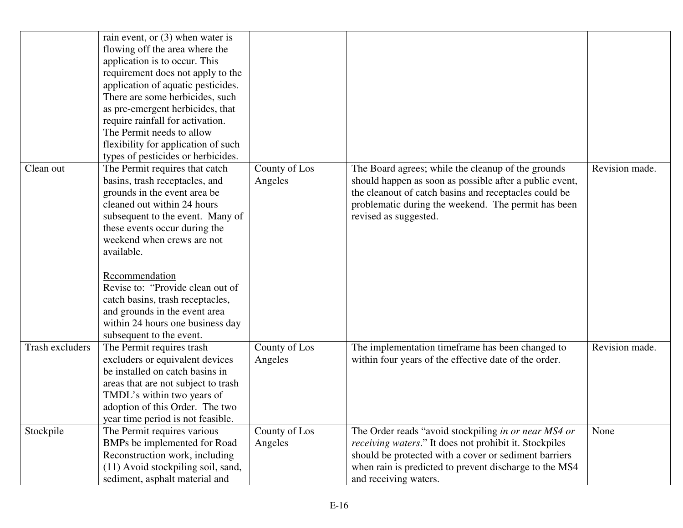| Clean out              | rain event, or $(3)$ when water is<br>flowing off the area where the<br>application is to occur. This<br>requirement does not apply to the<br>application of aquatic pesticides.<br>There are some herbicides, such<br>as pre-emergent herbicides, that<br>require rainfall for activation.<br>The Permit needs to allow<br>flexibility for application of such<br>types of pesticides or herbicides.<br>The Permit requires that catch<br>basins, trash receptacles, and<br>grounds in the event area be | County of Los<br>Angeles | The Board agrees; while the cleanup of the grounds<br>should happen as soon as possible after a public event,<br>the cleanout of catch basins and receptacles could be                                                                                             | Revision made. |
|------------------------|-----------------------------------------------------------------------------------------------------------------------------------------------------------------------------------------------------------------------------------------------------------------------------------------------------------------------------------------------------------------------------------------------------------------------------------------------------------------------------------------------------------|--------------------------|--------------------------------------------------------------------------------------------------------------------------------------------------------------------------------------------------------------------------------------------------------------------|----------------|
|                        | cleaned out within 24 hours<br>subsequent to the event. Many of<br>these events occur during the<br>weekend when crews are not<br>available.<br>Recommendation<br>Revise to: "Provide clean out of<br>catch basins, trash receptacles,<br>and grounds in the event area<br>within 24 hours one business day<br>subsequent to the event.                                                                                                                                                                   |                          | problematic during the weekend. The permit has been<br>revised as suggested.                                                                                                                                                                                       |                |
| <b>Trash excluders</b> | The Permit requires trash<br>excluders or equivalent devices<br>be installed on catch basins in<br>areas that are not subject to trash<br>TMDL's within two years of<br>adoption of this Order. The two<br>year time period is not feasible.                                                                                                                                                                                                                                                              | County of Los<br>Angeles | The implementation timeframe has been changed to<br>within four years of the effective date of the order.                                                                                                                                                          | Revision made. |
| Stockpile              | The Permit requires various<br>BMPs be implemented for Road<br>Reconstruction work, including<br>(11) Avoid stockpiling soil, sand,<br>sediment, asphalt material and                                                                                                                                                                                                                                                                                                                                     | County of Los<br>Angeles | The Order reads "avoid stockpiling in or near MS4 or<br><i>receiving waters.</i> " It does not prohibit it. Stockpiles<br>should be protected with a cover or sediment barriers<br>when rain is predicted to prevent discharge to the MS4<br>and receiving waters. | None           |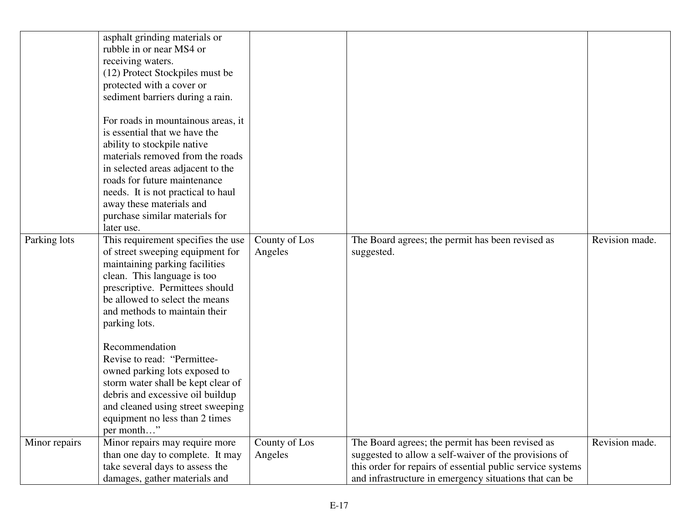|               | asphalt grinding materials or<br>rubble in or near MS4 or<br>receiving waters.<br>(12) Protect Stockpiles must be<br>protected with a cover or<br>sediment barriers during a rain.                                                                                                                                            |                          |                                                                                                                                                                                                                                   |                |
|---------------|-------------------------------------------------------------------------------------------------------------------------------------------------------------------------------------------------------------------------------------------------------------------------------------------------------------------------------|--------------------------|-----------------------------------------------------------------------------------------------------------------------------------------------------------------------------------------------------------------------------------|----------------|
|               | For roads in mountainous areas, it<br>is essential that we have the<br>ability to stockpile native<br>materials removed from the roads<br>in selected areas adjacent to the<br>roads for future maintenance<br>needs. It is not practical to haul<br>away these materials and<br>purchase similar materials for<br>later use. |                          |                                                                                                                                                                                                                                   |                |
| Parking lots  | This requirement specifies the use<br>of street sweeping equipment for<br>maintaining parking facilities<br>clean. This language is too<br>prescriptive. Permittees should<br>be allowed to select the means<br>and methods to maintain their<br>parking lots.<br>Recommendation                                              | County of Los<br>Angeles | The Board agrees; the permit has been revised as<br>suggested.                                                                                                                                                                    | Revision made. |
|               | Revise to read: "Permittee-<br>owned parking lots exposed to<br>storm water shall be kept clear of<br>debris and excessive oil buildup<br>and cleaned using street sweeping<br>equipment no less than 2 times<br>per month"                                                                                                   |                          |                                                                                                                                                                                                                                   |                |
| Minor repairs | Minor repairs may require more<br>than one day to complete. It may<br>take several days to assess the<br>damages, gather materials and                                                                                                                                                                                        | County of Los<br>Angeles | The Board agrees; the permit has been revised as<br>suggested to allow a self-waiver of the provisions of<br>this order for repairs of essential public service systems<br>and infrastructure in emergency situations that can be | Revision made. |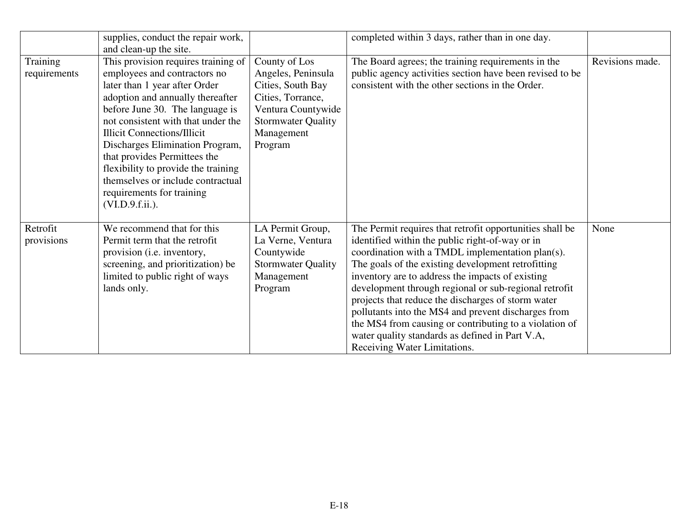|                          | supplies, conduct the repair work,                                                                                                                                                                                                                                                                                                                                                                                                                        |                                                                                                                                                           | completed within 3 days, rather than in one day.                                                                                                                                                                                                                                                                                                                                                                                                                                                                                                                                             |                 |
|--------------------------|-----------------------------------------------------------------------------------------------------------------------------------------------------------------------------------------------------------------------------------------------------------------------------------------------------------------------------------------------------------------------------------------------------------------------------------------------------------|-----------------------------------------------------------------------------------------------------------------------------------------------------------|----------------------------------------------------------------------------------------------------------------------------------------------------------------------------------------------------------------------------------------------------------------------------------------------------------------------------------------------------------------------------------------------------------------------------------------------------------------------------------------------------------------------------------------------------------------------------------------------|-----------------|
|                          | and clean-up the site.                                                                                                                                                                                                                                                                                                                                                                                                                                    |                                                                                                                                                           |                                                                                                                                                                                                                                                                                                                                                                                                                                                                                                                                                                                              |                 |
| Training<br>requirements | This provision requires training of<br>employees and contractors no<br>later than 1 year after Order<br>adoption and annually thereafter<br>before June 30. The language is<br>not consistent with that under the<br><b>Illicit Connections/Illicit</b><br>Discharges Elimination Program,<br>that provides Permittees the<br>flexibility to provide the training<br>themselves or include contractual<br>requirements for training<br>$(VI.D.9.f.ii.)$ . | County of Los<br>Angeles, Peninsula<br>Cities, South Bay<br>Cities, Torrance,<br>Ventura Countywide<br><b>Stormwater Quality</b><br>Management<br>Program | The Board agrees; the training requirements in the<br>public agency activities section have been revised to be<br>consistent with the other sections in the Order.                                                                                                                                                                                                                                                                                                                                                                                                                           | Revisions made. |
| Retrofit<br>provisions   | We recommend that for this<br>Permit term that the retrofit<br>provision (i.e. inventory,<br>screening, and prioritization) be<br>limited to public right of ways<br>lands only.                                                                                                                                                                                                                                                                          | LA Permit Group,<br>La Verne, Ventura<br>Countywide<br><b>Stormwater Quality</b><br>Management<br>Program                                                 | The Permit requires that retrofit opportunities shall be<br>identified within the public right-of-way or in<br>coordination with a TMDL implementation plan(s).<br>The goals of the existing development retrofitting<br>inventory are to address the impacts of existing<br>development through regional or sub-regional retrofit<br>projects that reduce the discharges of storm water<br>pollutants into the MS4 and prevent discharges from<br>the MS4 from causing or contributing to a violation of<br>water quality standards as defined in Part V.A,<br>Receiving Water Limitations. | None            |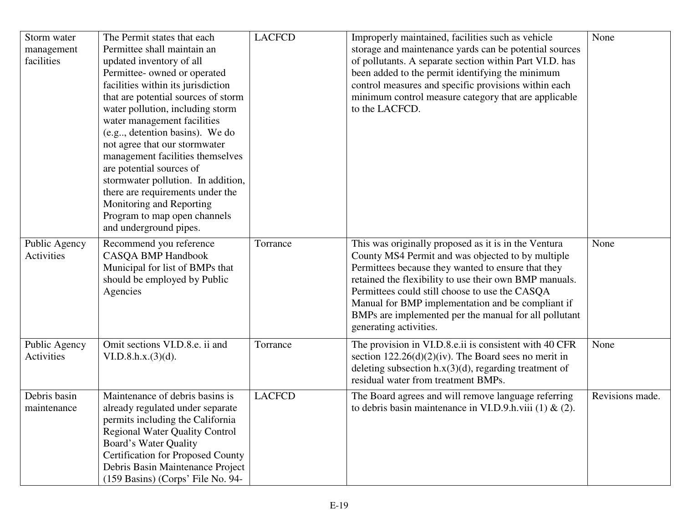| Storm water<br>management<br>facilities | The Permit states that each<br>Permittee shall maintain an<br>updated inventory of all<br>Permittee- owned or operated<br>facilities within its jurisdiction<br>that are potential sources of storm<br>water pollution, including storm<br>water management facilities<br>(e.g., detention basins). We do<br>not agree that our stormwater<br>management facilities themselves<br>are potential sources of<br>stormwater pollution. In addition,<br>there are requirements under the<br>Monitoring and Reporting<br>Program to map open channels<br>and underground pipes. | <b>LACFCD</b> | Improperly maintained, facilities such as vehicle<br>storage and maintenance yards can be potential sources<br>of pollutants. A separate section within Part VI.D. has<br>been added to the permit identifying the minimum<br>control measures and specific provisions within each<br>minimum control measure category that are applicable<br>to the LACFCD.                                                        | None            |
|-----------------------------------------|----------------------------------------------------------------------------------------------------------------------------------------------------------------------------------------------------------------------------------------------------------------------------------------------------------------------------------------------------------------------------------------------------------------------------------------------------------------------------------------------------------------------------------------------------------------------------|---------------|---------------------------------------------------------------------------------------------------------------------------------------------------------------------------------------------------------------------------------------------------------------------------------------------------------------------------------------------------------------------------------------------------------------------|-----------------|
| Public Agency<br>Activities             | Recommend you reference<br><b>CASQA BMP Handbook</b><br>Municipal for list of BMPs that<br>should be employed by Public<br>Agencies                                                                                                                                                                                                                                                                                                                                                                                                                                        | Torrance      | This was originally proposed as it is in the Ventura<br>County MS4 Permit and was objected to by multiple<br>Permittees because they wanted to ensure that they<br>retained the flexibility to use their own BMP manuals.<br>Permittees could still choose to use the CASQA<br>Manual for BMP implementation and be compliant if<br>BMPs are implemented per the manual for all pollutant<br>generating activities. | None            |
| Public Agency<br>Activities             | Omit sections VI.D.8.e. ii and<br>VI.D.8.h.x.(3)(d).                                                                                                                                                                                                                                                                                                                                                                                                                                                                                                                       | Torrance      | The provision in VI.D.8.e.ii is consistent with 40 CFR<br>section $122.26(d)(2)(iv)$ . The Board sees no merit in<br>deleting subsection $h.x(3)(d)$ , regarding treatment of<br>residual water from treatment BMPs.                                                                                                                                                                                                | None            |
| Debris basin<br>maintenance             | Maintenance of debris basins is<br>already regulated under separate<br>permits including the California<br><b>Regional Water Quality Control</b><br><b>Board's Water Quality</b><br><b>Certification for Proposed County</b><br>Debris Basin Maintenance Project<br>(159 Basins) (Corps' File No. 94-                                                                                                                                                                                                                                                                      | <b>LACFCD</b> | The Board agrees and will remove language referring<br>to debris basin maintenance in VI.D.9.h.viii (1) & (2).                                                                                                                                                                                                                                                                                                      | Revisions made. |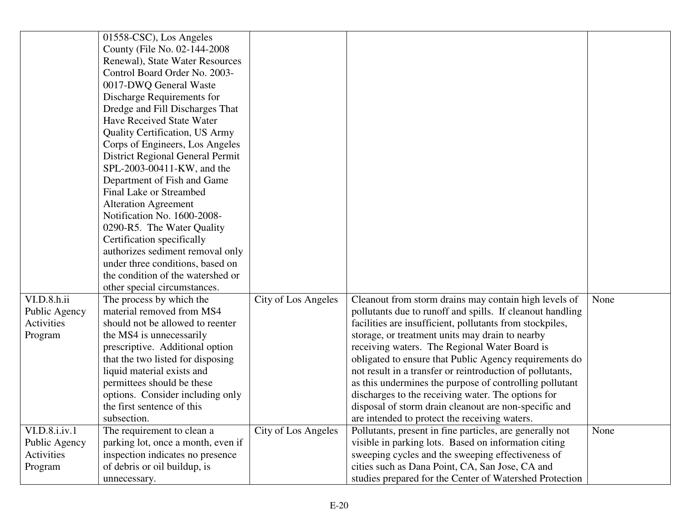|                | 01558-CSC), Los Angeles            |                     |                                                           |      |
|----------------|------------------------------------|---------------------|-----------------------------------------------------------|------|
|                | County (File No. 02-144-2008       |                     |                                                           |      |
|                | Renewal), State Water Resources    |                     |                                                           |      |
|                | Control Board Order No. 2003-      |                     |                                                           |      |
|                | 0017-DWQ General Waste             |                     |                                                           |      |
|                | Discharge Requirements for         |                     |                                                           |      |
|                | Dredge and Fill Discharges That    |                     |                                                           |      |
|                | Have Received State Water          |                     |                                                           |      |
|                | Quality Certification, US Army     |                     |                                                           |      |
|                | Corps of Engineers, Los Angeles    |                     |                                                           |      |
|                | District Regional General Permit   |                     |                                                           |      |
|                | SPL-2003-00411-KW, and the         |                     |                                                           |      |
|                | Department of Fish and Game        |                     |                                                           |      |
|                | Final Lake or Streambed            |                     |                                                           |      |
|                | <b>Alteration Agreement</b>        |                     |                                                           |      |
|                | Notification No. 1600-2008-        |                     |                                                           |      |
|                | 0290-R5. The Water Quality         |                     |                                                           |      |
|                | Certification specifically         |                     |                                                           |      |
|                | authorizes sediment removal only   |                     |                                                           |      |
|                | under three conditions, based on   |                     |                                                           |      |
|                | the condition of the watershed or  |                     |                                                           |      |
|                | other special circumstances.       |                     |                                                           |      |
| VI.D.8.h.ii    | The process by which the           | City of Los Angeles | Cleanout from storm drains may contain high levels of     | None |
| Public Agency  | material removed from MS4          |                     | pollutants due to runoff and spills. If cleanout handling |      |
| Activities     | should not be allowed to reenter   |                     | facilities are insufficient, pollutants from stockpiles,  |      |
| Program        | the MS4 is unnecessarily           |                     | storage, or treatment units may drain to nearby           |      |
|                | prescriptive. Additional option    |                     | receiving waters. The Regional Water Board is             |      |
|                | that the two listed for disposing  |                     | obligated to ensure that Public Agency requirements do    |      |
|                | liquid material exists and         |                     | not result in a transfer or reintroduction of pollutants, |      |
|                | permittees should be these         |                     | as this undermines the purpose of controlling pollutant   |      |
|                | options. Consider including only   |                     | discharges to the receiving water. The options for        |      |
|                | the first sentence of this         |                     | disposal of storm drain cleanout are non-specific and     |      |
|                | subsection.                        |                     | are intended to protect the receiving waters.             |      |
| VI.D.8.i.i.v.1 | The requirement to clean a         | City of Los Angeles | Pollutants, present in fine particles, are generally not  | None |
| Public Agency  | parking lot, once a month, even if |                     | visible in parking lots. Based on information citing      |      |
| Activities     | inspection indicates no presence   |                     | sweeping cycles and the sweeping effectiveness of         |      |
| Program        | of debris or oil buildup, is       |                     | cities such as Dana Point, CA, San Jose, CA and           |      |
|                | unnecessary.                       |                     | studies prepared for the Center of Watershed Protection   |      |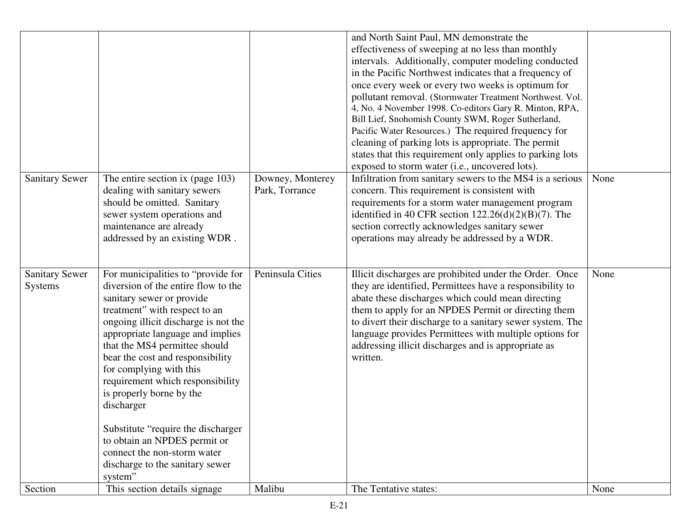|                                  |                                                                                                                                                                                                                                                                                                                                                                                                                                                                                                                                            |                                    | and North Saint Paul, MN demonstrate the<br>effectiveness of sweeping at no less than monthly<br>intervals. Additionally, computer modeling conducted<br>in the Pacific Northwest indicates that a frequency of<br>once every week or every two weeks is optimum for<br>pollutant removal. (Stormwater Treatment Northwest. Vol.<br>4, No. 4 November 1998. Co-editors Gary R. Minton, RPA,<br>Bill Lief, Snohomish County SWM, Roger Sutherland,<br>Pacific Water Resources.) The required frequency for<br>cleaning of parking lots is appropriate. The permit<br>states that this requirement only applies to parking lots<br>exposed to storm water (i.e., uncovered lots). |      |
|----------------------------------|--------------------------------------------------------------------------------------------------------------------------------------------------------------------------------------------------------------------------------------------------------------------------------------------------------------------------------------------------------------------------------------------------------------------------------------------------------------------------------------------------------------------------------------------|------------------------------------|---------------------------------------------------------------------------------------------------------------------------------------------------------------------------------------------------------------------------------------------------------------------------------------------------------------------------------------------------------------------------------------------------------------------------------------------------------------------------------------------------------------------------------------------------------------------------------------------------------------------------------------------------------------------------------|------|
| <b>Sanitary Sewer</b>            | The entire section ix (page 103)<br>dealing with sanitary sewers<br>should be omitted. Sanitary<br>sewer system operations and<br>maintenance are already<br>addressed by an existing WDR.                                                                                                                                                                                                                                                                                                                                                 | Downey, Monterey<br>Park, Torrance | Infiltration from sanitary sewers to the MS4 is a serious<br>concern. This requirement is consistent with<br>requirements for a storm water management program<br>identified in 40 CFR section $122.26(d)(2)(B)(7)$ . The<br>section correctly acknowledges sanitary sewer<br>operations may already be addressed by a WDR.                                                                                                                                                                                                                                                                                                                                                     | None |
| <b>Sanitary Sewer</b><br>Systems | For municipalities to "provide for<br>diversion of the entire flow to the<br>sanitary sewer or provide<br>treatment" with respect to an<br>ongoing illicit discharge is not the<br>appropriate language and implies<br>that the MS4 permittee should<br>bear the cost and responsibility<br>for complying with this<br>requirement which responsibility<br>is properly borne by the<br>discharger<br>Substitute "require the discharger"<br>to obtain an NPDES permit or<br>connect the non-storm water<br>discharge to the sanitary sewer | Peninsula Cities                   | Illicit discharges are prohibited under the Order. Once<br>they are identified, Permittees have a responsibility to<br>abate these discharges which could mean directing<br>them to apply for an NPDES Permit or directing them<br>to divert their discharge to a sanitary sewer system. The<br>language provides Permittees with multiple options for<br>addressing illicit discharges and is appropriate as<br>written.                                                                                                                                                                                                                                                       | None |
| Section                          | system"<br>This section details signage                                                                                                                                                                                                                                                                                                                                                                                                                                                                                                    | Malibu                             | The Tentative states:                                                                                                                                                                                                                                                                                                                                                                                                                                                                                                                                                                                                                                                           | None |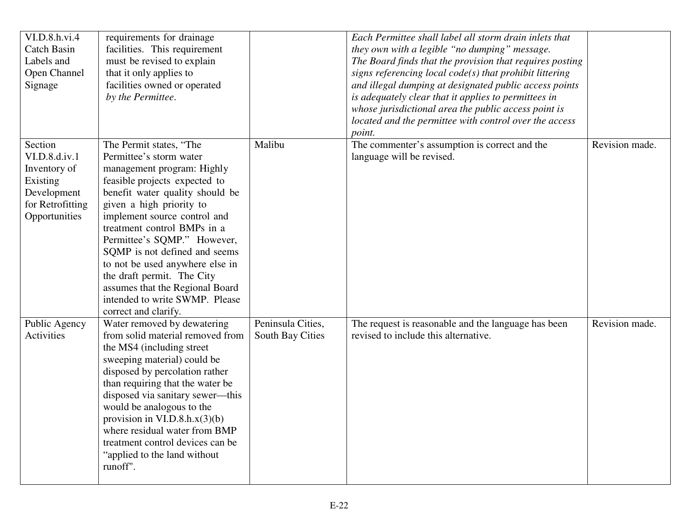| VI.D.8.h.vi.4                    | requirements for drainage                                  |                   | Each Permittee shall label all storm drain inlets that                                                              |                |
|----------------------------------|------------------------------------------------------------|-------------------|---------------------------------------------------------------------------------------------------------------------|----------------|
| <b>Catch Basin</b><br>Labels and | facilities. This requirement<br>must be revised to explain |                   | they own with a legible "no dumping" message.                                                                       |                |
| Open Channel                     | that it only applies to                                    |                   | The Board finds that the provision that requires posting<br>signs referencing local code(s) that prohibit littering |                |
| Signage                          | facilities owned or operated                               |                   | and illegal dumping at designated public access points                                                              |                |
|                                  | by the Permittee.                                          |                   | is adequately clear that it applies to permittees in                                                                |                |
|                                  |                                                            |                   | whose jurisdictional area the public access point is                                                                |                |
|                                  |                                                            |                   | located and the permittee with control over the access                                                              |                |
|                                  |                                                            |                   | point.                                                                                                              |                |
| Section                          | The Permit states, "The                                    | Malibu            | The commenter's assumption is correct and the                                                                       | Revision made. |
| VI.D.8.d.iv.1                    | Permittee's storm water                                    |                   | language will be revised.                                                                                           |                |
| Inventory of                     | management program: Highly                                 |                   |                                                                                                                     |                |
| Existing                         | feasible projects expected to                              |                   |                                                                                                                     |                |
| Development                      | benefit water quality should be                            |                   |                                                                                                                     |                |
| for Retrofitting                 | given a high priority to                                   |                   |                                                                                                                     |                |
| Opportunities                    | implement source control and                               |                   |                                                                                                                     |                |
|                                  | treatment control BMPs in a                                |                   |                                                                                                                     |                |
|                                  | Permittee's SQMP." However,                                |                   |                                                                                                                     |                |
|                                  | SQMP is not defined and seems                              |                   |                                                                                                                     |                |
|                                  | to not be used anywhere else in                            |                   |                                                                                                                     |                |
|                                  | the draft permit. The City                                 |                   |                                                                                                                     |                |
|                                  | assumes that the Regional Board                            |                   |                                                                                                                     |                |
|                                  | intended to write SWMP. Please                             |                   |                                                                                                                     |                |
|                                  | correct and clarify.                                       |                   |                                                                                                                     |                |
| Public Agency                    | Water removed by dewatering                                | Peninsula Cities, | The request is reasonable and the language has been                                                                 | Revision made. |
| Activities                       | from solid material removed from                           | South Bay Cities  | revised to include this alternative.                                                                                |                |
|                                  | the MS4 (including street)                                 |                   |                                                                                                                     |                |
|                                  | sweeping material) could be                                |                   |                                                                                                                     |                |
|                                  | disposed by percolation rather                             |                   |                                                                                                                     |                |
|                                  | than requiring that the water be                           |                   |                                                                                                                     |                |
|                                  | disposed via sanitary sewer—this                           |                   |                                                                                                                     |                |
|                                  | would be analogous to the                                  |                   |                                                                                                                     |                |
|                                  | provision in $VI.D.8.h.x(3)(b)$                            |                   |                                                                                                                     |                |
|                                  | where residual water from BMP                              |                   |                                                                                                                     |                |
|                                  | treatment control devices can be                           |                   |                                                                                                                     |                |
|                                  | "applied to the land without"                              |                   |                                                                                                                     |                |
|                                  | runoff".                                                   |                   |                                                                                                                     |                |
|                                  |                                                            |                   |                                                                                                                     |                |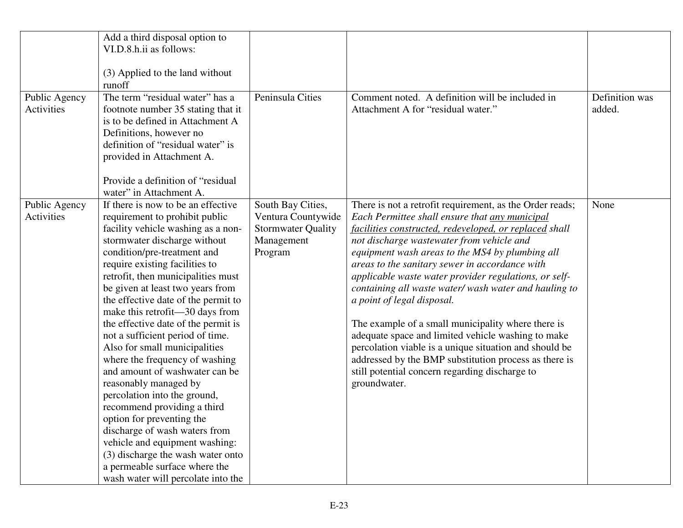| Public Agency<br><b>Activities</b> | Add a third disposal option to<br>VI.D.8.h.ii as follows:<br>(3) Applied to the land without<br>runoff<br>The term "residual water" has a<br>footnote number 35 stating that it<br>is to be defined in Attachment A<br>Definitions, however no<br>definition of "residual water" is<br>provided in Attachment A.                                                                                                                                                                                                                                                                                                                                                                                                                                                                                                                                    | Peninsula Cities                                                                              | Comment noted. A definition will be included in<br>Attachment A for "residual water."                                                                                                                                                                                                                                                                                                                                                                                                                                                                                                                                                                                                                                                                                   | Definition was<br>added. |
|------------------------------------|-----------------------------------------------------------------------------------------------------------------------------------------------------------------------------------------------------------------------------------------------------------------------------------------------------------------------------------------------------------------------------------------------------------------------------------------------------------------------------------------------------------------------------------------------------------------------------------------------------------------------------------------------------------------------------------------------------------------------------------------------------------------------------------------------------------------------------------------------------|-----------------------------------------------------------------------------------------------|-------------------------------------------------------------------------------------------------------------------------------------------------------------------------------------------------------------------------------------------------------------------------------------------------------------------------------------------------------------------------------------------------------------------------------------------------------------------------------------------------------------------------------------------------------------------------------------------------------------------------------------------------------------------------------------------------------------------------------------------------------------------------|--------------------------|
|                                    | Provide a definition of "residual"<br>water" in Attachment A.                                                                                                                                                                                                                                                                                                                                                                                                                                                                                                                                                                                                                                                                                                                                                                                       |                                                                                               |                                                                                                                                                                                                                                                                                                                                                                                                                                                                                                                                                                                                                                                                                                                                                                         |                          |
| Public Agency<br>Activities        | If there is now to be an effective<br>requirement to prohibit public<br>facility vehicle washing as a non-<br>stormwater discharge without<br>condition/pre-treatment and<br>require existing facilities to<br>retrofit, then municipalities must<br>be given at least two years from<br>the effective date of the permit to<br>make this retrofit—30 days from<br>the effective date of the permit is<br>not a sufficient period of time.<br>Also for small municipalities<br>where the frequency of washing<br>and amount of washwater can be<br>reasonably managed by<br>percolation into the ground,<br>recommend providing a third<br>option for preventing the<br>discharge of wash waters from<br>vehicle and equipment washing:<br>(3) discharge the wash water onto<br>a permeable surface where the<br>wash water will percolate into the | South Bay Cities,<br>Ventura Countywide<br><b>Stormwater Quality</b><br>Management<br>Program | There is not a retrofit requirement, as the Order reads;<br>Each Permittee shall ensure that any municipal<br>facilities constructed, redeveloped, or replaced shall<br>not discharge wastewater from vehicle and<br>equipment wash areas to the MS4 by plumbing all<br>areas to the sanitary sewer in accordance with<br>applicable waste water provider regulations, or self-<br>containing all waste water/ wash water and hauling to<br>a point of legal disposal.<br>The example of a small municipality where there is<br>adequate space and limited vehicle washing to make<br>percolation viable is a unique situation and should be<br>addressed by the BMP substitution process as there is<br>still potential concern regarding discharge to<br>groundwater. | None                     |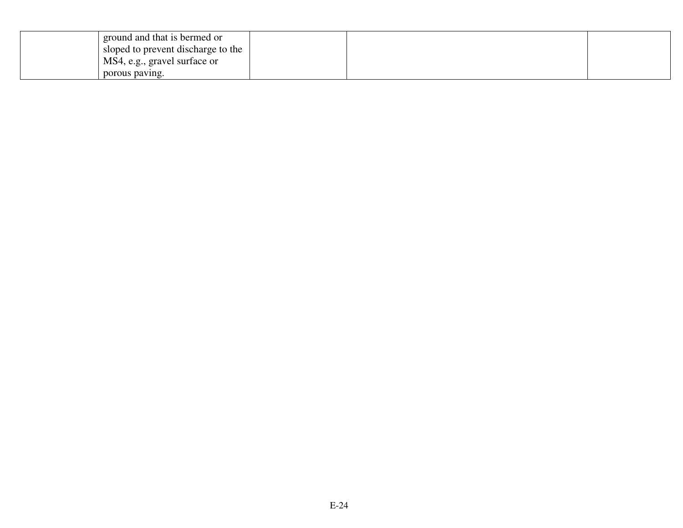| ground and that is bermed or       |  |  |
|------------------------------------|--|--|
| sloped to prevent discharge to the |  |  |
| MS4, e.g., gravel surface or       |  |  |
| porous paving.                     |  |  |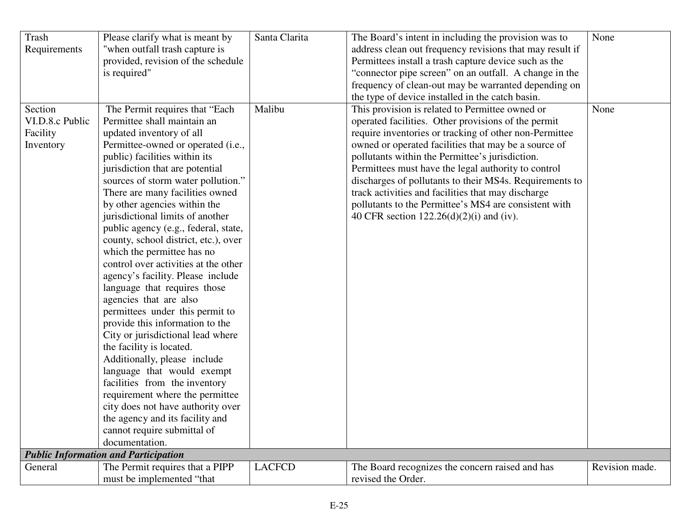| <b>Trash</b>    | Please clarify what is meant by             | Santa Clarita | The Board's intent in including the provision was to     | None           |
|-----------------|---------------------------------------------|---------------|----------------------------------------------------------|----------------|
| Requirements    | "when outfall trash capture is              |               | address clean out frequency revisions that may result if |                |
|                 | provided, revision of the schedule          |               | Permittees install a trash capture device such as the    |                |
|                 | is required"                                |               | "connector pipe screen" on an outfall. A change in the   |                |
|                 |                                             |               | frequency of clean-out may be warranted depending on     |                |
|                 |                                             |               | the type of device installed in the catch basin.         |                |
| Section         | The Permit requires that "Each              | Malibu        | This provision is related to Permittee owned or          | None           |
| VI.D.8.c Public | Permittee shall maintain an                 |               | operated facilities. Other provisions of the permit      |                |
| Facility        | updated inventory of all                    |               | require inventories or tracking of other non-Permittee   |                |
| Inventory       | Permittee-owned or operated (i.e.,          |               | owned or operated facilities that may be a source of     |                |
|                 | public) facilities within its               |               | pollutants within the Permittee's jurisdiction.          |                |
|                 | jurisdiction that are potential             |               | Permittees must have the legal authority to control      |                |
|                 | sources of storm water pollution."          |               | discharges of pollutants to their MS4s. Requirements to  |                |
|                 | There are many facilities owned             |               | track activities and facilities that may discharge       |                |
|                 | by other agencies within the                |               | pollutants to the Permittee's MS4 are consistent with    |                |
|                 | jurisdictional limits of another            |               | 40 CFR section $122.26(d)(2)(i)$ and (iv).               |                |
|                 | public agency (e.g., federal, state,        |               |                                                          |                |
|                 | county, school district, etc.), over        |               |                                                          |                |
|                 | which the permittee has no                  |               |                                                          |                |
|                 | control over activities at the other        |               |                                                          |                |
|                 | agency's facility. Please include           |               |                                                          |                |
|                 | language that requires those                |               |                                                          |                |
|                 | agencies that are also                      |               |                                                          |                |
|                 | permittees under this permit to             |               |                                                          |                |
|                 | provide this information to the             |               |                                                          |                |
|                 | City or jurisdictional lead where           |               |                                                          |                |
|                 | the facility is located.                    |               |                                                          |                |
|                 | Additionally, please include                |               |                                                          |                |
|                 | language that would exempt                  |               |                                                          |                |
|                 | facilities from the inventory               |               |                                                          |                |
|                 | requirement where the permittee             |               |                                                          |                |
|                 | city does not have authority over           |               |                                                          |                |
|                 | the agency and its facility and             |               |                                                          |                |
|                 | cannot require submittal of                 |               |                                                          |                |
|                 | documentation.                              |               |                                                          |                |
|                 | <b>Public Information and Participation</b> |               |                                                          |                |
| General         | The Permit requires that a PIPP             | <b>LACFCD</b> | The Board recognizes the concern raised and has          | Revision made. |
|                 | must be implemented "that                   |               | revised the Order.                                       |                |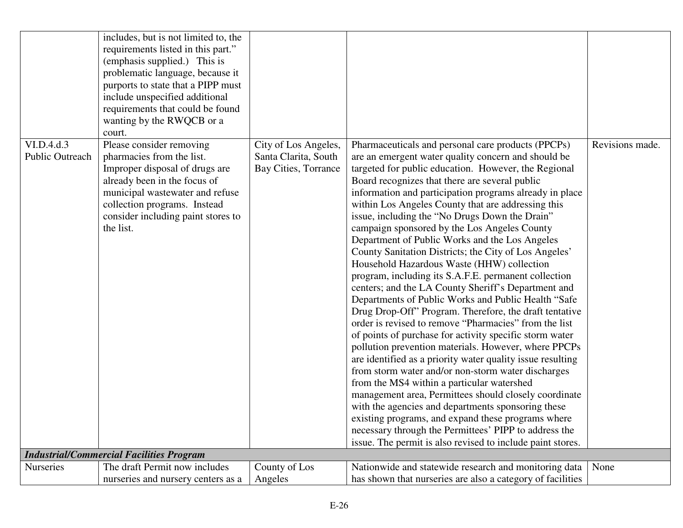|                                      | includes, but is not limited to, the<br>requirements listed in this part."<br>(emphasis supplied.) This is<br>problematic language, because it<br>purports to state that a PIPP must<br>include unspecified additional<br>requirements that could be found<br>wanting by the RWQCB or a<br>court. |                                                                      |                                                                                                                                                                                                                                                                                                                                                                                                                                                                                                                                                                                                                                                                                                                                                                                                                                                                                                                                                                                                                                                                                                                                                                                                                                                                                                                                                                                                                                                                           |                 |
|--------------------------------------|---------------------------------------------------------------------------------------------------------------------------------------------------------------------------------------------------------------------------------------------------------------------------------------------------|----------------------------------------------------------------------|---------------------------------------------------------------------------------------------------------------------------------------------------------------------------------------------------------------------------------------------------------------------------------------------------------------------------------------------------------------------------------------------------------------------------------------------------------------------------------------------------------------------------------------------------------------------------------------------------------------------------------------------------------------------------------------------------------------------------------------------------------------------------------------------------------------------------------------------------------------------------------------------------------------------------------------------------------------------------------------------------------------------------------------------------------------------------------------------------------------------------------------------------------------------------------------------------------------------------------------------------------------------------------------------------------------------------------------------------------------------------------------------------------------------------------------------------------------------------|-----------------|
| VI.D.4.d.3<br><b>Public Outreach</b> | Please consider removing<br>pharmacies from the list.<br>Improper disposal of drugs are<br>already been in the focus of<br>municipal wastewater and refuse<br>collection programs. Instead<br>consider including paint stores to<br>the list.                                                     | City of Los Angeles,<br>Santa Clarita, South<br>Bay Cities, Torrance | Pharmaceuticals and personal care products (PPCPs)<br>are an emergent water quality concern and should be<br>targeted for public education. However, the Regional<br>Board recognizes that there are several public<br>information and participation programs already in place<br>within Los Angeles County that are addressing this<br>issue, including the "No Drugs Down the Drain"<br>campaign sponsored by the Los Angeles County<br>Department of Public Works and the Los Angeles<br>County Sanitation Districts; the City of Los Angeles'<br>Household Hazardous Waste (HHW) collection<br>program, including its S.A.F.E. permanent collection<br>centers; and the LA County Sheriff's Department and<br>Departments of Public Works and Public Health "Safe<br>Drug Drop-Off" Program. Therefore, the draft tentative<br>order is revised to remove "Pharmacies" from the list<br>of points of purchase for activity specific storm water<br>pollution prevention materials. However, where PPCPs<br>are identified as a priority water quality issue resulting<br>from storm water and/or non-storm water discharges<br>from the MS4 within a particular watershed<br>management area, Permittees should closely coordinate<br>with the agencies and departments sponsoring these<br>existing programs, and expand these programs where<br>necessary through the Permittees' PIPP to address the<br>issue. The permit is also revised to include paint stores. | Revisions made. |
|                                      | <b>Industrial/Commercial Facilities Program</b>                                                                                                                                                                                                                                                   |                                                                      |                                                                                                                                                                                                                                                                                                                                                                                                                                                                                                                                                                                                                                                                                                                                                                                                                                                                                                                                                                                                                                                                                                                                                                                                                                                                                                                                                                                                                                                                           |                 |
| <b>Nurseries</b>                     | The draft Permit now includes<br>nurseries and nursery centers as a                                                                                                                                                                                                                               | County of Los<br>Angeles                                             | Nationwide and statewide research and monitoring data<br>has shown that nurseries are also a category of facilities                                                                                                                                                                                                                                                                                                                                                                                                                                                                                                                                                                                                                                                                                                                                                                                                                                                                                                                                                                                                                                                                                                                                                                                                                                                                                                                                                       | None            |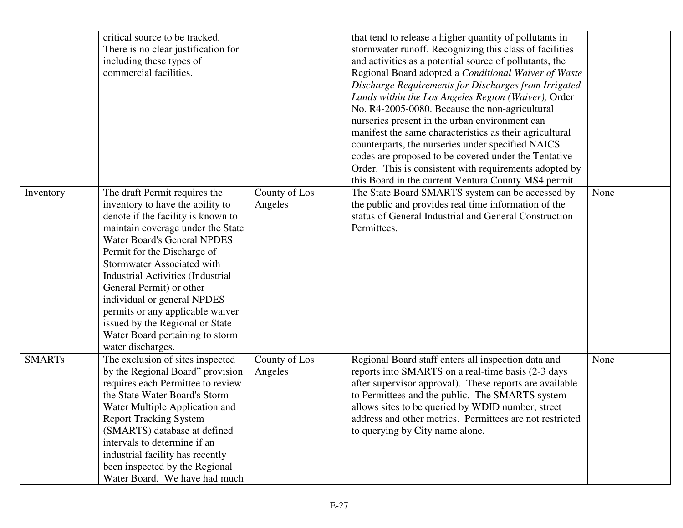|               | critical source to be tracked.           |               | that tend to release a higher quantity of pollutants in  |      |
|---------------|------------------------------------------|---------------|----------------------------------------------------------|------|
|               | There is no clear justification for      |               | stormwater runoff. Recognizing this class of facilities  |      |
|               | including these types of                 |               | and activities as a potential source of pollutants, the  |      |
|               | commercial facilities.                   |               |                                                          |      |
|               |                                          |               | Regional Board adopted a Conditional Waiver of Waste     |      |
|               |                                          |               | Discharge Requirements for Discharges from Irrigated     |      |
|               |                                          |               | Lands within the Los Angeles Region (Waiver), Order      |      |
|               |                                          |               | No. R4-2005-0080. Because the non-agricultural           |      |
|               |                                          |               | nurseries present in the urban environment can           |      |
|               |                                          |               | manifest the same characteristics as their agricultural  |      |
|               |                                          |               | counterparts, the nurseries under specified NAICS        |      |
|               |                                          |               | codes are proposed to be covered under the Tentative     |      |
|               |                                          |               | Order. This is consistent with requirements adopted by   |      |
|               |                                          |               | this Board in the current Ventura County MS4 permit.     |      |
| Inventory     | The draft Permit requires the            | County of Los | The State Board SMARTS system can be accessed by         | None |
|               | inventory to have the ability to         | Angeles       | the public and provides real time information of the     |      |
|               | denote if the facility is known to       |               | status of General Industrial and General Construction    |      |
|               | maintain coverage under the State        |               | Permittees.                                              |      |
|               | <b>Water Board's General NPDES</b>       |               |                                                          |      |
|               | Permit for the Discharge of              |               |                                                          |      |
|               | <b>Stormwater Associated with</b>        |               |                                                          |      |
|               | <b>Industrial Activities (Industrial</b> |               |                                                          |      |
|               | General Permit) or other                 |               |                                                          |      |
|               | individual or general NPDES              |               |                                                          |      |
|               | permits or any applicable waiver         |               |                                                          |      |
|               | issued by the Regional or State          |               |                                                          |      |
|               | Water Board pertaining to storm          |               |                                                          |      |
|               | water discharges.                        |               |                                                          |      |
| <b>SMARTs</b> | The exclusion of sites inspected         | County of Los | Regional Board staff enters all inspection data and      | None |
|               | by the Regional Board" provision         | Angeles       | reports into SMARTS on a real-time basis (2-3 days       |      |
|               | requires each Permittee to review        |               | after supervisor approval). These reports are available  |      |
|               | the State Water Board's Storm            |               | to Permittees and the public. The SMARTS system          |      |
|               | Water Multiple Application and           |               | allows sites to be queried by WDID number, street        |      |
|               | <b>Report Tracking System</b>            |               | address and other metrics. Permittees are not restricted |      |
|               | (SMARTS) database at defined             |               | to querying by City name alone.                          |      |
|               | intervals to determine if an             |               |                                                          |      |
|               | industrial facility has recently         |               |                                                          |      |
|               | been inspected by the Regional           |               |                                                          |      |
|               | Water Board. We have had much            |               |                                                          |      |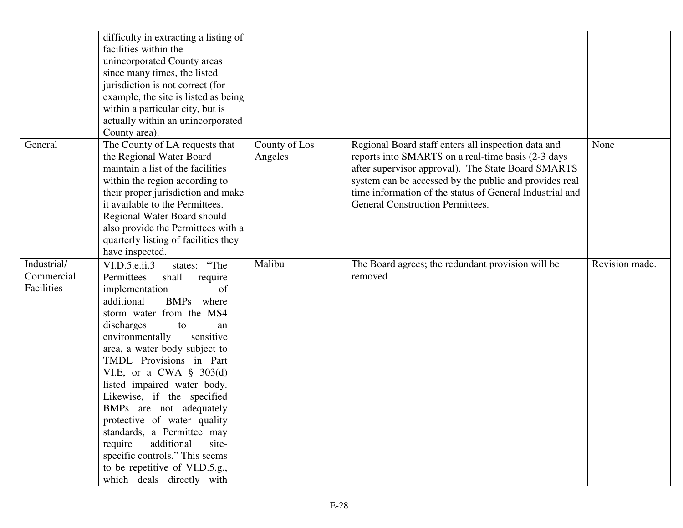|                                         | difficulty in extracting a listing of<br>facilities within the<br>unincorporated County areas<br>since many times, the listed<br>jurisdiction is not correct (for<br>example, the site is listed as being<br>within a particular city, but is<br>actually within an unincorporated<br>County area).                                                                                                                                                                                                                                                                                                   |                          |                                                                                                                                                                                                                                                                                                                                  |                |
|-----------------------------------------|-------------------------------------------------------------------------------------------------------------------------------------------------------------------------------------------------------------------------------------------------------------------------------------------------------------------------------------------------------------------------------------------------------------------------------------------------------------------------------------------------------------------------------------------------------------------------------------------------------|--------------------------|----------------------------------------------------------------------------------------------------------------------------------------------------------------------------------------------------------------------------------------------------------------------------------------------------------------------------------|----------------|
| General                                 | The County of LA requests that<br>the Regional Water Board<br>maintain a list of the facilities<br>within the region according to<br>their proper jurisdiction and make<br>it available to the Permittees.<br>Regional Water Board should<br>also provide the Permittees with a<br>quarterly listing of facilities they<br>have inspected.                                                                                                                                                                                                                                                            | County of Los<br>Angeles | Regional Board staff enters all inspection data and<br>reports into SMARTS on a real-time basis (2-3 days<br>after supervisor approval). The State Board SMARTS<br>system can be accessed by the public and provides real<br>time information of the status of General Industrial and<br><b>General Construction Permittees.</b> | None           |
| Industrial/<br>Commercial<br>Facilities | states: "The<br>VI.D.5.e.ii.3<br>Permittees<br>shall<br>require<br>of<br>implementation<br>additional<br><b>BMPs</b><br>where<br>storm water from the MS4<br>discharges<br>to<br>an<br>environmentally<br>sensitive<br>area, a water body subject to<br>TMDL Provisions in Part<br>VI.E, or a CWA $\S$ 303(d)<br>listed impaired water body.<br>Likewise, if the specified<br>BMPs are not adequately<br>protective of water quality<br>standards, a Permittee may<br>require<br>additional<br>site-<br>specific controls." This seems<br>to be repetitive of VI.D.5.g.,<br>which deals directly with | Malibu                   | The Board agrees; the redundant provision will be<br>removed                                                                                                                                                                                                                                                                     | Revision made. |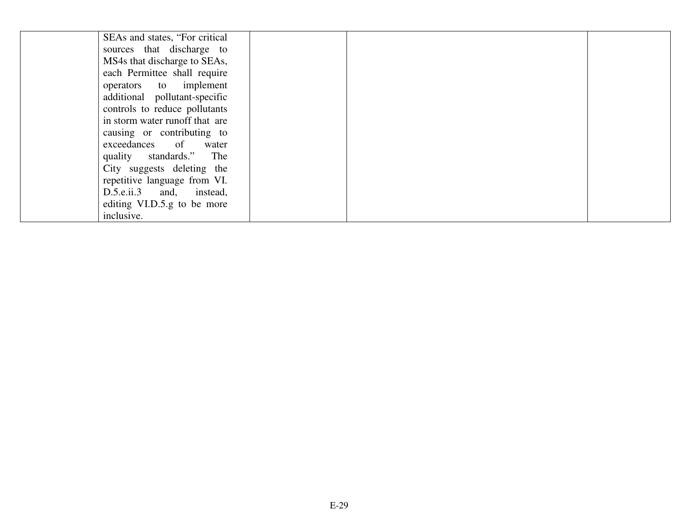| SEAs and states, "For critical" |  |  |
|---------------------------------|--|--|
| sources that discharge to       |  |  |
| MS4s that discharge to SEAs,    |  |  |
| each Permittee shall require    |  |  |
| operators to implement          |  |  |
| additional pollutant-specific   |  |  |
| controls to reduce pollutants   |  |  |
| in storm water runoff that are  |  |  |
| causing or contributing to      |  |  |
| exceedances of water            |  |  |
| quality standards." The         |  |  |
| City suggests deleting the      |  |  |
| repetitive language from VI.    |  |  |
| D.5.e.ii.3 and, instead,        |  |  |
| editing VI.D.5.g to be more     |  |  |
| inclusive.                      |  |  |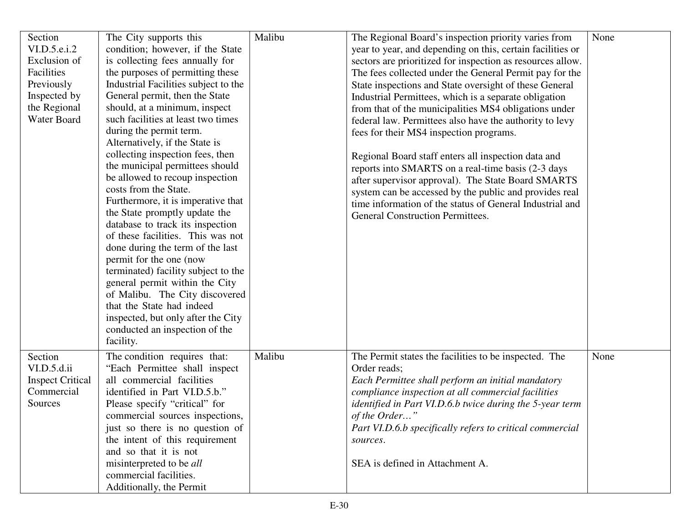| The Regional Board's inspection priority varies from<br>None                                                                                                                                                                                                                                                                                                                                                                                                                                                                                                                                         |
|------------------------------------------------------------------------------------------------------------------------------------------------------------------------------------------------------------------------------------------------------------------------------------------------------------------------------------------------------------------------------------------------------------------------------------------------------------------------------------------------------------------------------------------------------------------------------------------------------|
| year to year, and depending on this, certain facilities or                                                                                                                                                                                                                                                                                                                                                                                                                                                                                                                                           |
| sectors are prioritized for inspection as resources allow.                                                                                                                                                                                                                                                                                                                                                                                                                                                                                                                                           |
| The fees collected under the General Permit pay for the                                                                                                                                                                                                                                                                                                                                                                                                                                                                                                                                              |
| State inspections and State oversight of these General                                                                                                                                                                                                                                                                                                                                                                                                                                                                                                                                               |
|                                                                                                                                                                                                                                                                                                                                                                                                                                                                                                                                                                                                      |
|                                                                                                                                                                                                                                                                                                                                                                                                                                                                                                                                                                                                      |
|                                                                                                                                                                                                                                                                                                                                                                                                                                                                                                                                                                                                      |
|                                                                                                                                                                                                                                                                                                                                                                                                                                                                                                                                                                                                      |
|                                                                                                                                                                                                                                                                                                                                                                                                                                                                                                                                                                                                      |
|                                                                                                                                                                                                                                                                                                                                                                                                                                                                                                                                                                                                      |
|                                                                                                                                                                                                                                                                                                                                                                                                                                                                                                                                                                                                      |
|                                                                                                                                                                                                                                                                                                                                                                                                                                                                                                                                                                                                      |
|                                                                                                                                                                                                                                                                                                                                                                                                                                                                                                                                                                                                      |
|                                                                                                                                                                                                                                                                                                                                                                                                                                                                                                                                                                                                      |
|                                                                                                                                                                                                                                                                                                                                                                                                                                                                                                                                                                                                      |
|                                                                                                                                                                                                                                                                                                                                                                                                                                                                                                                                                                                                      |
|                                                                                                                                                                                                                                                                                                                                                                                                                                                                                                                                                                                                      |
|                                                                                                                                                                                                                                                                                                                                                                                                                                                                                                                                                                                                      |
|                                                                                                                                                                                                                                                                                                                                                                                                                                                                                                                                                                                                      |
|                                                                                                                                                                                                                                                                                                                                                                                                                                                                                                                                                                                                      |
|                                                                                                                                                                                                                                                                                                                                                                                                                                                                                                                                                                                                      |
|                                                                                                                                                                                                                                                                                                                                                                                                                                                                                                                                                                                                      |
|                                                                                                                                                                                                                                                                                                                                                                                                                                                                                                                                                                                                      |
|                                                                                                                                                                                                                                                                                                                                                                                                                                                                                                                                                                                                      |
|                                                                                                                                                                                                                                                                                                                                                                                                                                                                                                                                                                                                      |
|                                                                                                                                                                                                                                                                                                                                                                                                                                                                                                                                                                                                      |
|                                                                                                                                                                                                                                                                                                                                                                                                                                                                                                                                                                                                      |
|                                                                                                                                                                                                                                                                                                                                                                                                                                                                                                                                                                                                      |
|                                                                                                                                                                                                                                                                                                                                                                                                                                                                                                                                                                                                      |
|                                                                                                                                                                                                                                                                                                                                                                                                                                                                                                                                                                                                      |
|                                                                                                                                                                                                                                                                                                                                                                                                                                                                                                                                                                                                      |
|                                                                                                                                                                                                                                                                                                                                                                                                                                                                                                                                                                                                      |
|                                                                                                                                                                                                                                                                                                                                                                                                                                                                                                                                                                                                      |
|                                                                                                                                                                                                                                                                                                                                                                                                                                                                                                                                                                                                      |
|                                                                                                                                                                                                                                                                                                                                                                                                                                                                                                                                                                                                      |
|                                                                                                                                                                                                                                                                                                                                                                                                                                                                                                                                                                                                      |
|                                                                                                                                                                                                                                                                                                                                                                                                                                                                                                                                                                                                      |
|                                                                                                                                                                                                                                                                                                                                                                                                                                                                                                                                                                                                      |
| Industrial Permittees, which is a separate obligation<br>from that of the municipalities MS4 obligations under<br>federal law. Permittees also have the authority to levy<br>reports into SMARTS on a real-time basis (2-3 days<br>after supervisor approval). The State Board SMARTS<br>system can be accessed by the public and provides real<br>time information of the status of General Industrial and<br>The Permit states the facilities to be inspected. The<br>None<br>identified in Part VI.D.6.b twice during the 5-year term<br>Part VI.D.6.b specifically refers to critical commercial |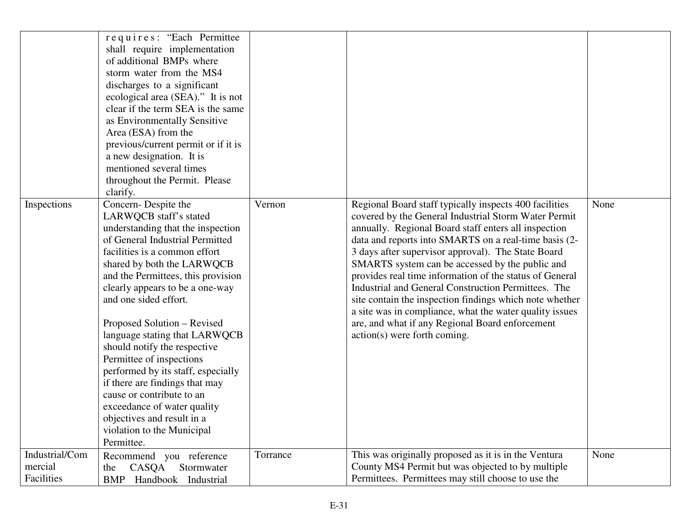|                                         | requires: "Each Permittee<br>shall require implementation<br>of additional BMPs where<br>storm water from the MS4<br>discharges to a significant<br>ecological area (SEA)." It is not<br>clear if the term SEA is the same<br>as Environmentally Sensitive<br>Area (ESA) from the<br>previous/current permit or if it is<br>a new designation. It is<br>mentioned several times<br>throughout the Permit. Please<br>clarify.                                                                                                                                                                                                     |          |                                                                                                                                                                                                                                                                                                                                                                                                                                                                                                                                                                                                                                                                     |      |
|-----------------------------------------|----------------------------------------------------------------------------------------------------------------------------------------------------------------------------------------------------------------------------------------------------------------------------------------------------------------------------------------------------------------------------------------------------------------------------------------------------------------------------------------------------------------------------------------------------------------------------------------------------------------------------------|----------|---------------------------------------------------------------------------------------------------------------------------------------------------------------------------------------------------------------------------------------------------------------------------------------------------------------------------------------------------------------------------------------------------------------------------------------------------------------------------------------------------------------------------------------------------------------------------------------------------------------------------------------------------------------------|------|
| Inspections                             | Concern-Despite the<br>LARWQCB staff's stated<br>understanding that the inspection<br>of General Industrial Permitted<br>facilities is a common effort<br>shared by both the LARWQCB<br>and the Permittees, this provision<br>clearly appears to be a one-way<br>and one sided effort.<br>Proposed Solution – Revised<br>language stating that LARWQCB<br>should notify the respective<br>Permittee of inspections<br>performed by its staff, especially<br>if there are findings that may<br>cause or contribute to an<br>exceedance of water quality<br>objectives and result in a<br>violation to the Municipal<br>Permittee. | Vernon   | Regional Board staff typically inspects 400 facilities<br>covered by the General Industrial Storm Water Permit<br>annually. Regional Board staff enters all inspection<br>data and reports into SMARTS on a real-time basis (2-<br>3 days after supervisor approval). The State Board<br>SMARTS system can be accessed by the public and<br>provides real time information of the status of General<br>Industrial and General Construction Permittees. The<br>site contain the inspection findings which note whether<br>a site was in compliance, what the water quality issues<br>are, and what if any Regional Board enforcement<br>action(s) were forth coming. | None |
| Industrial/Com<br>mercial<br>Facilities | Recommend you reference<br>Stormwater<br>CASQA<br>the<br>Handbook Industrial<br><b>BMP</b>                                                                                                                                                                                                                                                                                                                                                                                                                                                                                                                                       | Torrance | This was originally proposed as it is in the Ventura<br>County MS4 Permit but was objected to by multiple<br>Permittees. Permittees may still choose to use the                                                                                                                                                                                                                                                                                                                                                                                                                                                                                                     | None |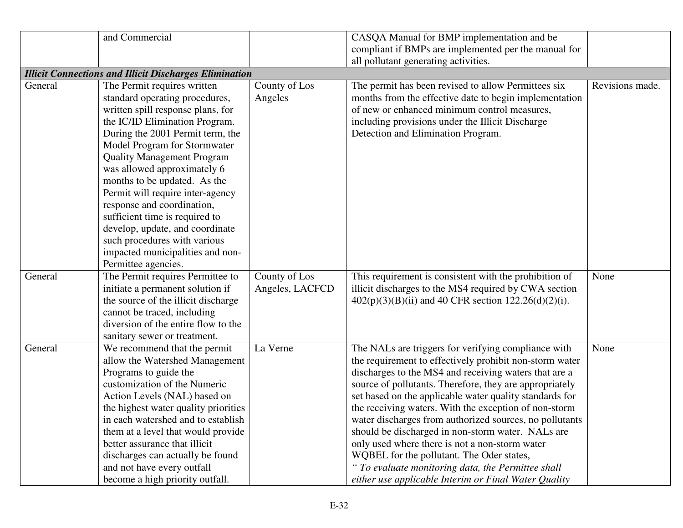|         | and Commercial                                                |                 | CASQA Manual for BMP implementation and be              |                 |
|---------|---------------------------------------------------------------|-----------------|---------------------------------------------------------|-----------------|
|         |                                                               |                 | compliant if BMPs are implemented per the manual for    |                 |
|         |                                                               |                 | all pollutant generating activities.                    |                 |
|         | <b>Illicit Connections and Illicit Discharges Elimination</b> |                 |                                                         |                 |
| General | The Permit requires written                                   | County of Los   | The permit has been revised to allow Permittees six     | Revisions made. |
|         | standard operating procedures,                                | Angeles         | months from the effective date to begin implementation  |                 |
|         | written spill response plans, for                             |                 | of new or enhanced minimum control measures,            |                 |
|         | the IC/ID Elimination Program.                                |                 | including provisions under the Illicit Discharge        |                 |
|         | During the 2001 Permit term, the                              |                 | Detection and Elimination Program.                      |                 |
|         | Model Program for Stormwater                                  |                 |                                                         |                 |
|         | <b>Quality Management Program</b>                             |                 |                                                         |                 |
|         | was allowed approximately 6                                   |                 |                                                         |                 |
|         | months to be updated. As the                                  |                 |                                                         |                 |
|         | Permit will require inter-agency                              |                 |                                                         |                 |
|         | response and coordination,                                    |                 |                                                         |                 |
|         | sufficient time is required to                                |                 |                                                         |                 |
|         | develop, update, and coordinate                               |                 |                                                         |                 |
|         | such procedures with various                                  |                 |                                                         |                 |
|         | impacted municipalities and non-                              |                 |                                                         |                 |
|         | Permittee agencies.                                           |                 |                                                         |                 |
| General | The Permit requires Permittee to                              | County of Los   | This requirement is consistent with the prohibition of  | None            |
|         | initiate a permanent solution if                              | Angeles, LACFCD | illicit discharges to the MS4 required by CWA section   |                 |
|         | the source of the illicit discharge                           |                 | $402(p)(3)(B)(ii)$ and 40 CFR section 122.26(d)(2)(i).  |                 |
|         | cannot be traced, including                                   |                 |                                                         |                 |
|         | diversion of the entire flow to the                           |                 |                                                         |                 |
|         | sanitary sewer or treatment.                                  |                 |                                                         |                 |
| General | We recommend that the permit                                  | La Verne        | The NALs are triggers for verifying compliance with     | None            |
|         | allow the Watershed Management                                |                 | the requirement to effectively prohibit non-storm water |                 |
|         | Programs to guide the                                         |                 | discharges to the MS4 and receiving waters that are a   |                 |
|         | customization of the Numeric                                  |                 | source of pollutants. Therefore, they are appropriately |                 |
|         | Action Levels (NAL) based on                                  |                 | set based on the applicable water quality standards for |                 |
|         | the highest water quality priorities                          |                 | the receiving waters. With the exception of non-storm   |                 |
|         | in each watershed and to establish                            |                 | water discharges from authorized sources, no pollutants |                 |
|         | them at a level that would provide                            |                 | should be discharged in non-storm water. NALs are       |                 |
|         | better assurance that illicit                                 |                 | only used where there is not a non-storm water          |                 |
|         | discharges can actually be found                              |                 | WQBEL for the pollutant. The Oder states,               |                 |
|         | and not have every outfall                                    |                 | " To evaluate monitoring data, the Permittee shall      |                 |
|         | become a high priority outfall.                               |                 | either use applicable Interim or Final Water Quality    |                 |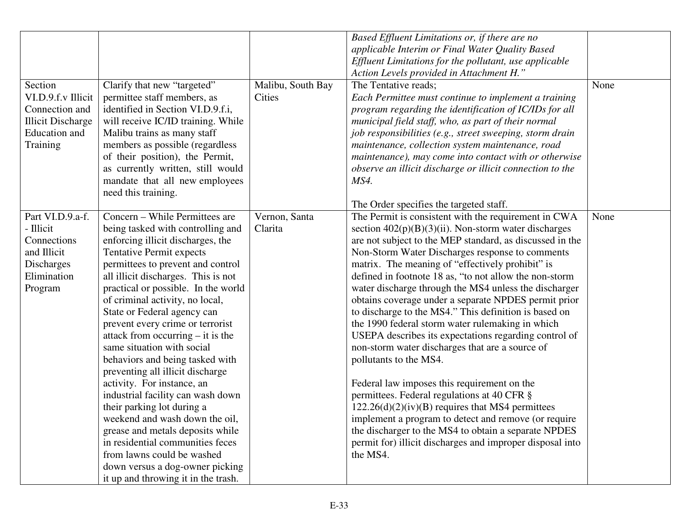|                           |                                                                      |                   | Based Effluent Limitations or, if there are no            |      |
|---------------------------|----------------------------------------------------------------------|-------------------|-----------------------------------------------------------|------|
|                           |                                                                      |                   | applicable Interim or Final Water Quality Based           |      |
|                           |                                                                      |                   | Effluent Limitations for the pollutant, use applicable    |      |
|                           |                                                                      |                   | Action Levels provided in Attachment H."                  |      |
| Section                   | Clarify that new "targeted"                                          | Malibu, South Bay | The Tentative reads;                                      | None |
| VI.D.9.f.v Illicit        | permittee staff members, as                                          | Cities            | Each Permittee must continue to implement a training      |      |
| Connection and            | identified in Section VI.D.9.f.i,                                    |                   | program regarding the identification of IC/IDs for all    |      |
| <b>Illicit Discharge</b>  | will receive IC/ID training. While                                   |                   | municipal field staff, who, as part of their normal       |      |
| Education and             | Malibu trains as many staff                                          |                   | job responsibilities (e.g., street sweeping, storm drain  |      |
| Training                  | members as possible (regardless                                      |                   | maintenance, collection system maintenance, road          |      |
|                           | of their position), the Permit,                                      |                   | maintenance), may come into contact with or otherwise     |      |
|                           | as currently written, still would                                    |                   | observe an illicit discharge or illicit connection to the |      |
|                           | mandate that all new employees                                       |                   | MS4.                                                      |      |
|                           | need this training.                                                  |                   |                                                           |      |
|                           |                                                                      |                   | The Order specifies the targeted staff.                   |      |
| Part VI.D.9.a-f.          | Concern – While Permittees are                                       | Vernon, Santa     | The Permit is consistent with the requirement in CWA      | None |
| - Illicit                 | being tasked with controlling and                                    | Clarita           | section $402(p)(B)(3)(ii)$ . Non-storm water discharges   |      |
| Connections               |                                                                      |                   |                                                           |      |
| and Illicit               | enforcing illicit discharges, the<br><b>Tentative Permit expects</b> |                   | are not subject to the MEP standard, as discussed in the  |      |
|                           |                                                                      |                   | Non-Storm Water Discharges response to comments           |      |
| Discharges<br>Elimination | permittees to prevent and control                                    |                   | matrix. The meaning of "effectively prohibit" is          |      |
|                           | all illicit discharges. This is not                                  |                   | defined in footnote 18 as, "to not allow the non-storm    |      |
| Program                   | practical or possible. In the world                                  |                   | water discharge through the MS4 unless the discharger     |      |
|                           | of criminal activity, no local,                                      |                   | obtains coverage under a separate NPDES permit prior      |      |
|                           | State or Federal agency can                                          |                   | to discharge to the MS4." This definition is based on     |      |
|                           | prevent every crime or terrorist                                     |                   | the 1990 federal storm water rulemaking in which          |      |
|                           | attack from occurring $-$ it is the                                  |                   | USEPA describes its expectations regarding control of     |      |
|                           | same situation with social                                           |                   | non-storm water discharges that are a source of           |      |
|                           | behaviors and being tasked with                                      |                   | pollutants to the MS4.                                    |      |
|                           | preventing all illicit discharge                                     |                   |                                                           |      |
|                           | activity. For instance, an                                           |                   | Federal law imposes this requirement on the               |      |
|                           | industrial facility can wash down                                    |                   | permittees. Federal regulations at 40 CFR §               |      |
|                           | their parking lot during a                                           |                   | $122.26(d)(2)(iv)(B)$ requires that MS4 permittees        |      |
|                           | weekend and wash down the oil,                                       |                   | implement a program to detect and remove (or require      |      |
|                           | grease and metals deposits while                                     |                   | the discharger to the MS4 to obtain a separate NPDES      |      |
|                           | in residential communities feces                                     |                   | permit for) illicit discharges and improper disposal into |      |
|                           | from lawns could be washed                                           |                   | the MS4.                                                  |      |
|                           | down versus a dog-owner picking                                      |                   |                                                           |      |
|                           | it up and throwing it in the trash.                                  |                   |                                                           |      |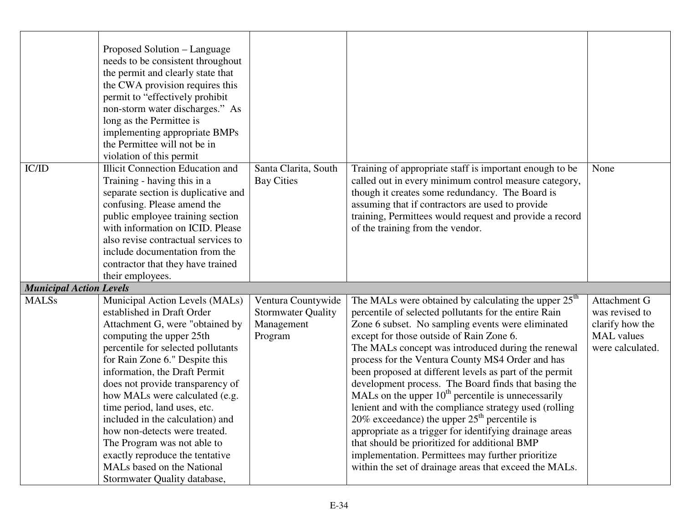|                                | Proposed Solution – Language<br>needs to be consistent throughout<br>the permit and clearly state that<br>the CWA provision requires this<br>permit to "effectively prohibit<br>non-storm water discharges." As<br>long as the Permittee is<br>implementing appropriate BMPs<br>the Permittee will not be in<br>violation of this permit                                                                                                                                                                                                        |                                                                          |                                                                                                                                                                                                                                                                                                                                                                                                                                                                                                                                                                                                                                                                                                                                                                                                                                                         |                                                                                            |
|--------------------------------|-------------------------------------------------------------------------------------------------------------------------------------------------------------------------------------------------------------------------------------------------------------------------------------------------------------------------------------------------------------------------------------------------------------------------------------------------------------------------------------------------------------------------------------------------|--------------------------------------------------------------------------|---------------------------------------------------------------------------------------------------------------------------------------------------------------------------------------------------------------------------------------------------------------------------------------------------------------------------------------------------------------------------------------------------------------------------------------------------------------------------------------------------------------------------------------------------------------------------------------------------------------------------------------------------------------------------------------------------------------------------------------------------------------------------------------------------------------------------------------------------------|--------------------------------------------------------------------------------------------|
| IC/ID                          | <b>Illicit Connection Education and</b><br>Training - having this in a<br>separate section is duplicative and<br>confusing. Please amend the<br>public employee training section<br>with information on ICID. Please<br>also revise contractual services to<br>include documentation from the<br>contractor that they have trained<br>their employees.                                                                                                                                                                                          | Santa Clarita, South<br><b>Bay Cities</b>                                | Training of appropriate staff is important enough to be<br>called out in every minimum control measure category,<br>though it creates some redundancy. The Board is<br>assuming that if contractors are used to provide<br>training, Permittees would request and provide a record<br>of the training from the vendor.                                                                                                                                                                                                                                                                                                                                                                                                                                                                                                                                  | None                                                                                       |
| <b>Municipal Action Levels</b> |                                                                                                                                                                                                                                                                                                                                                                                                                                                                                                                                                 |                                                                          |                                                                                                                                                                                                                                                                                                                                                                                                                                                                                                                                                                                                                                                                                                                                                                                                                                                         |                                                                                            |
| <b>MALSs</b>                   | Municipal Action Levels (MALs)<br>established in Draft Order<br>Attachment G, were "obtained by<br>computing the upper 25th<br>percentile for selected pollutants<br>for Rain Zone 6." Despite this<br>information, the Draft Permit<br>does not provide transparency of<br>how MALs were calculated (e.g.<br>time period, land uses, etc.<br>included in the calculation) and<br>how non-detects were treated.<br>The Program was not able to<br>exactly reproduce the tentative<br>MALs based on the National<br>Stormwater Quality database, | Ventura Countywide<br><b>Stormwater Quality</b><br>Management<br>Program | The MALs were obtained by calculating the upper 25 <sup>th</sup><br>percentile of selected pollutants for the entire Rain<br>Zone 6 subset. No sampling events were eliminated<br>except for those outside of Rain Zone 6.<br>The MALs concept was introduced during the renewal<br>process for the Ventura County MS4 Order and has<br>been proposed at different levels as part of the permit<br>development process. The Board finds that basing the<br>MALs on the upper $10th$ percentile is unnecessarily<br>lenient and with the compliance strategy used (rolling)<br>20% exceedance) the upper $25th$ percentile is<br>appropriate as a trigger for identifying drainage areas<br>that should be prioritized for additional BMP<br>implementation. Permittees may further prioritize<br>within the set of drainage areas that exceed the MALs. | Attachment G<br>was revised to<br>clarify how the<br><b>MAL</b> values<br>were calculated. |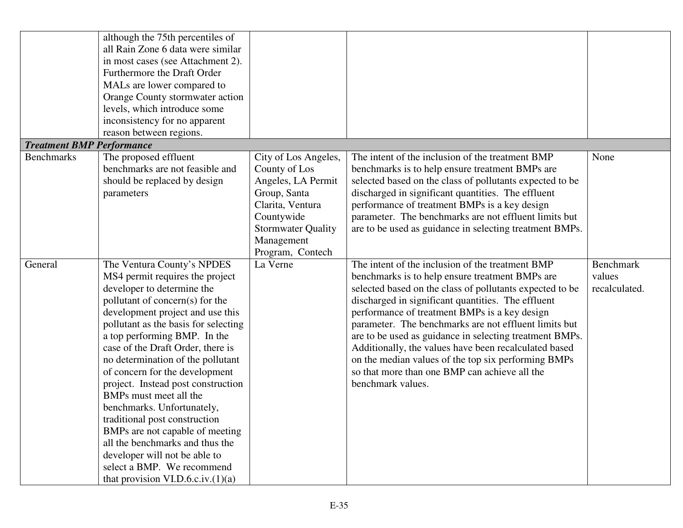|                                  | although the 75th percentiles of<br>all Rain Zone 6 data were similar<br>in most cases (see Attachment 2).<br>Furthermore the Draft Order<br>MALs are lower compared to<br>Orange County stormwater action<br>levels, which introduce some                                                                                                                                                                                                                                                                                                                                                                                                                         |                                                                                                                                                                              |                                                                                                                                                                                                                                                                                                                                                                                                                                                                                                                                                                                  |                                             |
|----------------------------------|--------------------------------------------------------------------------------------------------------------------------------------------------------------------------------------------------------------------------------------------------------------------------------------------------------------------------------------------------------------------------------------------------------------------------------------------------------------------------------------------------------------------------------------------------------------------------------------------------------------------------------------------------------------------|------------------------------------------------------------------------------------------------------------------------------------------------------------------------------|----------------------------------------------------------------------------------------------------------------------------------------------------------------------------------------------------------------------------------------------------------------------------------------------------------------------------------------------------------------------------------------------------------------------------------------------------------------------------------------------------------------------------------------------------------------------------------|---------------------------------------------|
|                                  | inconsistency for no apparent<br>reason between regions.                                                                                                                                                                                                                                                                                                                                                                                                                                                                                                                                                                                                           |                                                                                                                                                                              |                                                                                                                                                                                                                                                                                                                                                                                                                                                                                                                                                                                  |                                             |
| <b>Treatment BMP Performance</b> |                                                                                                                                                                                                                                                                                                                                                                                                                                                                                                                                                                                                                                                                    |                                                                                                                                                                              |                                                                                                                                                                                                                                                                                                                                                                                                                                                                                                                                                                                  |                                             |
| <b>Benchmarks</b>                | The proposed effluent<br>benchmarks are not feasible and<br>should be replaced by design<br>parameters                                                                                                                                                                                                                                                                                                                                                                                                                                                                                                                                                             | City of Los Angeles,<br>County of Los<br>Angeles, LA Permit<br>Group, Santa<br>Clarita, Ventura<br>Countywide<br><b>Stormwater Quality</b><br>Management<br>Program, Contech | The intent of the inclusion of the treatment BMP<br>benchmarks is to help ensure treatment BMPs are<br>selected based on the class of pollutants expected to be<br>discharged in significant quantities. The effluent<br>performance of treatment BMPs is a key design<br>parameter. The benchmarks are not effluent limits but<br>are to be used as guidance in selecting treatment BMPs.                                                                                                                                                                                       | None                                        |
| General                          | The Ventura County's NPDES<br>MS4 permit requires the project<br>developer to determine the<br>pollutant of concern(s) for the<br>development project and use this<br>pollutant as the basis for selecting<br>a top performing BMP. In the<br>case of the Draft Order, there is<br>no determination of the pollutant<br>of concern for the development<br>project. Instead post construction<br>BMPs must meet all the<br>benchmarks. Unfortunately,<br>traditional post construction<br>BMPs are not capable of meeting<br>all the benchmarks and thus the<br>developer will not be able to<br>select a BMP. We recommend<br>that provision VI.D.6.c.iv. $(1)(a)$ | La Verne                                                                                                                                                                     | The intent of the inclusion of the treatment BMP<br>benchmarks is to help ensure treatment BMPs are<br>selected based on the class of pollutants expected to be<br>discharged in significant quantities. The effluent<br>performance of treatment BMPs is a key design<br>parameter. The benchmarks are not effluent limits but<br>are to be used as guidance in selecting treatment BMPs.<br>Additionally, the values have been recalculated based<br>on the median values of the top six performing BMPs<br>so that more than one BMP can achieve all the<br>benchmark values. | <b>Benchmark</b><br>values<br>recalculated. |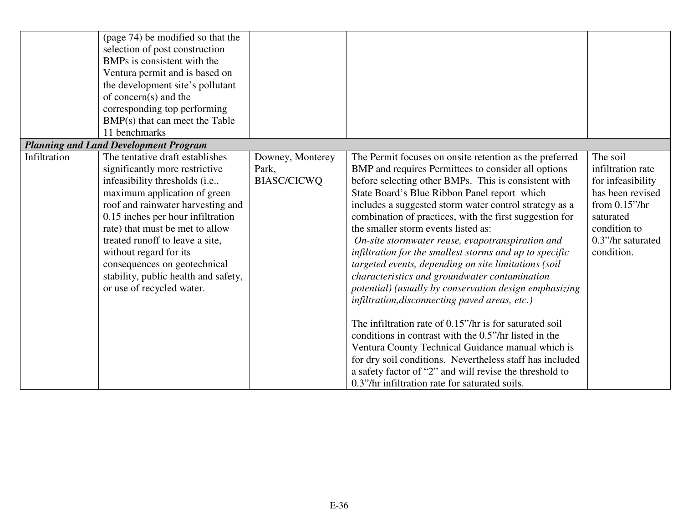|              | (page 74) be modified so that the<br>selection of post construction<br>BMPs is consistent with the<br>Ventura permit and is based on<br>the development site's pollutant<br>of concern(s) and the<br>corresponding top performing<br>BMP(s) that can meet the Table<br>11 benchmarks                                                                                                                                |                                                 |                                                                                                                                                                                                                                                                                                                                                                                                                                                                                                                                                                                                                                                                                                                        |                                                                                                                                                            |
|--------------|---------------------------------------------------------------------------------------------------------------------------------------------------------------------------------------------------------------------------------------------------------------------------------------------------------------------------------------------------------------------------------------------------------------------|-------------------------------------------------|------------------------------------------------------------------------------------------------------------------------------------------------------------------------------------------------------------------------------------------------------------------------------------------------------------------------------------------------------------------------------------------------------------------------------------------------------------------------------------------------------------------------------------------------------------------------------------------------------------------------------------------------------------------------------------------------------------------------|------------------------------------------------------------------------------------------------------------------------------------------------------------|
|              | <b>Planning and Land Development Program</b>                                                                                                                                                                                                                                                                                                                                                                        |                                                 |                                                                                                                                                                                                                                                                                                                                                                                                                                                                                                                                                                                                                                                                                                                        |                                                                                                                                                            |
| Infiltration | The tentative draft establishes<br>significantly more restrictive<br>infeasibility thresholds (i.e.,<br>maximum application of green<br>roof and rainwater harvesting and<br>0.15 inches per hour infiltration<br>rate) that must be met to allow<br>treated runoff to leave a site,<br>without regard for its<br>consequences on geotechnical<br>stability, public health and safety,<br>or use of recycled water. | Downey, Monterey<br>Park,<br><b>BIASC/CICWQ</b> | The Permit focuses on onsite retention as the preferred<br>BMP and requires Permittees to consider all options<br>before selecting other BMPs. This is consistent with<br>State Board's Blue Ribbon Panel report which<br>includes a suggested storm water control strategy as a<br>combination of practices, with the first suggestion for<br>the smaller storm events listed as:<br>On-site stormwater reuse, evapotranspiration and<br>infiltration for the smallest storms and up to specific<br>targeted events, depending on site limitations (soil<br>characteristics and groundwater contamination<br>potential) (usually by conservation design emphasizing<br>infiltration, disconnecting paved areas, etc.) | The soil<br>infiltration rate<br>for infeasibility<br>has been revised<br>from $0.15$ "/hr<br>saturated<br>condition to<br>0.3"/hr saturated<br>condition. |
|              |                                                                                                                                                                                                                                                                                                                                                                                                                     |                                                 | The infiltration rate of 0.15"/hr is for saturated soil<br>conditions in contrast with the 0.5"/hr listed in the<br>Ventura County Technical Guidance manual which is<br>for dry soil conditions. Nevertheless staff has included<br>a safety factor of "2" and will revise the threshold to<br>0.3"/hr infiltration rate for saturated soils.                                                                                                                                                                                                                                                                                                                                                                         |                                                                                                                                                            |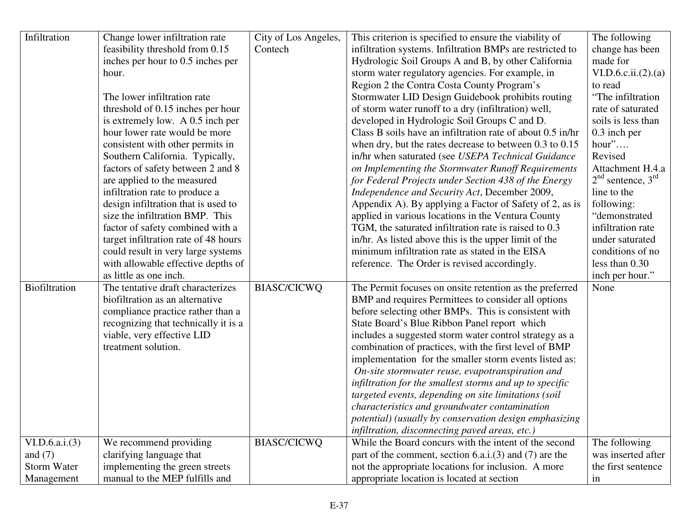| Infiltration         | Change lower infiltration rate       | City of Los Angeles, | This criterion is specified to ensure the viability of     | The following         |
|----------------------|--------------------------------------|----------------------|------------------------------------------------------------|-----------------------|
|                      | feasibility threshold from 0.15      | Contech              | infiltration systems. Infiltration BMPs are restricted to  | change has been       |
|                      | inches per hour to 0.5 inches per    |                      | Hydrologic Soil Groups A and B, by other California        | made for              |
|                      | hour.                                |                      | storm water regulatory agencies. For example, in           | VI.D.6.c.ii.(2).(a)   |
|                      |                                      |                      | Region 2 the Contra Costa County Program's                 | to read               |
|                      | The lower infiltration rate          |                      | Stormwater LID Design Guidebook prohibits routing          | "The infiltration     |
|                      | threshold of 0.15 inches per hour    |                      | of storm water runoff to a dry (infiltration) well,        | rate of saturated     |
|                      | is extremely low. A 0.5 inch per     |                      | developed in Hydrologic Soil Groups C and D.               | soils is less than    |
|                      | hour lower rate would be more        |                      | Class B soils have an infiltration rate of about 0.5 in/hr | 0.3 inch per          |
|                      | consistent with other permits in     |                      | when dry, but the rates decrease to between 0.3 to 0.15    | hour"                 |
|                      | Southern California. Typically,      |                      | in/hr when saturated (see USEPA Technical Guidance         | Revised               |
|                      | factors of safety between 2 and 8    |                      | on Implementing the Stormwater Runoff Requirements         | Attachment H.4.a      |
|                      | are applied to the measured          |                      | for Federal Projects under Section 438 of the Energy       | $2nd$ sentence, $3rd$ |
|                      | infiltration rate to produce a       |                      | Independence and Security Act, December 2009,              | line to the           |
|                      | design infiltration that is used to  |                      | Appendix A). By applying a Factor of Safety of 2, as is    | following:            |
|                      | size the infiltration BMP. This      |                      | applied in various locations in the Ventura County         | "demonstrated         |
|                      | factor of safety combined with a     |                      | TGM, the saturated infiltration rate is raised to 0.3      | infiltration rate     |
|                      | target infiltration rate of 48 hours |                      | in/hr. As listed above this is the upper limit of the      | under saturated       |
|                      | could result in very large systems   |                      | minimum infiltration rate as stated in the EISA            | conditions of no      |
|                      | with allowable effective depths of   |                      | reference. The Order is revised accordingly.               | less than 0.30        |
|                      | as little as one inch.               |                      |                                                            | inch per hour."       |
| <b>Biofiltration</b> | The tentative draft characterizes    | <b>BIASC/CICWQ</b>   | The Permit focuses on onsite retention as the preferred    | None                  |
|                      | biofiltration as an alternative      |                      | BMP and requires Permittees to consider all options        |                       |
|                      | compliance practice rather than a    |                      | before selecting other BMPs. This is consistent with       |                       |
|                      | recognizing that technically it is a |                      | State Board's Blue Ribbon Panel report which               |                       |
|                      | viable, very effective LID           |                      | includes a suggested storm water control strategy as a     |                       |
|                      | treatment solution.                  |                      | combination of practices, with the first level of BMP      |                       |
|                      |                                      |                      | implementation for the smaller storm events listed as:     |                       |
|                      |                                      |                      | On-site stormwater reuse, evapotranspiration and           |                       |
|                      |                                      |                      | infiltration for the smallest storms and up to specific    |                       |
|                      |                                      |                      | targeted events, depending on site limitations (soil       |                       |
|                      |                                      |                      | characteristics and groundwater contamination              |                       |
|                      |                                      |                      | potential) (usually by conservation design emphasizing     |                       |
|                      |                                      |                      | infiltration, disconnecting paved areas, etc.)             |                       |
| VI.D. 6.a.i. (3)     | We recommend providing               | <b>BIASC/CICWQ</b>   | While the Board concurs with the intent of the second      | The following         |
| and $(7)$            | clarifying language that             |                      | part of the comment, section $6.a.i.(3)$ and $(7)$ are the | was inserted after    |
| <b>Storm Water</b>   | implementing the green streets       |                      | not the appropriate locations for inclusion. A more        | the first sentence    |
| Management           | manual to the MEP fulfills and       |                      | appropriate location is located at section                 | in                    |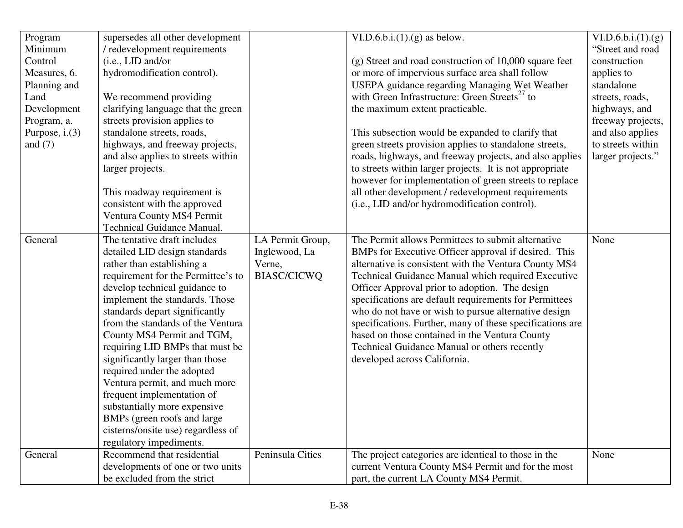| Program<br>Minimum<br>Control<br>Measures, 6.<br>Planning and<br>Land<br>Development<br>Program, a.<br>Purpose, $i.(3)$<br>and $(7)$ | supersedes all other development<br>/ redevelopment requirements<br>(i.e., LID and/or<br>hydromodification control).<br>We recommend providing<br>clarifying language that the green<br>streets provision applies to<br>standalone streets, roads,<br>highways, and freeway projects,<br>and also applies to streets within<br>larger projects.<br>This roadway requirement is<br>consistent with the approved<br>Ventura County MS4 Permit<br><b>Technical Guidance Manual.</b> |                                                                   | VI.D.6.b.i. $(1)$ . $(g)$ as below.<br>$(g)$ Street and road construction of 10,000 square feet<br>or more of impervious surface area shall follow<br>USEPA guidance regarding Managing Wet Weather<br>with Green Infrastructure: Green Streets <sup>27</sup> to<br>the maximum extent practicable.<br>This subsection would be expanded to clarify that<br>green streets provision applies to standalone streets,<br>roads, highways, and freeway projects, and also applies<br>to streets within larger projects. It is not appropriate<br>however for implementation of green streets to replace<br>all other development / redevelopment requirements<br>(i.e., LID and/or hydromodification control). | VI.D.6.b.i.(1).(g)<br>"Street and road<br>construction<br>applies to<br>standalone<br>streets, roads,<br>highways, and<br>freeway projects,<br>and also applies<br>to streets within<br>larger projects." |
|--------------------------------------------------------------------------------------------------------------------------------------|----------------------------------------------------------------------------------------------------------------------------------------------------------------------------------------------------------------------------------------------------------------------------------------------------------------------------------------------------------------------------------------------------------------------------------------------------------------------------------|-------------------------------------------------------------------|------------------------------------------------------------------------------------------------------------------------------------------------------------------------------------------------------------------------------------------------------------------------------------------------------------------------------------------------------------------------------------------------------------------------------------------------------------------------------------------------------------------------------------------------------------------------------------------------------------------------------------------------------------------------------------------------------------|-----------------------------------------------------------------------------------------------------------------------------------------------------------------------------------------------------------|
| General                                                                                                                              | The tentative draft includes<br>detailed LID design standards<br>rather than establishing a<br>requirement for the Permittee's to<br>develop technical guidance to<br>implement the standards. Those<br>standards depart significantly<br>from the standards of the Ventura<br>County MS4 Permit and TGM,<br>requiring LID BMPs that must be                                                                                                                                     | LA Permit Group,<br>Inglewood, La<br>Verne,<br><b>BIASC/CICWQ</b> | The Permit allows Permittees to submit alternative<br>BMPs for Executive Officer approval if desired. This<br>alternative is consistent with the Ventura County MS4<br>Technical Guidance Manual which required Executive<br>Officer Approval prior to adoption. The design<br>specifications are default requirements for Permittees<br>who do not have or wish to pursue alternative design<br>specifications. Further, many of these specifications are<br>based on those contained in the Ventura County<br>Technical Guidance Manual or others recently                                                                                                                                               | None                                                                                                                                                                                                      |
|                                                                                                                                      | significantly larger than those<br>required under the adopted<br>Ventura permit, and much more<br>frequent implementation of<br>substantially more expensive<br>BMPs (green roofs and large)<br>cisterns/onsite use) regardless of<br>regulatory impediments.                                                                                                                                                                                                                    |                                                                   | developed across California.                                                                                                                                                                                                                                                                                                                                                                                                                                                                                                                                                                                                                                                                               |                                                                                                                                                                                                           |
| General                                                                                                                              | Recommend that residential<br>developments of one or two units<br>be excluded from the strict                                                                                                                                                                                                                                                                                                                                                                                    | Peninsula Cities                                                  | The project categories are identical to those in the<br>current Ventura County MS4 Permit and for the most<br>part, the current LA County MS4 Permit.                                                                                                                                                                                                                                                                                                                                                                                                                                                                                                                                                      | None                                                                                                                                                                                                      |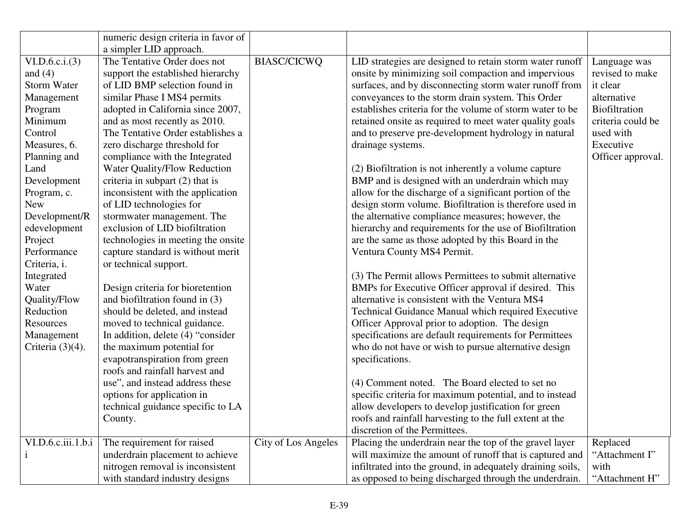|                     | numeric design criteria in favor of |                     |                                                            |                   |
|---------------------|-------------------------------------|---------------------|------------------------------------------------------------|-------------------|
|                     | a simpler LID approach.             |                     |                                                            |                   |
| VI.D.6.c.i. (3)     | The Tentative Order does not        | <b>BIASC/CICWQ</b>  | LID strategies are designed to retain storm water runoff   | Language was      |
| and $(4)$           | support the established hierarchy   |                     | onsite by minimizing soil compaction and impervious        | revised to make   |
| <b>Storm Water</b>  | of LID BMP selection found in       |                     | surfaces, and by disconnecting storm water runoff from     | it clear          |
| Management          | similar Phase I MS4 permits         |                     | conveyances to the storm drain system. This Order          | alternative       |
| Program             | adopted in California since 2007,   |                     | establishes criteria for the volume of storm water to be   | Biofiltration     |
| Minimum             | and as most recently as 2010.       |                     | retained onsite as required to meet water quality goals    | criteria could be |
| Control             | The Tentative Order establishes a   |                     | and to preserve pre-development hydrology in natural       | used with         |
| Measures, 6.        | zero discharge threshold for        |                     | drainage systems.                                          | Executive         |
| Planning and        | compliance with the Integrated      |                     |                                                            | Officer approval. |
| Land                | Water Quality/Flow Reduction        |                     | (2) Biofiltration is not inherently a volume capture       |                   |
| Development         | criteria in subpart $(2)$ that is   |                     | BMP and is designed with an underdrain which may           |                   |
| Program, c.         | inconsistent with the application   |                     | allow for the discharge of a significant portion of the    |                   |
| <b>New</b>          | of LID technologies for             |                     | design storm volume. Biofiltration is therefore used in    |                   |
| Development/R       | stormwater management. The          |                     | the alternative compliance measures; however, the          |                   |
| edevelopment        | exclusion of LID biofiltration      |                     | hierarchy and requirements for the use of Biofiltration    |                   |
| Project             | technologies in meeting the onsite  |                     | are the same as those adopted by this Board in the         |                   |
| Performance         | capture standard is without merit   |                     | Ventura County MS4 Permit.                                 |                   |
| Criteria, i.        | or technical support.               |                     |                                                            |                   |
| Integrated          |                                     |                     | (3) The Permit allows Permittees to submit alternative     |                   |
| Water               | Design criteria for bioretention    |                     | BMPs for Executive Officer approval if desired. This       |                   |
| Quality/Flow        | and biofiltration found in $(3)$    |                     | alternative is consistent with the Ventura MS4             |                   |
| Reduction           | should be deleted, and instead      |                     | Technical Guidance Manual which required Executive         |                   |
| Resources           | moved to technical guidance.        |                     | Officer Approval prior to adoption. The design             |                   |
| Management          | In addition, delete (4) "consider   |                     | specifications are default requirements for Permittees     |                   |
| Criteria $(3)(4)$ . | the maximum potential for           |                     | who do not have or wish to pursue alternative design       |                   |
|                     | evapotranspiration from green       |                     | specifications.                                            |                   |
|                     | roofs and rainfall harvest and      |                     |                                                            |                   |
|                     | use", and instead address these     |                     | (4) Comment noted. The Board elected to set no             |                   |
|                     | options for application in          |                     | specific criteria for maximum potential, and to instead    |                   |
|                     | technical guidance specific to LA   |                     | allow developers to develop justification for green        |                   |
|                     | County.                             |                     | roofs and rainfall harvesting to the full extent at the    |                   |
|                     |                                     |                     | discretion of the Permittees.                              |                   |
| VI.D.6.c.iii.1.b.i  | The requirement for raised          | City of Los Angeles | Placing the underdrain near the top of the gravel layer    | Replaced          |
|                     | underdrain placement to achieve     |                     | will maximize the amount of runoff that is captured and    | "Attachment I"    |
|                     | nitrogen removal is inconsistent    |                     | infiltrated into the ground, in adequately draining soils, | with              |
|                     | with standard industry designs      |                     | as opposed to being discharged through the underdrain.     | "Attachment H"    |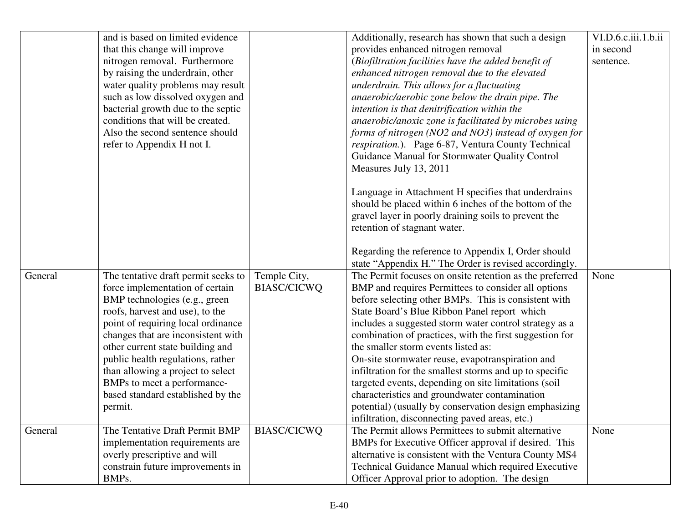|         | and is based on limited evidence    |                    | Additionally, research has shown that such a design     | VI.D.6.c.iii.1.b.ii |
|---------|-------------------------------------|--------------------|---------------------------------------------------------|---------------------|
|         | that this change will improve       |                    | provides enhanced nitrogen removal                      | in second           |
|         | nitrogen removal. Furthermore       |                    | (Biofiltration facilities have the added benefit of     | sentence.           |
|         | by raising the underdrain, other    |                    | enhanced nitrogen removal due to the elevated           |                     |
|         | water quality problems may result   |                    | underdrain. This allows for a fluctuating               |                     |
|         | such as low dissolved oxygen and    |                    | anaerobic/aerobic zone below the drain pipe. The        |                     |
|         | bacterial growth due to the septic  |                    | intention is that denitrification within the            |                     |
|         | conditions that will be created.    |                    | anaerobic/anoxic zone is facilitated by microbes using  |                     |
|         | Also the second sentence should     |                    | forms of nitrogen (NO2 and NO3) instead of oxygen for   |                     |
|         | refer to Appendix H not I.          |                    | respiration.). Page 6-87, Ventura County Technical      |                     |
|         |                                     |                    | Guidance Manual for Stormwater Quality Control          |                     |
|         |                                     |                    | Measures July 13, 2011                                  |                     |
|         |                                     |                    |                                                         |                     |
|         |                                     |                    | Language in Attachment H specifies that underdrains     |                     |
|         |                                     |                    | should be placed within 6 inches of the bottom of the   |                     |
|         |                                     |                    | gravel layer in poorly draining soils to prevent the    |                     |
|         |                                     |                    | retention of stagnant water.                            |                     |
|         |                                     |                    | Regarding the reference to Appendix I, Order should     |                     |
|         |                                     |                    | state "Appendix H." The Order is revised accordingly.   |                     |
| General | The tentative draft permit seeks to | Temple City,       | The Permit focuses on onsite retention as the preferred | None                |
|         | force implementation of certain     | <b>BIASC/CICWQ</b> | BMP and requires Permittees to consider all options     |                     |
|         | BMP technologies (e.g., green       |                    | before selecting other BMPs. This is consistent with    |                     |
|         | roofs, harvest and use), to the     |                    | State Board's Blue Ribbon Panel report which            |                     |
|         | point of requiring local ordinance  |                    | includes a suggested storm water control strategy as a  |                     |
|         | changes that are inconsistent with  |                    | combination of practices, with the first suggestion for |                     |
|         | other current state building and    |                    | the smaller storm events listed as:                     |                     |
|         | public health regulations, rather   |                    | On-site stormwater reuse, evapotranspiration and        |                     |
|         | than allowing a project to select   |                    | infiltration for the smallest storms and up to specific |                     |
|         | BMPs to meet a performance-         |                    | targeted events, depending on site limitations (soil    |                     |
|         | based standard established by the   |                    | characteristics and groundwater contamination           |                     |
|         | permit.                             |                    | potential) (usually by conservation design emphasizing  |                     |
|         |                                     |                    | infiltration, disconnecting paved areas, etc.)          |                     |
| General | The Tentative Draft Permit BMP      | BIASC/CICWQ        | The Permit allows Permittees to submit alternative      | None                |
|         | implementation requirements are     |                    | BMPs for Executive Officer approval if desired. This    |                     |
|         | overly prescriptive and will        |                    | alternative is consistent with the Ventura County MS4   |                     |
|         | constrain future improvements in    |                    | Technical Guidance Manual which required Executive      |                     |
|         | BMPs.                               |                    | Officer Approval prior to adoption. The design          |                     |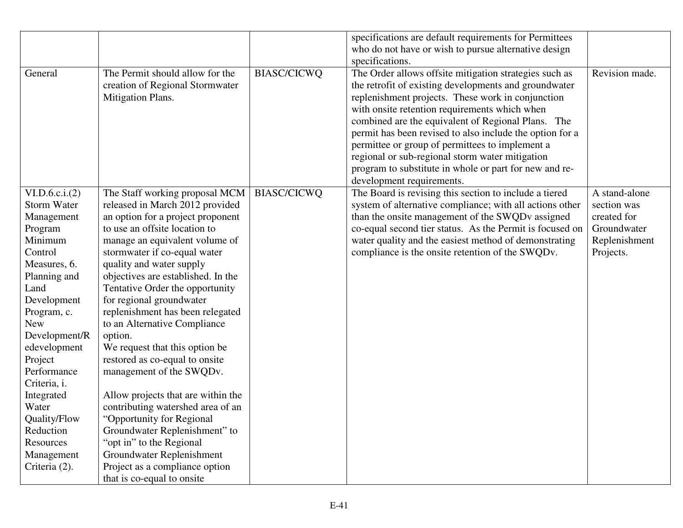|                 |                                    |                    | specifications are default requirements for Permittees   |                |
|-----------------|------------------------------------|--------------------|----------------------------------------------------------|----------------|
|                 |                                    |                    | who do not have or wish to pursue alternative design     |                |
|                 |                                    |                    | specifications.                                          |                |
| General         | The Permit should allow for the    | <b>BIASC/CICWQ</b> | The Order allows offsite mitigation strategies such as   | Revision made. |
|                 | creation of Regional Stormwater    |                    | the retrofit of existing developments and groundwater    |                |
|                 | Mitigation Plans.                  |                    | replenishment projects. These work in conjunction        |                |
|                 |                                    |                    | with onsite retention requirements which when            |                |
|                 |                                    |                    | combined are the equivalent of Regional Plans. The       |                |
|                 |                                    |                    | permit has been revised to also include the option for a |                |
|                 |                                    |                    | permittee or group of permittees to implement a          |                |
|                 |                                    |                    | regional or sub-regional storm water mitigation          |                |
|                 |                                    |                    | program to substitute in whole or part for new and re-   |                |
|                 |                                    |                    | development requirements.                                |                |
| VI.D.6.c.i. (2) | The Staff working proposal MCM     | <b>BIASC/CICWQ</b> | The Board is revising this section to include a tiered   | A stand-alone  |
| Storm Water     | released in March 2012 provided    |                    | system of alternative compliance; with all actions other | section was    |
| Management      | an option for a project proponent  |                    | than the onsite management of the SWQDv assigned         | created for    |
| Program         | to use an offsite location to      |                    | co-equal second tier status. As the Permit is focused on | Groundwater    |
| Minimum         | manage an equivalent volume of     |                    | water quality and the easiest method of demonstrating    | Replenishment  |
| Control         | stormwater if co-equal water       |                    | compliance is the onsite retention of the SWQDv.         | Projects.      |
| Measures, 6.    | quality and water supply           |                    |                                                          |                |
| Planning and    | objectives are established. In the |                    |                                                          |                |
| Land            | Tentative Order the opportunity    |                    |                                                          |                |
| Development     | for regional groundwater           |                    |                                                          |                |
| Program, c.     | replenishment has been relegated   |                    |                                                          |                |
| <b>New</b>      | to an Alternative Compliance       |                    |                                                          |                |
| Development/R   | option.                            |                    |                                                          |                |
| edevelopment    | We request that this option be     |                    |                                                          |                |
| Project         | restored as co-equal to onsite     |                    |                                                          |                |
| Performance     | management of the SWQDv.           |                    |                                                          |                |
| Criteria, i.    |                                    |                    |                                                          |                |
| Integrated      | Allow projects that are within the |                    |                                                          |                |
| Water           | contributing watershed area of an  |                    |                                                          |                |
| Quality/Flow    | "Opportunity for Regional          |                    |                                                          |                |
| Reduction       | Groundwater Replenishment" to      |                    |                                                          |                |
| Resources       | "opt in" to the Regional           |                    |                                                          |                |
| Management      | Groundwater Replenishment          |                    |                                                          |                |
| Criteria (2).   | Project as a compliance option     |                    |                                                          |                |
|                 | that is co-equal to onsite         |                    |                                                          |                |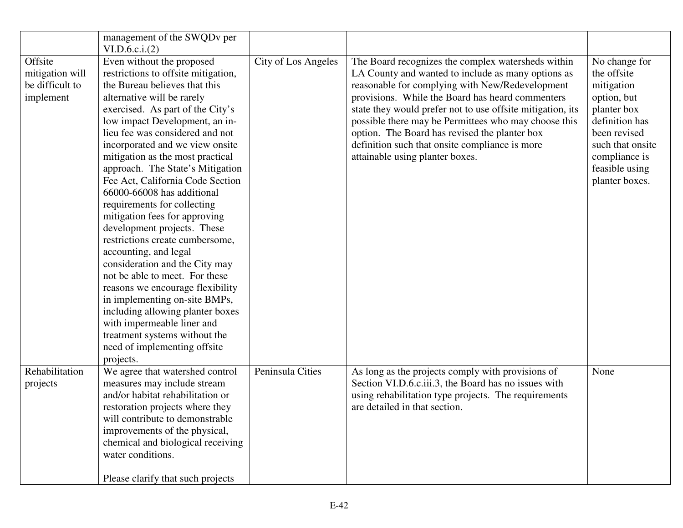|                                                            | management of the SWQDv per<br>VI.D.6.c.i. (2)                                                                                                                                                                                                                                                                                                                                                                                                                                                                                                                                                                                                                                                                                                                                                                                                                            |                     |                                                                                                                                                                                                                                                                                                                                                                                                                                                                             |                                                                                                                                                                                     |
|------------------------------------------------------------|---------------------------------------------------------------------------------------------------------------------------------------------------------------------------------------------------------------------------------------------------------------------------------------------------------------------------------------------------------------------------------------------------------------------------------------------------------------------------------------------------------------------------------------------------------------------------------------------------------------------------------------------------------------------------------------------------------------------------------------------------------------------------------------------------------------------------------------------------------------------------|---------------------|-----------------------------------------------------------------------------------------------------------------------------------------------------------------------------------------------------------------------------------------------------------------------------------------------------------------------------------------------------------------------------------------------------------------------------------------------------------------------------|-------------------------------------------------------------------------------------------------------------------------------------------------------------------------------------|
| Offsite<br>mitigation will<br>be difficult to<br>implement | Even without the proposed<br>restrictions to offsite mitigation,<br>the Bureau believes that this<br>alternative will be rarely<br>exercised. As part of the City's<br>low impact Development, an in-<br>lieu fee was considered and not<br>incorporated and we view onsite<br>mitigation as the most practical<br>approach. The State's Mitigation<br>Fee Act, California Code Section<br>66000-66008 has additional<br>requirements for collecting<br>mitigation fees for approving<br>development projects. These<br>restrictions create cumbersome,<br>accounting, and legal<br>consideration and the City may<br>not be able to meet. For these<br>reasons we encourage flexibility<br>in implementing on-site BMPs,<br>including allowing planter boxes<br>with impermeable liner and<br>treatment systems without the<br>need of implementing offsite<br>projects. | City of Los Angeles | The Board recognizes the complex watersheds within<br>LA County and wanted to include as many options as<br>reasonable for complying with New/Redevelopment<br>provisions. While the Board has heard commenters<br>state they would prefer not to use offsite mitigation, its<br>possible there may be Permittees who may choose this<br>option. The Board has revised the planter box<br>definition such that onsite compliance is more<br>attainable using planter boxes. | No change for<br>the offsite<br>mitigation<br>option, but<br>planter box<br>definition has<br>been revised<br>such that onsite<br>compliance is<br>feasible using<br>planter boxes. |
| Rehabilitation<br>projects                                 | We agree that watershed control<br>measures may include stream<br>and/or habitat rehabilitation or<br>restoration projects where they<br>will contribute to demonstrable<br>improvements of the physical,<br>chemical and biological receiving<br>water conditions.<br>Please clarify that such projects                                                                                                                                                                                                                                                                                                                                                                                                                                                                                                                                                                  | Peninsula Cities    | As long as the projects comply with provisions of<br>Section VI.D.6.c.iii.3, the Board has no issues with<br>using rehabilitation type projects. The requirements<br>are detailed in that section.                                                                                                                                                                                                                                                                          | None                                                                                                                                                                                |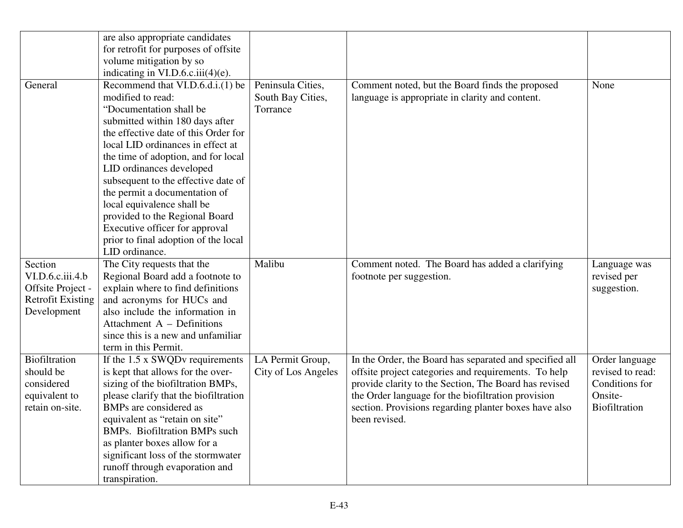|                          | are also appropriate candidates                                          |                     |                                                         |                  |
|--------------------------|--------------------------------------------------------------------------|---------------------|---------------------------------------------------------|------------------|
|                          | for retrofit for purposes of offsite                                     |                     |                                                         |                  |
|                          | volume mitigation by so                                                  |                     |                                                         |                  |
| General                  | indicating in $VI.D.6.c.iii(4)(e)$ .<br>Recommend that VI.D.6.d.i.(1) be | Peninsula Cities,   | Comment noted, but the Board finds the proposed         | None             |
|                          | modified to read:                                                        | South Bay Cities,   | language is appropriate in clarity and content.         |                  |
|                          | "Documentation shall be                                                  | Torrance            |                                                         |                  |
|                          | submitted within 180 days after                                          |                     |                                                         |                  |
|                          | the effective date of this Order for                                     |                     |                                                         |                  |
|                          | local LID ordinances in effect at                                        |                     |                                                         |                  |
|                          | the time of adoption, and for local                                      |                     |                                                         |                  |
|                          | LID ordinances developed                                                 |                     |                                                         |                  |
|                          | subsequent to the effective date of                                      |                     |                                                         |                  |
|                          | the permit a documentation of                                            |                     |                                                         |                  |
|                          | local equivalence shall be                                               |                     |                                                         |                  |
|                          | provided to the Regional Board                                           |                     |                                                         |                  |
|                          | Executive officer for approval                                           |                     |                                                         |                  |
|                          | prior to final adoption of the local                                     |                     |                                                         |                  |
|                          | LID ordinance.                                                           |                     |                                                         |                  |
| Section                  | The City requests that the                                               | Malibu              | Comment noted. The Board has added a clarifying         | Language was     |
| VI.D.6.c.iii.4.b         | Regional Board add a footnote to                                         |                     | footnote per suggestion.                                | revised per      |
| Offsite Project -        | explain where to find definitions                                        |                     |                                                         | suggestion.      |
| <b>Retrofit Existing</b> | and acronyms for HUCs and                                                |                     |                                                         |                  |
| Development              | also include the information in                                          |                     |                                                         |                  |
|                          | Attachment $A$ – Definitions                                             |                     |                                                         |                  |
|                          | since this is a new and unfamiliar                                       |                     |                                                         |                  |
|                          | term in this Permit.                                                     |                     |                                                         |                  |
| <b>Biofiltration</b>     | If the 1.5 x SWQDv requirements                                          | LA Permit Group,    | In the Order, the Board has separated and specified all | Order language   |
| should be                | is kept that allows for the over-                                        | City of Los Angeles | offsite project categories and requirements. To help    | revised to read: |
| considered               | sizing of the biofiltration BMPs,                                        |                     | provide clarity to the Section, The Board has revised   | Conditions for   |
| equivalent to            | please clarify that the biofiltration                                    |                     | the Order language for the biofiltration provision      | Onsite-          |
| retain on-site.          | BMPs are considered as                                                   |                     | section. Provisions regarding planter boxes have also   | Biofiltration    |
|                          | equivalent as "retain on site"                                           |                     | been revised.                                           |                  |
|                          |                                                                          |                     |                                                         |                  |
|                          | <b>BMPs.</b> Biofiltration BMPs such                                     |                     |                                                         |                  |
|                          | as planter boxes allow for a                                             |                     |                                                         |                  |
|                          | significant loss of the stormwater                                       |                     |                                                         |                  |
|                          | runoff through evaporation and<br>transpiration.                         |                     |                                                         |                  |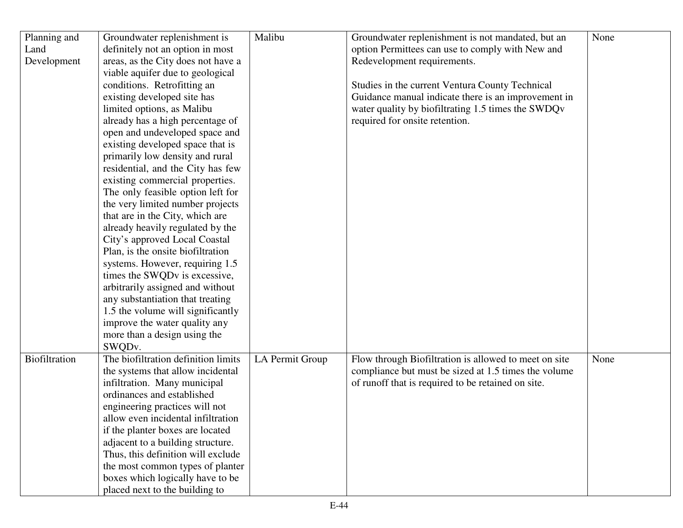| Planning and         | Groundwater replenishment is        | Malibu          | Groundwater replenishment is not mandated, but an     | None |
|----------------------|-------------------------------------|-----------------|-------------------------------------------------------|------|
| Land                 | definitely not an option in most    |                 | option Permittees can use to comply with New and      |      |
| Development          | areas, as the City does not have a  |                 | Redevelopment requirements.                           |      |
|                      | viable aquifer due to geological    |                 |                                                       |      |
|                      | conditions. Retrofitting an         |                 | Studies in the current Ventura County Technical       |      |
|                      | existing developed site has         |                 | Guidance manual indicate there is an improvement in   |      |
|                      | limited options, as Malibu          |                 | water quality by biofiltrating 1.5 times the SWDQv    |      |
|                      | already has a high percentage of    |                 | required for onsite retention.                        |      |
|                      | open and undeveloped space and      |                 |                                                       |      |
|                      | existing developed space that is    |                 |                                                       |      |
|                      | primarily low density and rural     |                 |                                                       |      |
|                      | residential, and the City has few   |                 |                                                       |      |
|                      | existing commercial properties.     |                 |                                                       |      |
|                      | The only feasible option left for   |                 |                                                       |      |
|                      | the very limited number projects    |                 |                                                       |      |
|                      | that are in the City, which are     |                 |                                                       |      |
|                      | already heavily regulated by the    |                 |                                                       |      |
|                      | City's approved Local Coastal       |                 |                                                       |      |
|                      | Plan, is the onsite biofiltration   |                 |                                                       |      |
|                      | systems. However, requiring 1.5     |                 |                                                       |      |
|                      | times the SWQDv is excessive,       |                 |                                                       |      |
|                      | arbitrarily assigned and without    |                 |                                                       |      |
|                      | any substantiation that treating    |                 |                                                       |      |
|                      | 1.5 the volume will significantly   |                 |                                                       |      |
|                      | improve the water quality any       |                 |                                                       |      |
|                      | more than a design using the        |                 |                                                       |      |
|                      | SWQDv.                              |                 |                                                       |      |
| <b>Biofiltration</b> | The biofiltration definition limits | LA Permit Group | Flow through Biofiltration is allowed to meet on site | None |
|                      | the systems that allow incidental   |                 | compliance but must be sized at 1.5 times the volume  |      |
|                      | infiltration. Many municipal        |                 | of runoff that is required to be retained on site.    |      |
|                      | ordinances and established          |                 |                                                       |      |
|                      | engineering practices will not      |                 |                                                       |      |
|                      | allow even incidental infiltration  |                 |                                                       |      |
|                      | if the planter boxes are located    |                 |                                                       |      |
|                      | adjacent to a building structure.   |                 |                                                       |      |
|                      | Thus, this definition will exclude  |                 |                                                       |      |
|                      | the most common types of planter    |                 |                                                       |      |
|                      | boxes which logically have to be    |                 |                                                       |      |
|                      | placed next to the building to      |                 |                                                       |      |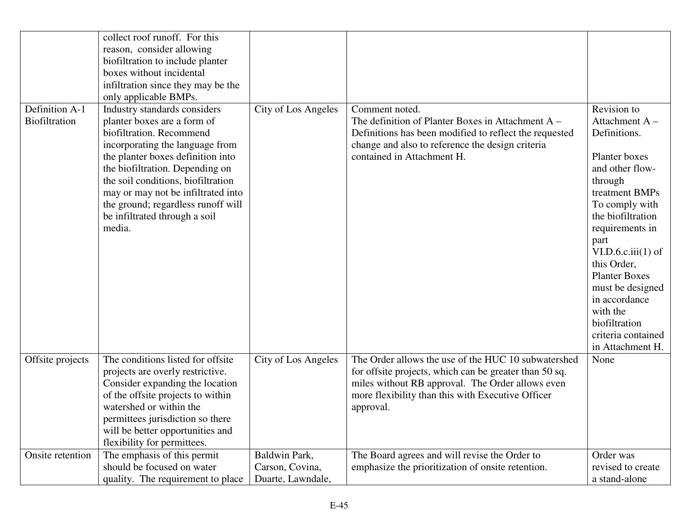|                                 | collect roof runoff. For this<br>reason, consider allowing<br>biofiltration to include planter<br>boxes without incidental                                                                                                                                                                                                                                                               |                                                       |                                                                                                                                                                                                                                     |                                                                                                                                                                                                                                                                                                                |
|---------------------------------|------------------------------------------------------------------------------------------------------------------------------------------------------------------------------------------------------------------------------------------------------------------------------------------------------------------------------------------------------------------------------------------|-------------------------------------------------------|-------------------------------------------------------------------------------------------------------------------------------------------------------------------------------------------------------------------------------------|----------------------------------------------------------------------------------------------------------------------------------------------------------------------------------------------------------------------------------------------------------------------------------------------------------------|
|                                 | infiltration since they may be the                                                                                                                                                                                                                                                                                                                                                       |                                                       |                                                                                                                                                                                                                                     |                                                                                                                                                                                                                                                                                                                |
| Definition A-1<br>Biofiltration | only applicable BMPs.<br>Industry standards considers<br>planter boxes are a form of<br>biofiltration. Recommend<br>incorporating the language from<br>the planter boxes definition into<br>the biofiltration. Depending on<br>the soil conditions, biofiltration<br>may or may not be infiltrated into<br>the ground; regardless runoff will<br>be infiltrated through a soil<br>media. | City of Los Angeles                                   | Comment noted.<br>The definition of Planter Boxes in Attachment $A -$<br>Definitions has been modified to reflect the requested<br>change and also to reference the design criteria<br>contained in Attachment H.                   | Revision to<br>Attachment A-<br>Definitions.<br>Planter boxes<br>and other flow-<br>through<br>treatment BMPs<br>To comply with<br>the biofiltration<br>requirements in<br>part<br>VI.D.6.c.iii(1) of<br>this Order,<br><b>Planter Boxes</b><br>must be designed<br>in accordance<br>with the<br>biofiltration |
|                                 |                                                                                                                                                                                                                                                                                                                                                                                          |                                                       |                                                                                                                                                                                                                                     | criteria contained<br>in Attachment H.                                                                                                                                                                                                                                                                         |
| Offsite projects                | The conditions listed for offsite<br>projects are overly restrictive.<br>Consider expanding the location<br>of the offsite projects to within<br>watershed or within the<br>permittees jurisdiction so there<br>will be better opportunities and<br>flexibility for permittees.                                                                                                          | City of Los Angeles                                   | The Order allows the use of the HUC 10 subwatershed<br>for offsite projects, which can be greater than 50 sq.<br>miles without RB approval. The Order allows even<br>more flexibility than this with Executive Officer<br>approval. | None                                                                                                                                                                                                                                                                                                           |
| Onsite retention                | The emphasis of this permit<br>should be focused on water<br>quality. The requirement to place                                                                                                                                                                                                                                                                                           | Baldwin Park,<br>Carson, Covina,<br>Duarte, Lawndale, | The Board agrees and will revise the Order to<br>emphasize the prioritization of onsite retention.                                                                                                                                  | Order was<br>revised to create<br>a stand-alone                                                                                                                                                                                                                                                                |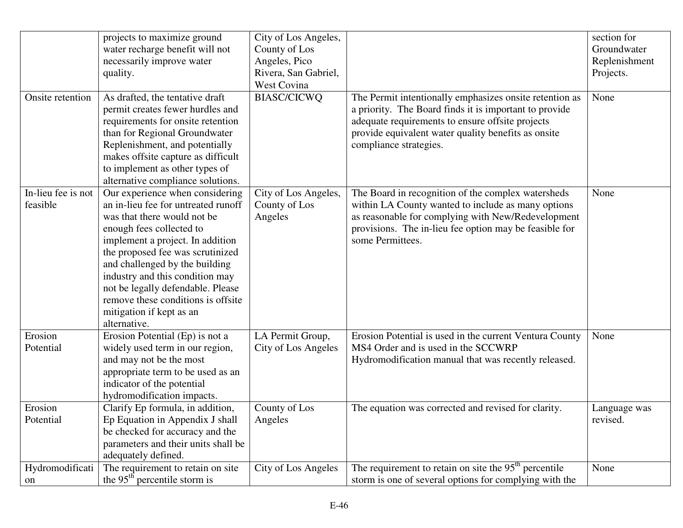|                                | projects to maximize ground<br>water recharge benefit will not<br>necessarily improve water<br>quality.                                                                                                                                                                                                                                                                                               | City of Los Angeles,<br>County of Los<br>Angeles, Pico<br>Rivera, San Gabriel,<br>West Covina |                                                                                                                                                                                                                                                        | section for<br>Groundwater<br>Replenishment<br>Projects. |
|--------------------------------|-------------------------------------------------------------------------------------------------------------------------------------------------------------------------------------------------------------------------------------------------------------------------------------------------------------------------------------------------------------------------------------------------------|-----------------------------------------------------------------------------------------------|--------------------------------------------------------------------------------------------------------------------------------------------------------------------------------------------------------------------------------------------------------|----------------------------------------------------------|
| Onsite retention               | As drafted, the tentative draft<br>permit creates fewer hurdles and<br>requirements for onsite retention<br>than for Regional Groundwater<br>Replenishment, and potentially<br>makes offsite capture as difficult<br>to implement as other types of<br>alternative compliance solutions.                                                                                                              | <b>BIASC/CICWQ</b>                                                                            | The Permit intentionally emphasizes onsite retention as<br>a priority. The Board finds it is important to provide<br>adequate requirements to ensure offsite projects<br>provide equivalent water quality benefits as onsite<br>compliance strategies. | None                                                     |
| In-lieu fee is not<br>feasible | Our experience when considering<br>an in-lieu fee for untreated runoff<br>was that there would not be<br>enough fees collected to<br>implement a project. In addition<br>the proposed fee was scrutinized<br>and challenged by the building<br>industry and this condition may<br>not be legally defendable. Please<br>remove these conditions is offsite<br>mitigation if kept as an<br>alternative. | City of Los Angeles,<br>County of Los<br>Angeles                                              | The Board in recognition of the complex watersheds<br>within LA County wanted to include as many options<br>as reasonable for complying with New/Redevelopment<br>provisions. The in-lieu fee option may be feasible for<br>some Permittees.           | None                                                     |
| Erosion<br>Potential           | Erosion Potential (Ep) is not a<br>widely used term in our region,<br>and may not be the most<br>appropriate term to be used as an<br>indicator of the potential<br>hydromodification impacts.                                                                                                                                                                                                        | LA Permit Group,<br>City of Los Angeles                                                       | Erosion Potential is used in the current Ventura County<br>MS4 Order and is used in the SCCWRP<br>Hydromodification manual that was recently released.                                                                                                 | None                                                     |
| Erosion<br>Potential           | Clarify Ep formula, in addition,<br>Ep Equation in Appendix J shall<br>be checked for accuracy and the<br>parameters and their units shall be<br>adequately defined.                                                                                                                                                                                                                                  | County of Los<br>Angeles                                                                      | The equation was corrected and revised for clarity.                                                                                                                                                                                                    | Language was<br>revised.                                 |
| Hydromodificati<br>on          | The requirement to retain on site<br>the $95th$ percentile storm is                                                                                                                                                                                                                                                                                                                                   | City of Los Angeles                                                                           | The requirement to retain on site the $95th$ percentile<br>storm is one of several options for complying with the                                                                                                                                      | None                                                     |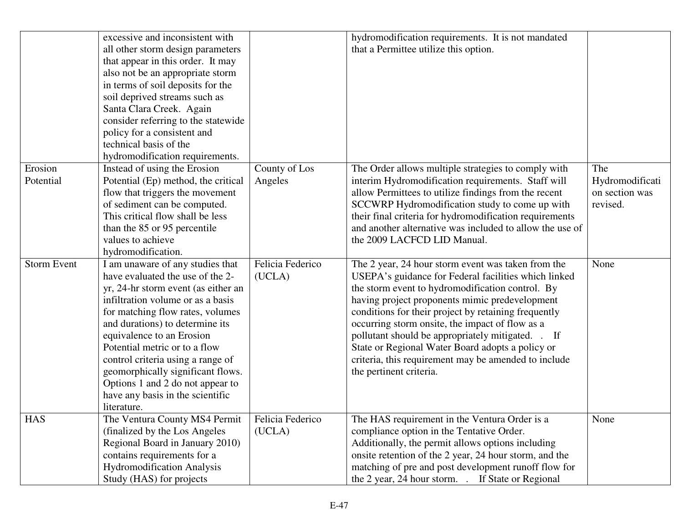|                    | excessive and inconsistent with     |                  | hydromodification requirements. It is not mandated       |                 |
|--------------------|-------------------------------------|------------------|----------------------------------------------------------|-----------------|
|                    | all other storm design parameters   |                  | that a Permittee utilize this option.                    |                 |
|                    | that appear in this order. It may   |                  |                                                          |                 |
|                    | also not be an appropriate storm    |                  |                                                          |                 |
|                    | in terms of soil deposits for the   |                  |                                                          |                 |
|                    | soil deprived streams such as       |                  |                                                          |                 |
|                    | Santa Clara Creek. Again            |                  |                                                          |                 |
|                    | consider referring to the statewide |                  |                                                          |                 |
|                    | policy for a consistent and         |                  |                                                          |                 |
|                    | technical basis of the              |                  |                                                          |                 |
|                    | hydromodification requirements.     |                  |                                                          |                 |
| Erosion            | Instead of using the Erosion        | County of Los    | The Order allows multiple strategies to comply with      | The             |
| Potential          | Potential (Ep) method, the critical | Angeles          | interim Hydromodification requirements. Staff will       | Hydromodificati |
|                    | flow that triggers the movement     |                  | allow Permittees to utilize findings from the recent     | on section was  |
|                    | of sediment can be computed.        |                  | SCCWRP Hydromodification study to come up with           | revised.        |
|                    | This critical flow shall be less    |                  | their final criteria for hydromodification requirements  |                 |
|                    | than the 85 or 95 percentile        |                  | and another alternative was included to allow the use of |                 |
|                    | values to achieve                   |                  | the 2009 LACFCD LID Manual.                              |                 |
|                    | hydromodification.                  |                  |                                                          |                 |
| <b>Storm Event</b> | I am unaware of any studies that    | Felicia Federico | The 2 year, 24 hour storm event was taken from the       | None            |
|                    | have evaluated the use of the 2-    | (UCLA)           | USEPA's guidance for Federal facilities which linked     |                 |
|                    | yr, 24-hr storm event (as either an |                  | the storm event to hydromodification control. By         |                 |
|                    | infiltration volume or as a basis   |                  | having project proponents mimic predevelopment           |                 |
|                    | for matching flow rates, volumes    |                  | conditions for their project by retaining frequently     |                 |
|                    | and durations) to determine its     |                  | occurring storm onsite, the impact of flow as a          |                 |
|                    | equivalence to an Erosion           |                  | pollutant should be appropriately mitigated. . If        |                 |
|                    | Potential metric or to a flow       |                  | State or Regional Water Board adopts a policy or         |                 |
|                    | control criteria using a range of   |                  | criteria, this requirement may be amended to include     |                 |
|                    | geomorphically significant flows.   |                  | the pertinent criteria.                                  |                 |
|                    | Options 1 and 2 do not appear to    |                  |                                                          |                 |
|                    | have any basis in the scientific    |                  |                                                          |                 |
|                    | literature.                         |                  |                                                          |                 |
| <b>HAS</b>         | The Ventura County MS4 Permit       | Felicia Federico | The HAS requirement in the Ventura Order is a            | None            |
|                    | (finalized by the Los Angeles)      | (UCLA)           | compliance option in the Tentative Order.                |                 |
|                    | Regional Board in January 2010)     |                  | Additionally, the permit allows options including        |                 |
|                    | contains requirements for a         |                  | onsite retention of the 2 year, 24 hour storm, and the   |                 |
|                    | <b>Hydromodification Analysis</b>   |                  | matching of pre and post development runoff flow for     |                 |
|                    | Study (HAS) for projects            |                  | the 2 year, 24 hour storm. . If State or Regional        |                 |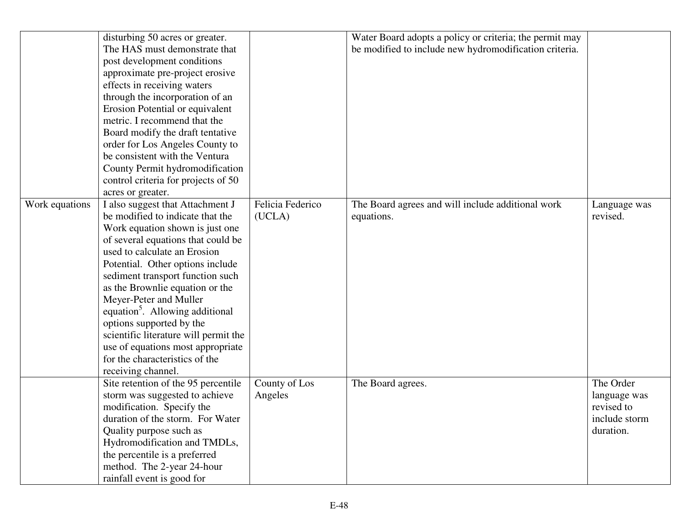|                | disturbing 50 acres or greater.             |                  | Water Board adopts a policy or criteria; the permit may |               |
|----------------|---------------------------------------------|------------------|---------------------------------------------------------|---------------|
|                | The HAS must demonstrate that               |                  | be modified to include new hydromodification criteria.  |               |
|                | post development conditions                 |                  |                                                         |               |
|                | approximate pre-project erosive             |                  |                                                         |               |
|                | effects in receiving waters                 |                  |                                                         |               |
|                | through the incorporation of an             |                  |                                                         |               |
|                | Erosion Potential or equivalent             |                  |                                                         |               |
|                | metric. I recommend that the                |                  |                                                         |               |
|                | Board modify the draft tentative            |                  |                                                         |               |
|                | order for Los Angeles County to             |                  |                                                         |               |
|                | be consistent with the Ventura              |                  |                                                         |               |
|                | County Permit hydromodification             |                  |                                                         |               |
|                | control criteria for projects of 50         |                  |                                                         |               |
|                | acres or greater.                           |                  |                                                         |               |
| Work equations | I also suggest that Attachment J            | Felicia Federico | The Board agrees and will include additional work       | Language was  |
|                | be modified to indicate that the            | (UCLA)           | equations.                                              | revised.      |
|                | Work equation shown is just one             |                  |                                                         |               |
|                | of several equations that could be          |                  |                                                         |               |
|                | used to calculate an Erosion                |                  |                                                         |               |
|                | Potential. Other options include            |                  |                                                         |               |
|                | sediment transport function such            |                  |                                                         |               |
|                | as the Brownlie equation or the             |                  |                                                         |               |
|                | Meyer-Peter and Muller                      |                  |                                                         |               |
|                | equation <sup>5</sup> . Allowing additional |                  |                                                         |               |
|                | options supported by the                    |                  |                                                         |               |
|                | scientific literature will permit the       |                  |                                                         |               |
|                | use of equations most appropriate           |                  |                                                         |               |
|                | for the characteristics of the              |                  |                                                         |               |
|                | receiving channel.                          |                  |                                                         |               |
|                | Site retention of the 95 percentile         | County of Los    | The Board agrees.                                       | The Order     |
|                | storm was suggested to achieve              | Angeles          |                                                         | language was  |
|                | modification. Specify the                   |                  |                                                         | revised to    |
|                | duration of the storm. For Water            |                  |                                                         | include storm |
|                | Quality purpose such as                     |                  |                                                         | duration.     |
|                | Hydromodification and TMDLs,                |                  |                                                         |               |
|                | the percentile is a preferred               |                  |                                                         |               |
|                | method. The 2-year 24-hour                  |                  |                                                         |               |
|                | rainfall event is good for                  |                  |                                                         |               |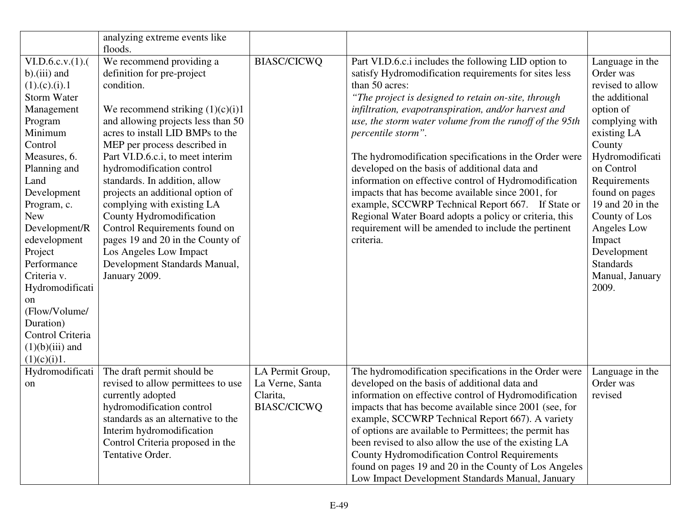|                                                                                                                                                                                                                                                                                                                                                                                                              | analyzing extreme events like<br>floods.                                                                                                                                                                                                                                                                                                                                                                                                                                                                                                                              |                                                                       |                                                                                                                                                                                                                                                                                                                                                                                                                                                                                                                                                                                                                                                                                                                                              |                                                                                                                                                                                                                                                                                                                            |
|--------------------------------------------------------------------------------------------------------------------------------------------------------------------------------------------------------------------------------------------------------------------------------------------------------------------------------------------------------------------------------------------------------------|-----------------------------------------------------------------------------------------------------------------------------------------------------------------------------------------------------------------------------------------------------------------------------------------------------------------------------------------------------------------------------------------------------------------------------------------------------------------------------------------------------------------------------------------------------------------------|-----------------------------------------------------------------------|----------------------------------------------------------------------------------------------------------------------------------------------------------------------------------------------------------------------------------------------------------------------------------------------------------------------------------------------------------------------------------------------------------------------------------------------------------------------------------------------------------------------------------------------------------------------------------------------------------------------------------------------------------------------------------------------------------------------------------------------|----------------------------------------------------------------------------------------------------------------------------------------------------------------------------------------------------------------------------------------------------------------------------------------------------------------------------|
| $VI.D.6.c.v. (1)$ .<br>$b$ ).(iii) and<br>$(1)$ .(c).(i).1<br><b>Storm Water</b><br>Management<br>Program<br>Minimum<br>Control<br>Measures, 6.<br>Planning and<br>Land<br>Development<br>Program, c.<br><b>New</b><br>Development/R<br>edevelopment<br>Project<br>Performance<br>Criteria v.<br>Hydromodificati<br>on<br>(Flow/Volume/<br>Duration)<br>Control Criteria<br>$(1)(b)(iii)$ and<br>(1)(c)(i)1. | We recommend providing a<br>definition for pre-project<br>condition.<br>We recommend striking $(1)(c)(i)1$<br>and allowing projects less than 50<br>acres to install LID BMPs to the<br>MEP per process described in<br>Part VI.D.6.c.i, to meet interim<br>hydromodification control<br>standards. In addition, allow<br>projects an additional option of<br>complying with existing LA<br>County Hydromodification<br>Control Requirements found on<br>pages 19 and 20 in the County of<br>Los Angeles Low Impact<br>Development Standards Manual,<br>January 2009. | <b>BIASC/CICWQ</b>                                                    | Part VI.D.6.c.i includes the following LID option to<br>satisfy Hydromodification requirements for sites less<br>than 50 acres:<br>"The project is designed to retain on-site, through<br>infiltration, evapotranspiration, and/or harvest and<br>use, the storm water volume from the runoff of the 95th<br>percentile storm".<br>The hydromodification specifications in the Order were<br>developed on the basis of additional data and<br>information on effective control of Hydromodification<br>impacts that has become available since 2001, for<br>example, SCCWRP Technical Report 667. If State or<br>Regional Water Board adopts a policy or criteria, this<br>requirement will be amended to include the pertinent<br>criteria. | Language in the<br>Order was<br>revised to allow<br>the additional<br>option of<br>complying with<br>existing LA<br>County<br>Hydromodificati<br>on Control<br>Requirements<br>found on pages<br>19 and 20 in the<br>County of Los<br>Angeles Low<br>Impact<br>Development<br><b>Standards</b><br>Manual, January<br>2009. |
| Hydromodificati<br>on                                                                                                                                                                                                                                                                                                                                                                                        | The draft permit should be<br>revised to allow permittees to use<br>currently adopted<br>hydromodification control<br>standards as an alternative to the<br>Interim hydromodification<br>Control Criteria proposed in the<br>Tentative Order.                                                                                                                                                                                                                                                                                                                         | LA Permit Group,<br>La Verne, Santa<br>Clarita,<br><b>BIASC/CICWQ</b> | The hydromodification specifications in the Order were<br>developed on the basis of additional data and<br>information on effective control of Hydromodification<br>impacts that has become available since 2001 (see, for<br>example, SCCWRP Technical Report 667). A variety<br>of options are available to Permittees; the permit has<br>been revised to also allow the use of the existing LA<br><b>County Hydromodification Control Requirements</b><br>found on pages 19 and 20 in the County of Los Angeles<br>Low Impact Development Standards Manual, January                                                                                                                                                                       | Language in the<br>Order was<br>revised                                                                                                                                                                                                                                                                                    |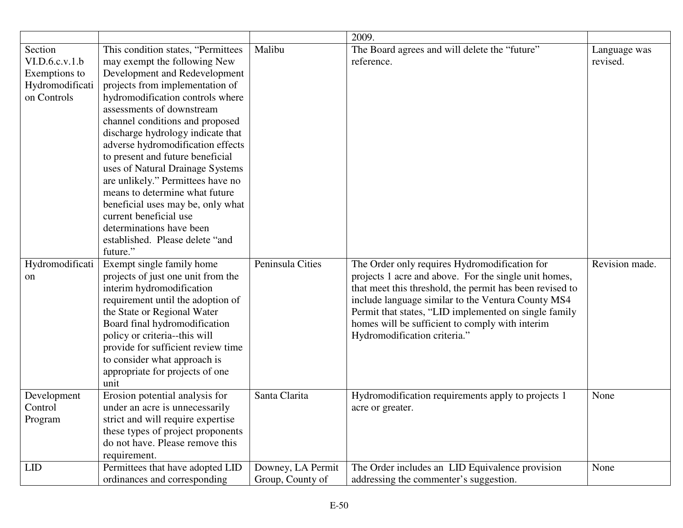|                 |                                    |                   | 2009.                                                    |                |
|-----------------|------------------------------------|-------------------|----------------------------------------------------------|----------------|
| Section         | This condition states, "Permittees | Malibu            | The Board agrees and will delete the "future"            | Language was   |
| VI.D.6.c.v.1.b  | may exempt the following New       |                   | reference.                                               | revised.       |
| Exemptions to   | Development and Redevelopment      |                   |                                                          |                |
| Hydromodificati | projects from implementation of    |                   |                                                          |                |
| on Controls     | hydromodification controls where   |                   |                                                          |                |
|                 | assessments of downstream          |                   |                                                          |                |
|                 | channel conditions and proposed    |                   |                                                          |                |
|                 | discharge hydrology indicate that  |                   |                                                          |                |
|                 | adverse hydromodification effects  |                   |                                                          |                |
|                 | to present and future beneficial   |                   |                                                          |                |
|                 | uses of Natural Drainage Systems   |                   |                                                          |                |
|                 | are unlikely." Permittees have no  |                   |                                                          |                |
|                 | means to determine what future     |                   |                                                          |                |
|                 | beneficial uses may be, only what  |                   |                                                          |                |
|                 | current beneficial use             |                   |                                                          |                |
|                 | determinations have been           |                   |                                                          |                |
|                 | established. Please delete "and    |                   |                                                          |                |
|                 | future."                           |                   |                                                          |                |
| Hydromodificati | Exempt single family home          | Peninsula Cities  | The Order only requires Hydromodification for            | Revision made. |
| on              | projects of just one unit from the |                   | projects 1 acre and above. For the single unit homes,    |                |
|                 | interim hydromodification          |                   | that meet this threshold, the permit has been revised to |                |
|                 | requirement until the adoption of  |                   | include language similar to the Ventura County MS4       |                |
|                 | the State or Regional Water        |                   | Permit that states, "LID implemented on single family    |                |
|                 | Board final hydromodification      |                   | homes will be sufficient to comply with interim          |                |
|                 | policy or criteria--this will      |                   | Hydromodification criteria."                             |                |
|                 | provide for sufficient review time |                   |                                                          |                |
|                 | to consider what approach is       |                   |                                                          |                |
|                 | appropriate for projects of one    |                   |                                                          |                |
|                 | unit                               |                   |                                                          |                |
| Development     | Erosion potential analysis for     | Santa Clarita     | Hydromodification requirements apply to projects 1       | None           |
| Control         | under an acre is unnecessarily     |                   | acre or greater.                                         |                |
| Program         | strict and will require expertise  |                   |                                                          |                |
|                 | these types of project proponents  |                   |                                                          |                |
|                 | do not have. Please remove this    |                   |                                                          |                |
|                 | requirement.                       |                   |                                                          |                |
| LID             | Permittees that have adopted LID   | Downey, LA Permit | The Order includes an LID Equivalence provision          | None           |
|                 | ordinances and corresponding       | Group, County of  | addressing the commenter's suggestion.                   |                |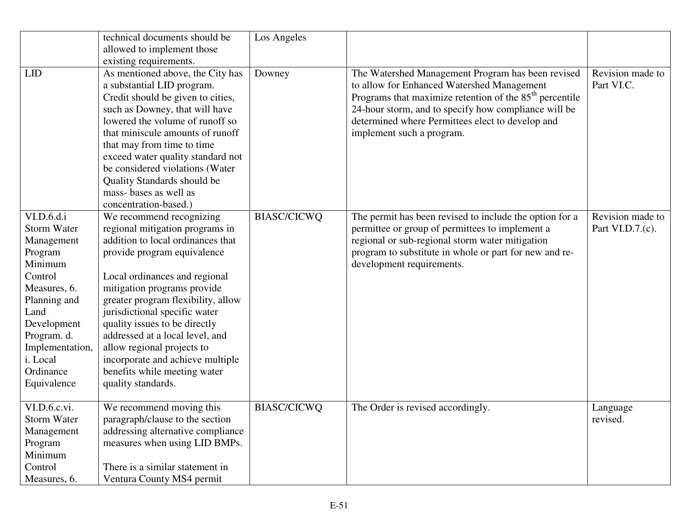|                                                                                                                                                                                                                  | technical documents should be                                                                                                                                                                                                                                                                                                                                                                                                                                      | Los Angeles        |                                                                                                                                                                                                                                                                                                       |                                      |
|------------------------------------------------------------------------------------------------------------------------------------------------------------------------------------------------------------------|--------------------------------------------------------------------------------------------------------------------------------------------------------------------------------------------------------------------------------------------------------------------------------------------------------------------------------------------------------------------------------------------------------------------------------------------------------------------|--------------------|-------------------------------------------------------------------------------------------------------------------------------------------------------------------------------------------------------------------------------------------------------------------------------------------------------|--------------------------------------|
|                                                                                                                                                                                                                  | allowed to implement those                                                                                                                                                                                                                                                                                                                                                                                                                                         |                    |                                                                                                                                                                                                                                                                                                       |                                      |
|                                                                                                                                                                                                                  | existing requirements.                                                                                                                                                                                                                                                                                                                                                                                                                                             |                    |                                                                                                                                                                                                                                                                                                       |                                      |
| <b>LID</b>                                                                                                                                                                                                       | As mentioned above, the City has<br>a substantial LID program.<br>Credit should be given to cities,<br>such as Downey, that will have<br>lowered the volume of runoff so<br>that miniscule amounts of runoff<br>that may from time to time<br>exceed water quality standard not<br>be considered violations (Water<br>Quality Standards should be<br>mass-bases as well as                                                                                         | Downey             | The Watershed Management Program has been revised<br>to allow for Enhanced Watershed Management<br>Programs that maximize retention of the $85th$ percentile<br>24-hour storm, and to specify how compliance will be<br>determined where Permittees elect to develop and<br>implement such a program. | Revision made to<br>Part VI.C.       |
|                                                                                                                                                                                                                  | concentration-based.)                                                                                                                                                                                                                                                                                                                                                                                                                                              |                    |                                                                                                                                                                                                                                                                                                       |                                      |
| VI.D.6.d.i<br><b>Storm Water</b><br>Management<br>Program<br>Minimum<br>Control<br>Measures, 6.<br>Planning and<br>Land<br>Development<br>Program. d.<br>Implementation,<br>i. Local<br>Ordinance<br>Equivalence | We recommend recognizing<br>regional mitigation programs in<br>addition to local ordinances that<br>provide program equivalence<br>Local ordinances and regional<br>mitigation programs provide<br>greater program flexibility, allow<br>jurisdictional specific water<br>quality issues to be directly<br>addressed at a local level, and<br>allow regional projects to<br>incorporate and achieve multiple<br>benefits while meeting water<br>quality standards. | <b>BIASC/CICWQ</b> | The permit has been revised to include the option for a<br>permittee or group of permittees to implement a<br>regional or sub-regional storm water mitigation<br>program to substitute in whole or part for new and re-<br>development requirements.                                                  | Revision made to<br>Part VI.D.7.(c). |
| VI.D.6.c.vi.<br>Storm Water<br>Management<br>Program<br>Minimum<br>Control<br>Measures, 6.                                                                                                                       | We recommend moving this<br>paragraph/clause to the section<br>addressing alternative compliance<br>measures when using LID BMPs.<br>There is a similar statement in<br>Ventura County MS4 permit                                                                                                                                                                                                                                                                  | <b>BIASC/CICWQ</b> | The Order is revised accordingly.                                                                                                                                                                                                                                                                     | Language<br>revised.                 |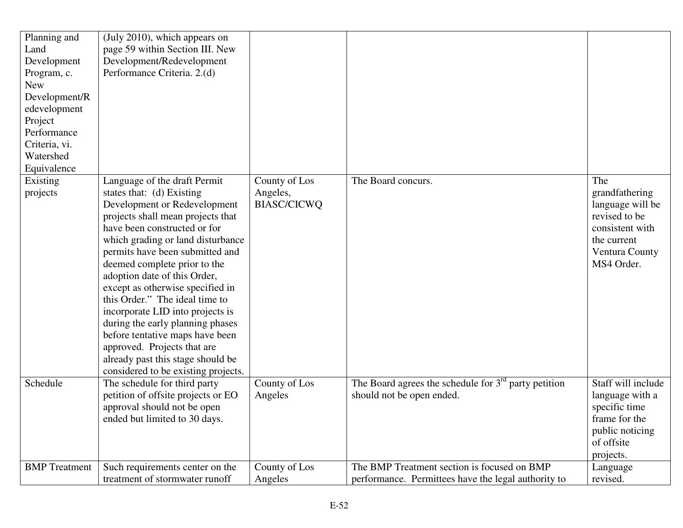| Planning and<br>Land<br>Development<br>Program, c.<br><b>New</b><br>Development/R<br>edevelopment<br>Project<br>Performance<br>Criteria, vi.<br>Watershed<br>Equivalence | (July 2010), which appears on<br>page 59 within Section III. New<br>Development/Redevelopment<br>Performance Criteria. 2.(d)                                                                                                                                                                                                                                                                                                                                                                                                                                                                       |                                                 |                                                                                                    |                                                                                                                              |
|--------------------------------------------------------------------------------------------------------------------------------------------------------------------------|----------------------------------------------------------------------------------------------------------------------------------------------------------------------------------------------------------------------------------------------------------------------------------------------------------------------------------------------------------------------------------------------------------------------------------------------------------------------------------------------------------------------------------------------------------------------------------------------------|-------------------------------------------------|----------------------------------------------------------------------------------------------------|------------------------------------------------------------------------------------------------------------------------------|
| Existing<br>projects                                                                                                                                                     | Language of the draft Permit<br>states that: (d) Existing<br>Development or Redevelopment<br>projects shall mean projects that<br>have been constructed or for<br>which grading or land disturbance<br>permits have been submitted and<br>deemed complete prior to the<br>adoption date of this Order,<br>except as otherwise specified in<br>this Order." The ideal time to<br>incorporate LID into projects is<br>during the early planning phases<br>before tentative maps have been<br>approved. Projects that are<br>already past this stage should be<br>considered to be existing projects. | County of Los<br>Angeles,<br><b>BIASC/CICWQ</b> | The Board concurs.                                                                                 | The<br>grandfathering<br>language will be<br>revised to be<br>consistent with<br>the current<br>Ventura County<br>MS4 Order. |
| Schedule                                                                                                                                                                 | The schedule for third party<br>petition of offsite projects or EO<br>approval should not be open<br>ended but limited to 30 days.                                                                                                                                                                                                                                                                                                                                                                                                                                                                 | County of Los<br>Angeles                        | The Board agrees the schedule for $3rd$ party petition<br>should not be open ended.                | Staff will include<br>language with a<br>specific time<br>frame for the<br>public noticing<br>of offsite<br>projects.        |
| <b>BMP</b> Treatment                                                                                                                                                     | Such requirements center on the<br>treatment of stormwater runoff                                                                                                                                                                                                                                                                                                                                                                                                                                                                                                                                  | County of Los<br>Angeles                        | The BMP Treatment section is focused on BMP<br>performance. Permittees have the legal authority to | Language<br>revised.                                                                                                         |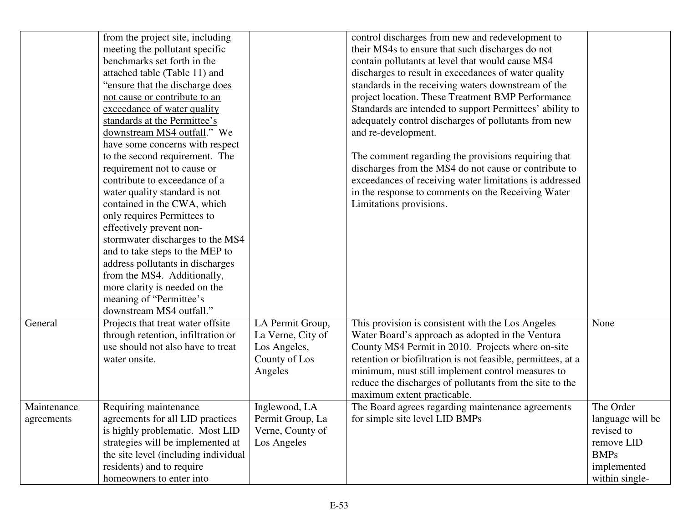|                           | from the project site, including<br>meeting the pollutant specific<br>benchmarks set forth in the<br>attached table (Table 11) and<br>"ensure that the discharge does"<br>not cause or contribute to an<br>exceedance of water quality<br>standards at the Permittee's<br>downstream MS4 outfall." We<br>have some concerns with respect<br>to the second requirement. The<br>requirement not to cause or<br>contribute to exceedance of a<br>water quality standard is not<br>contained in the CWA, which<br>only requires Permittees to<br>effectively prevent non-<br>stormwater discharges to the MS4<br>and to take steps to the MEP to<br>address pollutants in discharges<br>from the MS4. Additionally,<br>more clarity is needed on the<br>meaning of "Permittee's"<br>downstream MS4 outfall." |                                                                                   | control discharges from new and redevelopment to<br>their MS4s to ensure that such discharges do not<br>contain pollutants at level that would cause MS4<br>discharges to result in exceedances of water quality<br>standards in the receiving waters downstream of the<br>project location. These Treatment BMP Performance<br>Standards are intended to support Permittees' ability to<br>adequately control discharges of pollutants from new<br>and re-development.<br>The comment regarding the provisions requiring that<br>discharges from the MS4 do not cause or contribute to<br>exceedances of receiving water limitations is addressed<br>in the response to comments on the Receiving Water<br>Limitations provisions. |                                                                                                           |
|---------------------------|----------------------------------------------------------------------------------------------------------------------------------------------------------------------------------------------------------------------------------------------------------------------------------------------------------------------------------------------------------------------------------------------------------------------------------------------------------------------------------------------------------------------------------------------------------------------------------------------------------------------------------------------------------------------------------------------------------------------------------------------------------------------------------------------------------|-----------------------------------------------------------------------------------|-------------------------------------------------------------------------------------------------------------------------------------------------------------------------------------------------------------------------------------------------------------------------------------------------------------------------------------------------------------------------------------------------------------------------------------------------------------------------------------------------------------------------------------------------------------------------------------------------------------------------------------------------------------------------------------------------------------------------------------|-----------------------------------------------------------------------------------------------------------|
| General                   | Projects that treat water offsite<br>through retention, infiltration or<br>use should not also have to treat<br>water onsite.                                                                                                                                                                                                                                                                                                                                                                                                                                                                                                                                                                                                                                                                            | LA Permit Group,<br>La Verne, City of<br>Los Angeles,<br>County of Los<br>Angeles | This provision is consistent with the Los Angeles<br>Water Board's approach as adopted in the Ventura<br>County MS4 Permit in 2010. Projects where on-site<br>retention or biofiltration is not feasible, permittees, at a<br>minimum, must still implement control measures to<br>reduce the discharges of pollutants from the site to the<br>maximum extent practicable.                                                                                                                                                                                                                                                                                                                                                          | None                                                                                                      |
| Maintenance<br>agreements | Requiring maintenance<br>agreements for all LID practices<br>is highly problematic. Most LID<br>strategies will be implemented at<br>the site level (including individual<br>residents) and to require<br>homeowners to enter into                                                                                                                                                                                                                                                                                                                                                                                                                                                                                                                                                                       | Inglewood, LA<br>Permit Group, La<br>Verne, County of<br>Los Angeles              | The Board agrees regarding maintenance agreements<br>for simple site level LID BMPs                                                                                                                                                                                                                                                                                                                                                                                                                                                                                                                                                                                                                                                 | The Order<br>language will be<br>revised to<br>remove LID<br><b>BMPs</b><br>implemented<br>within single- |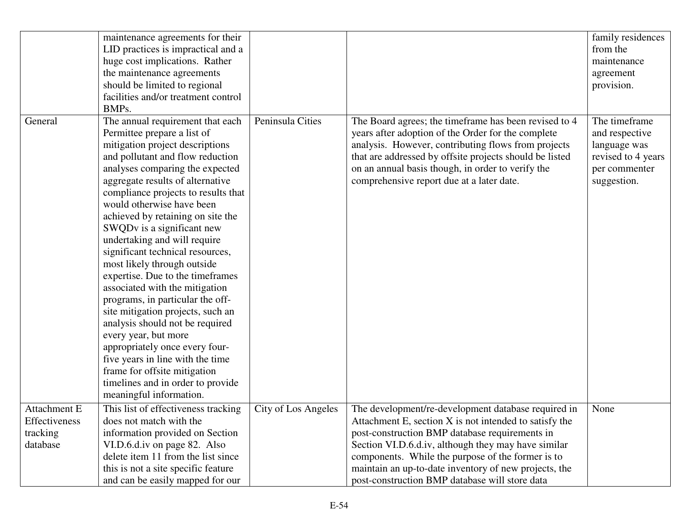|                      |                               | maintenance agreements for their<br>LID practices is impractical and a<br>huge cost implications. Rather<br>the maintenance agreements<br>should be limited to regional<br>facilities and/or treatment control<br>BMPs.                                                                                                                                                                                                                                                                                                                                                                                                                                                                                                                                                                                                                 |                     |                                                                                                                                                                                                                                                                                                                                                                                        | family residences<br>from the<br>maintenance<br>agreement<br>provision.                               |
|----------------------|-------------------------------|-----------------------------------------------------------------------------------------------------------------------------------------------------------------------------------------------------------------------------------------------------------------------------------------------------------------------------------------------------------------------------------------------------------------------------------------------------------------------------------------------------------------------------------------------------------------------------------------------------------------------------------------------------------------------------------------------------------------------------------------------------------------------------------------------------------------------------------------|---------------------|----------------------------------------------------------------------------------------------------------------------------------------------------------------------------------------------------------------------------------------------------------------------------------------------------------------------------------------------------------------------------------------|-------------------------------------------------------------------------------------------------------|
| General              |                               | The annual requirement that each<br>Permittee prepare a list of<br>mitigation project descriptions<br>and pollutant and flow reduction<br>analyses comparing the expected<br>aggregate results of alternative<br>compliance projects to results that<br>would otherwise have been<br>achieved by retaining on site the<br>SWQDv is a significant new<br>undertaking and will require<br>significant technical resources,<br>most likely through outside<br>expertise. Due to the timeframes<br>associated with the mitigation<br>programs, in particular the off-<br>site mitigation projects, such an<br>analysis should not be required<br>every year, but more<br>appropriately once every four-<br>five years in line with the time<br>frame for offsite mitigation<br>timelines and in order to provide<br>meaningful information. | Peninsula Cities    | The Board agrees; the timeframe has been revised to 4<br>years after adoption of the Order for the complete<br>analysis. However, contributing flows from projects<br>that are addressed by offsite projects should be listed<br>on an annual basis though, in order to verify the<br>comprehensive report due at a later date.                                                        | The timeframe<br>and respective<br>language was<br>revised to 4 years<br>per commenter<br>suggestion. |
| tracking<br>database | Attachment E<br>Effectiveness | This list of effectiveness tracking<br>does not match with the<br>information provided on Section<br>VI.D.6.d.iv on page 82. Also<br>delete item 11 from the list since<br>this is not a site specific feature<br>and can be easily mapped for our                                                                                                                                                                                                                                                                                                                                                                                                                                                                                                                                                                                      | City of Los Angeles | The development/re-development database required in<br>Attachment E, section X is not intended to satisfy the<br>post-construction BMP database requirements in<br>Section VI.D.6.d.iv, although they may have similar<br>components. While the purpose of the former is to<br>maintain an up-to-date inventory of new projects, the<br>post-construction BMP database will store data | None                                                                                                  |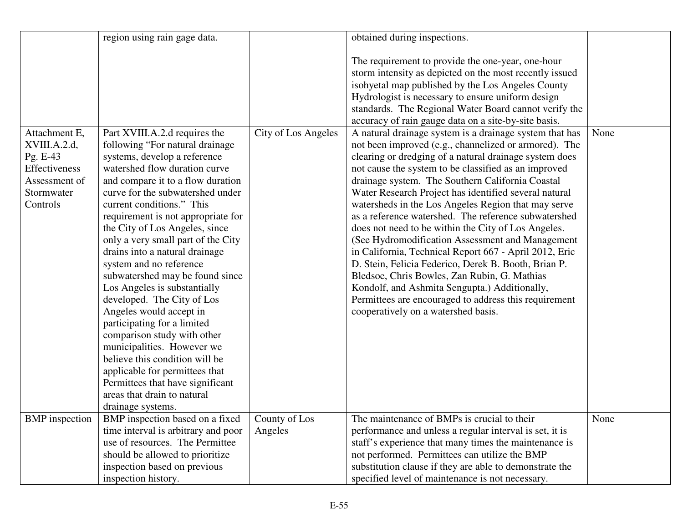|                               | region using rain gage data.                                          |                     | obtained during inspections.                                                                                                                                                                                                                                                                                                                                                                                                                                |      |
|-------------------------------|-----------------------------------------------------------------------|---------------------|-------------------------------------------------------------------------------------------------------------------------------------------------------------------------------------------------------------------------------------------------------------------------------------------------------------------------------------------------------------------------------------------------------------------------------------------------------------|------|
| Attachment E,<br>XVIII.A.2.d, | Part XVIII.A.2.d requires the<br>following "For natural drainage      | City of Los Angeles | The requirement to provide the one-year, one-hour<br>storm intensity as depicted on the most recently issued<br>isohyetal map published by the Los Angeles County<br>Hydrologist is necessary to ensure uniform design<br>standards. The Regional Water Board cannot verify the<br>accuracy of rain gauge data on a site-by-site basis.<br>A natural drainage system is a drainage system that has<br>not been improved (e.g., channelized or armored). The | None |
| Pg. E-43                      | systems, develop a reference                                          |                     | clearing or dredging of a natural drainage system does                                                                                                                                                                                                                                                                                                                                                                                                      |      |
| Effectiveness                 | watershed flow duration curve                                         |                     | not cause the system to be classified as an improved                                                                                                                                                                                                                                                                                                                                                                                                        |      |
| Assessment of<br>Stormwater   | and compare it to a flow duration<br>curve for the subwatershed under |                     | drainage system. The Southern California Coastal<br>Water Research Project has identified several natural                                                                                                                                                                                                                                                                                                                                                   |      |
| Controls                      | current conditions." This                                             |                     | watersheds in the Los Angeles Region that may serve                                                                                                                                                                                                                                                                                                                                                                                                         |      |
|                               | requirement is not appropriate for                                    |                     | as a reference watershed. The reference subwatershed                                                                                                                                                                                                                                                                                                                                                                                                        |      |
|                               | the City of Los Angeles, since                                        |                     | does not need to be within the City of Los Angeles.                                                                                                                                                                                                                                                                                                                                                                                                         |      |
|                               | only a very small part of the City                                    |                     | (See Hydromodification Assessment and Management                                                                                                                                                                                                                                                                                                                                                                                                            |      |
|                               | drains into a natural drainage<br>system and no reference             |                     | in California, Technical Report 667 - April 2012, Eric<br>D. Stein, Felicia Federico, Derek B. Booth, Brian P.                                                                                                                                                                                                                                                                                                                                              |      |
|                               | subwatershed may be found since                                       |                     | Bledsoe, Chris Bowles, Zan Rubin, G. Mathias                                                                                                                                                                                                                                                                                                                                                                                                                |      |
|                               | Los Angeles is substantially                                          |                     | Kondolf, and Ashmita Sengupta.) Additionally,                                                                                                                                                                                                                                                                                                                                                                                                               |      |
|                               | developed. The City of Los                                            |                     | Permittees are encouraged to address this requirement                                                                                                                                                                                                                                                                                                                                                                                                       |      |
|                               | Angeles would accept in                                               |                     | cooperatively on a watershed basis.                                                                                                                                                                                                                                                                                                                                                                                                                         |      |
|                               | participating for a limited                                           |                     |                                                                                                                                                                                                                                                                                                                                                                                                                                                             |      |
|                               | comparison study with other                                           |                     |                                                                                                                                                                                                                                                                                                                                                                                                                                                             |      |
|                               | municipalities. However we<br>believe this condition will be          |                     |                                                                                                                                                                                                                                                                                                                                                                                                                                                             |      |
|                               | applicable for permittees that                                        |                     |                                                                                                                                                                                                                                                                                                                                                                                                                                                             |      |
|                               | Permittees that have significant                                      |                     |                                                                                                                                                                                                                                                                                                                                                                                                                                                             |      |
|                               | areas that drain to natural                                           |                     |                                                                                                                                                                                                                                                                                                                                                                                                                                                             |      |
|                               | drainage systems.                                                     |                     |                                                                                                                                                                                                                                                                                                                                                                                                                                                             |      |
| <b>BMP</b> inspection         | BMP inspection based on a fixed                                       | County of Los       | The maintenance of BMPs is crucial to their                                                                                                                                                                                                                                                                                                                                                                                                                 | None |
|                               | time interval is arbitrary and poor                                   | Angeles             | performance and unless a regular interval is set, it is                                                                                                                                                                                                                                                                                                                                                                                                     |      |
|                               | use of resources. The Permittee                                       |                     | staff's experience that many times the maintenance is                                                                                                                                                                                                                                                                                                                                                                                                       |      |
|                               | should be allowed to prioritize                                       |                     | not performed. Permittees can utilize the BMP<br>substitution clause if they are able to demonstrate the                                                                                                                                                                                                                                                                                                                                                    |      |
|                               | inspection based on previous<br>inspection history.                   |                     | specified level of maintenance is not necessary.                                                                                                                                                                                                                                                                                                                                                                                                            |      |
|                               |                                                                       |                     |                                                                                                                                                                                                                                                                                                                                                                                                                                                             |      |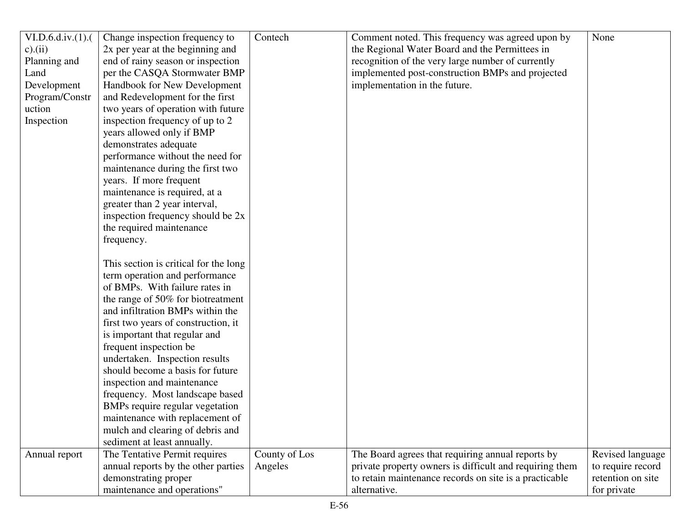| VI.D.6.d.iv.(1). | Change inspection frequency to        | Contech       | Comment noted. This frequency was agreed upon by        | None              |
|------------------|---------------------------------------|---------------|---------------------------------------------------------|-------------------|
| $c$ ). $(ii)$    | 2x per year at the beginning and      |               | the Regional Water Board and the Permittees in          |                   |
| Planning and     | end of rainy season or inspection     |               | recognition of the very large number of currently       |                   |
| Land             | per the CASQA Stormwater BMP          |               | implemented post-construction BMPs and projected        |                   |
| Development      | Handbook for New Development          |               | implementation in the future.                           |                   |
| Program/Constr   | and Redevelopment for the first       |               |                                                         |                   |
| uction           | two years of operation with future    |               |                                                         |                   |
| Inspection       | inspection frequency of up to 2       |               |                                                         |                   |
|                  | years allowed only if BMP             |               |                                                         |                   |
|                  | demonstrates adequate                 |               |                                                         |                   |
|                  | performance without the need for      |               |                                                         |                   |
|                  | maintenance during the first two      |               |                                                         |                   |
|                  | years. If more frequent               |               |                                                         |                   |
|                  | maintenance is required, at a         |               |                                                         |                   |
|                  | greater than 2 year interval,         |               |                                                         |                   |
|                  | inspection frequency should be 2x     |               |                                                         |                   |
|                  | the required maintenance              |               |                                                         |                   |
|                  | frequency.                            |               |                                                         |                   |
|                  |                                       |               |                                                         |                   |
|                  | This section is critical for the long |               |                                                         |                   |
|                  | term operation and performance        |               |                                                         |                   |
|                  | of BMPs. With failure rates in        |               |                                                         |                   |
|                  | the range of 50% for biotreatment     |               |                                                         |                   |
|                  | and infiltration BMPs within the      |               |                                                         |                   |
|                  | first two years of construction, it   |               |                                                         |                   |
|                  | is important that regular and         |               |                                                         |                   |
|                  | frequent inspection be                |               |                                                         |                   |
|                  | undertaken. Inspection results        |               |                                                         |                   |
|                  | should become a basis for future      |               |                                                         |                   |
|                  | inspection and maintenance            |               |                                                         |                   |
|                  | frequency. Most landscape based       |               |                                                         |                   |
|                  | BMPs require regular vegetation       |               |                                                         |                   |
|                  | maintenance with replacement of       |               |                                                         |                   |
|                  | mulch and clearing of debris and      |               |                                                         |                   |
|                  | sediment at least annually.           |               |                                                         |                   |
| Annual report    | The Tentative Permit requires         | County of Los | The Board agrees that requiring annual reports by       | Revised language  |
|                  | annual reports by the other parties   | Angeles       | private property owners is difficult and requiring them | to require record |
|                  | demonstrating proper                  |               | to retain maintenance records on site is a practicable  | retention on site |
|                  |                                       |               | alternative.                                            |                   |
|                  | maintenance and operations"           |               |                                                         | for private       |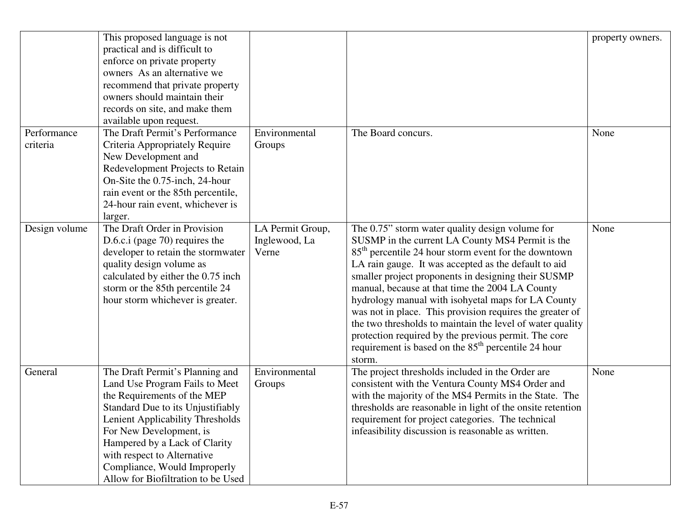|                         | This proposed language is not<br>practical and is difficult to<br>enforce on private property<br>owners As an alternative we<br>recommend that private property<br>owners should maintain their<br>records on site, and make them<br>available upon request.                                                                               |                                            |                                                                                                                                                                                                                                                                                                                                                                                                                                                                                                                                                                                                                                                               | property owners. |
|-------------------------|--------------------------------------------------------------------------------------------------------------------------------------------------------------------------------------------------------------------------------------------------------------------------------------------------------------------------------------------|--------------------------------------------|---------------------------------------------------------------------------------------------------------------------------------------------------------------------------------------------------------------------------------------------------------------------------------------------------------------------------------------------------------------------------------------------------------------------------------------------------------------------------------------------------------------------------------------------------------------------------------------------------------------------------------------------------------------|------------------|
| Performance<br>criteria | The Draft Permit's Performance<br>Criteria Appropriately Require<br>New Development and<br>Redevelopment Projects to Retain<br>On-Site the 0.75-inch, 24-hour<br>rain event or the 85th percentile,<br>24-hour rain event, whichever is<br>larger.                                                                                         | Environmental<br>Groups                    | The Board concurs.                                                                                                                                                                                                                                                                                                                                                                                                                                                                                                                                                                                                                                            | None             |
| Design volume           | The Draft Order in Provision<br>D.6.c.i (page 70) requires the<br>developer to retain the stormwater<br>quality design volume as<br>calculated by either the 0.75 inch<br>storm or the 85th percentile 24<br>hour storm whichever is greater.                                                                                              | LA Permit Group,<br>Inglewood, La<br>Verne | The 0.75" storm water quality design volume for<br>SUSMP in the current LA County MS4 Permit is the<br>85 <sup>th</sup> percentile 24 hour storm event for the downtown<br>LA rain gauge. It was accepted as the default to aid<br>smaller project proponents in designing their SUSMP<br>manual, because at that time the 2004 LA County<br>hydrology manual with isohyetal maps for LA County<br>was not in place. This provision requires the greater of<br>the two thresholds to maintain the level of water quality<br>protection required by the previous permit. The core<br>requirement is based on the 85 <sup>th</sup> percentile 24 hour<br>storm. | None             |
| General                 | The Draft Permit's Planning and<br>Land Use Program Fails to Meet<br>the Requirements of the MEP<br>Standard Due to its Unjustifiably<br>Lenient Applicability Thresholds<br>For New Development, is<br>Hampered by a Lack of Clarity<br>with respect to Alternative<br>Compliance, Would Improperly<br>Allow for Biofiltration to be Used | Environmental<br>Groups                    | The project thresholds included in the Order are<br>consistent with the Ventura County MS4 Order and<br>with the majority of the MS4 Permits in the State. The<br>thresholds are reasonable in light of the onsite retention<br>requirement for project categories. The technical<br>infeasibility discussion is reasonable as written.                                                                                                                                                                                                                                                                                                                       | None             |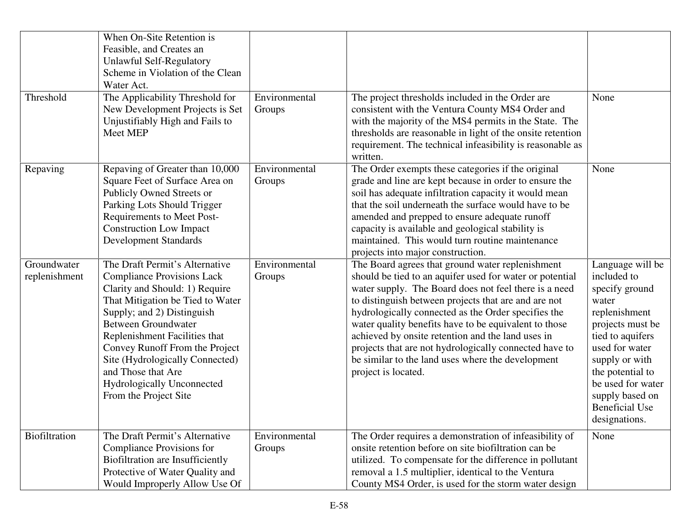|                              | When On-Site Retention is<br>Feasible, and Creates an<br>Unlawful Self-Regulatory<br>Scheme in Violation of the Clean<br>Water Act.                                                                                                                                                                                                                                                      |                         |                                                                                                                                                                                                                                                                                                                                                                                                                                                                                                                                          |                                                                                                                                                                                                                                                               |
|------------------------------|------------------------------------------------------------------------------------------------------------------------------------------------------------------------------------------------------------------------------------------------------------------------------------------------------------------------------------------------------------------------------------------|-------------------------|------------------------------------------------------------------------------------------------------------------------------------------------------------------------------------------------------------------------------------------------------------------------------------------------------------------------------------------------------------------------------------------------------------------------------------------------------------------------------------------------------------------------------------------|---------------------------------------------------------------------------------------------------------------------------------------------------------------------------------------------------------------------------------------------------------------|
| Threshold                    | The Applicability Threshold for<br>New Development Projects is Set<br>Unjustifiably High and Fails to<br>Meet MEP                                                                                                                                                                                                                                                                        | Environmental<br>Groups | The project thresholds included in the Order are<br>consistent with the Ventura County MS4 Order and<br>with the majority of the MS4 permits in the State. The<br>thresholds are reasonable in light of the onsite retention<br>requirement. The technical infeasibility is reasonable as<br>written.                                                                                                                                                                                                                                    | None                                                                                                                                                                                                                                                          |
| Repaving                     | Repaving of Greater than 10,000<br>Square Feet of Surface Area on<br>Publicly Owned Streets or<br>Parking Lots Should Trigger<br>Requirements to Meet Post-<br><b>Construction Low Impact</b><br><b>Development Standards</b>                                                                                                                                                            | Environmental<br>Groups | The Order exempts these categories if the original<br>grade and line are kept because in order to ensure the<br>soil has adequate infiltration capacity it would mean<br>that the soil underneath the surface would have to be<br>amended and prepped to ensure adequate runoff<br>capacity is available and geological stability is<br>maintained. This would turn routine maintenance<br>projects into major construction.                                                                                                             | None                                                                                                                                                                                                                                                          |
| Groundwater<br>replenishment | The Draft Permit's Alternative<br><b>Compliance Provisions Lack</b><br>Clarity and Should: 1) Require<br>That Mitigation be Tied to Water<br>Supply; and 2) Distinguish<br><b>Between Groundwater</b><br>Replenishment Facilities that<br>Convey Runoff From the Project<br>Site (Hydrologically Connected)<br>and Those that Are<br>Hydrologically Unconnected<br>From the Project Site | Environmental<br>Groups | The Board agrees that ground water replenishment<br>should be tied to an aquifer used for water or potential<br>water supply. The Board does not feel there is a need<br>to distinguish between projects that are and are not<br>hydrologically connected as the Order specifies the<br>water quality benefits have to be equivalent to those<br>achieved by onsite retention and the land uses in<br>projects that are not hydrologically connected have to<br>be similar to the land uses where the development<br>project is located. | Language will be<br>included to<br>specify ground<br>water<br>replenishment<br>projects must be<br>tied to aquifers<br>used for water<br>supply or with<br>the potential to<br>be used for water<br>supply based on<br><b>Beneficial Use</b><br>designations. |
| Biofiltration                | The Draft Permit's Alternative<br>Compliance Provisions for<br>Biofiltration are Insufficiently<br>Protective of Water Quality and<br>Would Improperly Allow Use Of                                                                                                                                                                                                                      | Environmental<br>Groups | The Order requires a demonstration of infeasibility of<br>onsite retention before on site biofiltration can be<br>utilized. To compensate for the difference in pollutant<br>removal a 1.5 multiplier, identical to the Ventura<br>County MS4 Order, is used for the storm water design                                                                                                                                                                                                                                                  | None                                                                                                                                                                                                                                                          |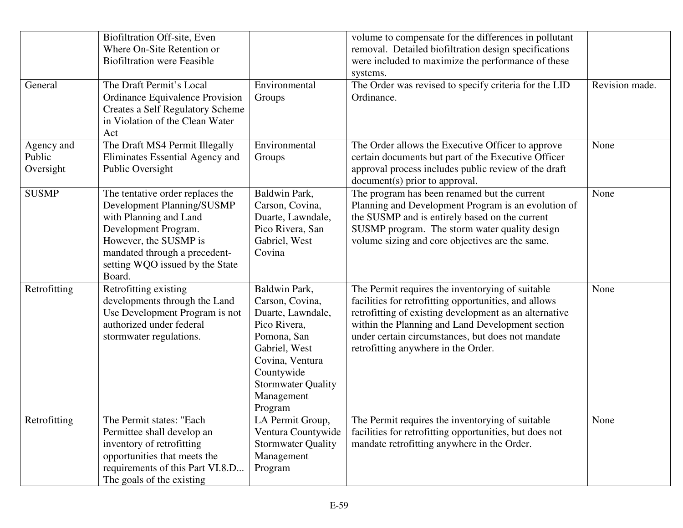|                                   | Biofiltration Off-site, Even<br>Where On-Site Retention or<br><b>Biofiltration were Feasible</b><br>The Draft Permit's Local                                                                                            | Environmental                                                                                                                                                                                | volume to compensate for the differences in pollutant<br>removal. Detailed biofiltration design specifications<br>were included to maximize the performance of these<br>systems.                                                                                                                                    | Revision made. |
|-----------------------------------|-------------------------------------------------------------------------------------------------------------------------------------------------------------------------------------------------------------------------|----------------------------------------------------------------------------------------------------------------------------------------------------------------------------------------------|---------------------------------------------------------------------------------------------------------------------------------------------------------------------------------------------------------------------------------------------------------------------------------------------------------------------|----------------|
| General                           | Ordinance Equivalence Provision<br><b>Creates a Self Regulatory Scheme</b><br>in Violation of the Clean Water<br>Act                                                                                                    | Groups                                                                                                                                                                                       | The Order was revised to specify criteria for the LID<br>Ordinance.                                                                                                                                                                                                                                                 |                |
| Agency and<br>Public<br>Oversight | The Draft MS4 Permit Illegally<br>Eliminates Essential Agency and<br>Public Oversight                                                                                                                                   | Environmental<br>Groups                                                                                                                                                                      | The Order allows the Executive Officer to approve<br>certain documents but part of the Executive Officer<br>approval process includes public review of the draft<br>document(s) prior to approval.                                                                                                                  | None           |
| <b>SUSMP</b>                      | The tentative order replaces the<br>Development Planning/SUSMP<br>with Planning and Land<br>Development Program.<br>However, the SUSMP is<br>mandated through a precedent-<br>setting WQO issued by the State<br>Board. | Baldwin Park,<br>Carson, Covina,<br>Duarte, Lawndale,<br>Pico Rivera, San<br>Gabriel, West<br>Covina                                                                                         | The program has been renamed but the current<br>Planning and Development Program is an evolution of<br>the SUSMP and is entirely based on the current<br>SUSMP program. The storm water quality design<br>volume sizing and core objectives are the same.                                                           | None           |
| Retrofitting                      | Retrofitting existing<br>developments through the Land<br>Use Development Program is not<br>authorized under federal<br>stormwater regulations.                                                                         | Baldwin Park,<br>Carson, Covina,<br>Duarte, Lawndale,<br>Pico Rivera,<br>Pomona, San<br>Gabriel, West<br>Covina, Ventura<br>Countywide<br><b>Stormwater Quality</b><br>Management<br>Program | The Permit requires the inventorying of suitable<br>facilities for retrofitting opportunities, and allows<br>retrofitting of existing development as an alternative<br>within the Planning and Land Development section<br>under certain circumstances, but does not mandate<br>retrofitting anywhere in the Order. | None           |
| Retrofitting                      | The Permit states: "Each<br>Permittee shall develop an<br>inventory of retrofitting<br>opportunities that meets the<br>requirements of this Part VI.8.D<br>The goals of the existing                                    | LA Permit Group,<br>Ventura Countywide<br><b>Stormwater Quality</b><br>Management<br>Program                                                                                                 | The Permit requires the inventorying of suitable<br>facilities for retrofitting opportunities, but does not<br>mandate retrofitting anywhere in the Order.                                                                                                                                                          | None           |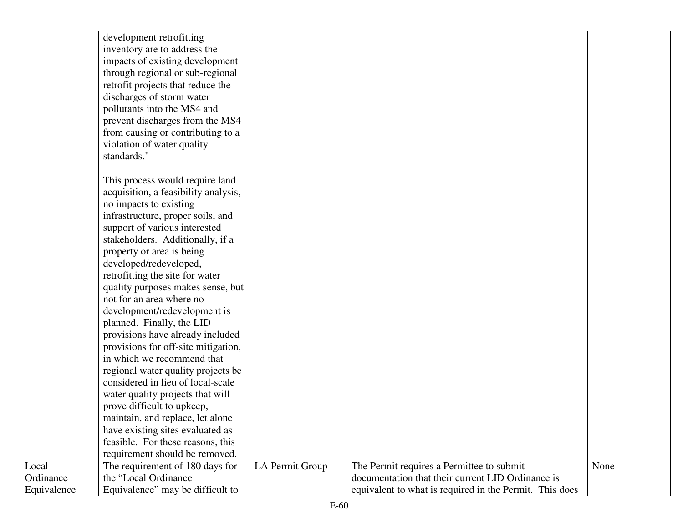|             | development retrofitting             |                 |                                                         |      |
|-------------|--------------------------------------|-----------------|---------------------------------------------------------|------|
|             | inventory are to address the         |                 |                                                         |      |
|             | impacts of existing development      |                 |                                                         |      |
|             | through regional or sub-regional     |                 |                                                         |      |
|             | retrofit projects that reduce the    |                 |                                                         |      |
|             | discharges of storm water            |                 |                                                         |      |
|             | pollutants into the MS4 and          |                 |                                                         |      |
|             | prevent discharges from the MS4      |                 |                                                         |      |
|             | from causing or contributing to a    |                 |                                                         |      |
|             | violation of water quality           |                 |                                                         |      |
|             | standards."                          |                 |                                                         |      |
|             |                                      |                 |                                                         |      |
|             | This process would require land      |                 |                                                         |      |
|             | acquisition, a feasibility analysis, |                 |                                                         |      |
|             | no impacts to existing               |                 |                                                         |      |
|             | infrastructure, proper soils, and    |                 |                                                         |      |
|             | support of various interested        |                 |                                                         |      |
|             | stakeholders. Additionally, if a     |                 |                                                         |      |
|             | property or area is being            |                 |                                                         |      |
|             | developed/redeveloped,               |                 |                                                         |      |
|             | retrofitting the site for water      |                 |                                                         |      |
|             | quality purposes makes sense, but    |                 |                                                         |      |
|             | not for an area where no             |                 |                                                         |      |
|             | development/redevelopment is         |                 |                                                         |      |
|             | planned. Finally, the LID            |                 |                                                         |      |
|             | provisions have already included     |                 |                                                         |      |
|             | provisions for off-site mitigation,  |                 |                                                         |      |
|             | in which we recommend that           |                 |                                                         |      |
|             | regional water quality projects be   |                 |                                                         |      |
|             | considered in lieu of local-scale    |                 |                                                         |      |
|             | water quality projects that will     |                 |                                                         |      |
|             | prove difficult to upkeep,           |                 |                                                         |      |
|             | maintain, and replace, let alone     |                 |                                                         |      |
|             | have existing sites evaluated as     |                 |                                                         |      |
|             | feasible. For these reasons, this    |                 |                                                         |      |
|             | requirement should be removed.       |                 |                                                         |      |
| Local       | The requirement of 180 days for      | LA Permit Group | The Permit requires a Permittee to submit               | None |
| Ordinance   | the "Local Ordinance"                |                 | documentation that their current LID Ordinance is       |      |
| Equivalence | Equivalence" may be difficult to     |                 | equivalent to what is required in the Permit. This does |      |
|             |                                      |                 |                                                         |      |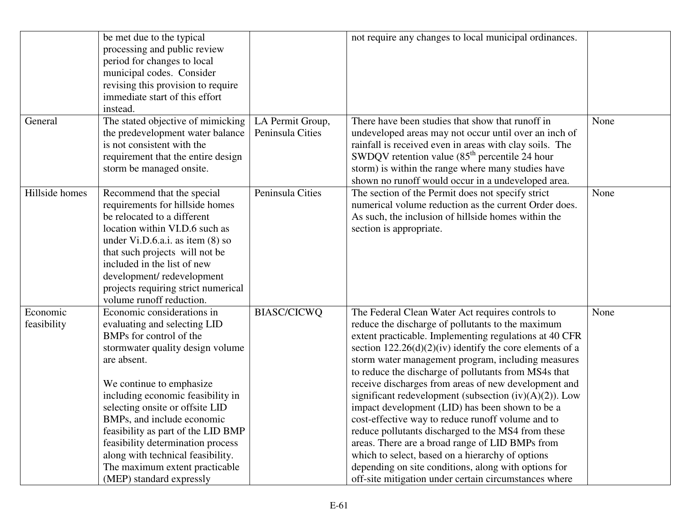|                         | be met due to the typical<br>processing and public review<br>period for changes to local<br>municipal codes. Consider<br>revising this provision to require<br>immediate start of this effort<br>instead.                                                                                                                                                                                                                                                |                                      | not require any changes to local municipal ordinances.                                                                                                                                                                                                                                                                                                                                                                                                                                                                                                                                                                                                                                                                                                                                                                                                 |      |
|-------------------------|----------------------------------------------------------------------------------------------------------------------------------------------------------------------------------------------------------------------------------------------------------------------------------------------------------------------------------------------------------------------------------------------------------------------------------------------------------|--------------------------------------|--------------------------------------------------------------------------------------------------------------------------------------------------------------------------------------------------------------------------------------------------------------------------------------------------------------------------------------------------------------------------------------------------------------------------------------------------------------------------------------------------------------------------------------------------------------------------------------------------------------------------------------------------------------------------------------------------------------------------------------------------------------------------------------------------------------------------------------------------------|------|
| General                 | The stated objective of mimicking<br>the predevelopment water balance<br>is not consistent with the<br>requirement that the entire design<br>storm be managed onsite.                                                                                                                                                                                                                                                                                    | LA Permit Group,<br>Peninsula Cities | There have been studies that show that runoff in<br>undeveloped areas may not occur until over an inch of<br>rainfall is received even in areas with clay soils. The<br>SWDQV retention value $(85th$ percentile 24 hour<br>storm) is within the range where many studies have<br>shown no runoff would occur in a undeveloped area.                                                                                                                                                                                                                                                                                                                                                                                                                                                                                                                   | None |
| Hillside homes          | Recommend that the special<br>requirements for hillside homes<br>be relocated to a different<br>location within VI.D.6 such as<br>under Vi.D.6.a.i. as item $(8)$ so<br>that such projects will not be<br>included in the list of new<br>development/redevelopment<br>projects requiring strict numerical<br>volume runoff reduction.                                                                                                                    | Peninsula Cities                     | The section of the Permit does not specify strict<br>numerical volume reduction as the current Order does.<br>As such, the inclusion of hillside homes within the<br>section is appropriate.                                                                                                                                                                                                                                                                                                                                                                                                                                                                                                                                                                                                                                                           | None |
| Economic<br>feasibility | Economic considerations in<br>evaluating and selecting LID<br>BMPs for control of the<br>stormwater quality design volume<br>are absent.<br>We continue to emphasize<br>including economic feasibility in<br>selecting onsite or offsite LID<br>BMPs, and include economic<br>feasibility as part of the LID BMP<br>feasibility determination process<br>along with technical feasibility.<br>The maximum extent practicable<br>(MEP) standard expressly | <b>BIASC/CICWQ</b>                   | The Federal Clean Water Act requires controls to<br>reduce the discharge of pollutants to the maximum<br>extent practicable. Implementing regulations at 40 CFR<br>section $122.26(d)(2)(iv)$ identify the core elements of a<br>storm water management program, including measures<br>to reduce the discharge of pollutants from MS4s that<br>receive discharges from areas of new development and<br>significant redevelopment (subsection $(iv)(A)(2)$ ). Low<br>impact development (LID) has been shown to be a<br>cost-effective way to reduce runoff volume and to<br>reduce pollutants discharged to the MS4 from these<br>areas. There are a broad range of LID BMPs from<br>which to select, based on a hierarchy of options<br>depending on site conditions, along with options for<br>off-site mitigation under certain circumstances where | None |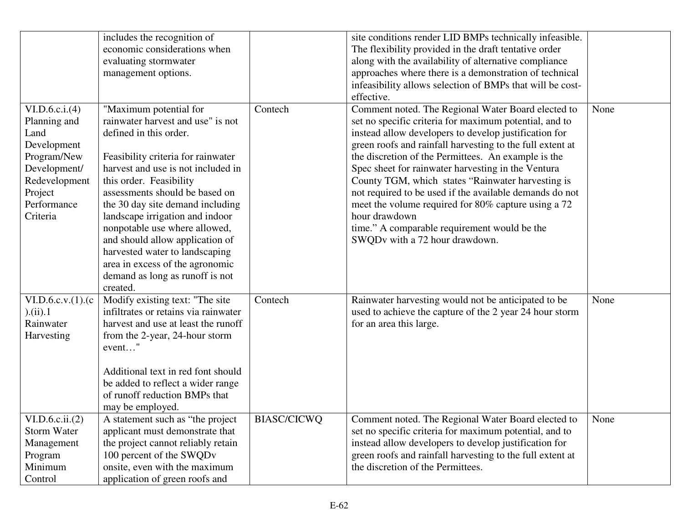|                      | includes the recognition of          |                    | site conditions render LID BMPs technically infeasible.   |      |
|----------------------|--------------------------------------|--------------------|-----------------------------------------------------------|------|
|                      | economic considerations when         |                    | The flexibility provided in the draft tentative order     |      |
|                      | evaluating stormwater                |                    | along with the availability of alternative compliance     |      |
|                      | management options.                  |                    | approaches where there is a demonstration of technical    |      |
|                      |                                      |                    | infeasibility allows selection of BMPs that will be cost- |      |
|                      |                                      |                    | effective.                                                |      |
| VI.D.6.c.i.(4)       | "Maximum potential for               | Contech            | Comment noted. The Regional Water Board elected to        | None |
| Planning and         | rainwater harvest and use" is not    |                    | set no specific criteria for maximum potential, and to    |      |
| Land                 | defined in this order.               |                    | instead allow developers to develop justification for     |      |
| Development          |                                      |                    | green roofs and rainfall harvesting to the full extent at |      |
| Program/New          | Feasibility criteria for rainwater   |                    | the discretion of the Permittees. An example is the       |      |
| Development/         | harvest and use is not included in   |                    | Spec sheet for rainwater harvesting in the Ventura        |      |
| Redevelopment        | this order. Feasibility              |                    | County TGM, which states "Rainwater harvesting is         |      |
| Project              | assessments should be based on       |                    | not required to be used if the available demands do not   |      |
| Performance          | the 30 day site demand including     |                    | meet the volume required for 80% capture using a 72       |      |
| Criteria             | landscape irrigation and indoor      |                    | hour drawdown                                             |      |
|                      | nonpotable use where allowed,        |                    | time." A comparable requirement would be the              |      |
|                      | and should allow application of      |                    | SWQDv with a 72 hour drawdown.                            |      |
|                      | harvested water to landscaping       |                    |                                                           |      |
|                      | area in excess of the agronomic      |                    |                                                           |      |
|                      | demand as long as runoff is not      |                    |                                                           |      |
| created.             |                                      |                    |                                                           |      |
| VI.D.6.c.v. (1). (c) | Modify existing text: "The site      | Contech            | Rainwater harvesting would not be anticipated to be       | None |
| $).$ (ii).1          | infiltrates or retains via rainwater |                    | used to achieve the capture of the 2 year 24 hour storm   |      |
| Rainwater            | harvest and use at least the runoff  |                    | for an area this large.                                   |      |
| Harvesting           | from the 2-year, 24-hour storm       |                    |                                                           |      |
| event"               |                                      |                    |                                                           |      |
|                      | Additional text in red font should   |                    |                                                           |      |
|                      | be added to reflect a wider range    |                    |                                                           |      |
|                      | of runoff reduction BMPs that        |                    |                                                           |      |
|                      | may be employed.                     |                    |                                                           |      |
| VI.D.6.c.ii.(2)      | A statement such as "the project"    | <b>BIASC/CICWQ</b> | Comment noted. The Regional Water Board elected to        | None |
| Storm Water          | applicant must demonstrate that      |                    | set no specific criteria for maximum potential, and to    |      |
| Management           | the project cannot reliably retain   |                    | instead allow developers to develop justification for     |      |
| Program              | 100 percent of the SWQDv             |                    | green roofs and rainfall harvesting to the full extent at |      |
| Minimum              | onsite, even with the maximum        |                    | the discretion of the Permittees.                         |      |
| Control              | application of green roofs and       |                    |                                                           |      |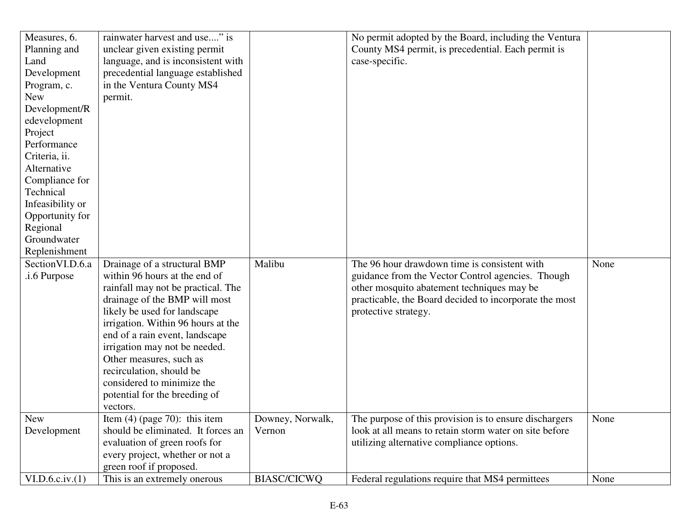| Measures, 6.     | rainwater harvest and use" is      |                  | No permit adopted by the Board, including the Ventura  |      |
|------------------|------------------------------------|------------------|--------------------------------------------------------|------|
| Planning and     | unclear given existing permit      |                  | County MS4 permit, is precedential. Each permit is     |      |
| Land             | language, and is inconsistent with |                  | case-specific.                                         |      |
| Development      | precedential language established  |                  |                                                        |      |
| Program, c.      | in the Ventura County MS4          |                  |                                                        |      |
| <b>New</b>       | permit.                            |                  |                                                        |      |
| Development/R    |                                    |                  |                                                        |      |
| edevelopment     |                                    |                  |                                                        |      |
| Project          |                                    |                  |                                                        |      |
| Performance      |                                    |                  |                                                        |      |
| Criteria, ii.    |                                    |                  |                                                        |      |
| Alternative      |                                    |                  |                                                        |      |
| Compliance for   |                                    |                  |                                                        |      |
| Technical        |                                    |                  |                                                        |      |
| Infeasibility or |                                    |                  |                                                        |      |
| Opportunity for  |                                    |                  |                                                        |      |
| Regional         |                                    |                  |                                                        |      |
| Groundwater      |                                    |                  |                                                        |      |
| Replenishment    |                                    |                  |                                                        |      |
| Section VI.D.6.a | Drainage of a structural BMP       | Malibu           | The 96 hour drawdown time is consistent with           | None |
| .i.6 Purpose     | within 96 hours at the end of      |                  | guidance from the Vector Control agencies. Though      |      |
|                  | rainfall may not be practical. The |                  | other mosquito abatement techniques may be             |      |
|                  | drainage of the BMP will most      |                  | practicable, the Board decided to incorporate the most |      |
|                  | likely be used for landscape       |                  | protective strategy.                                   |      |
|                  | irrigation. Within 96 hours at the |                  |                                                        |      |
|                  | end of a rain event, landscape     |                  |                                                        |      |
|                  | irrigation may not be needed.      |                  |                                                        |      |
|                  | Other measures, such as            |                  |                                                        |      |
|                  | recirculation, should be           |                  |                                                        |      |
|                  | considered to minimize the         |                  |                                                        |      |
|                  | potential for the breeding of      |                  |                                                        |      |
|                  | vectors.                           |                  |                                                        |      |
| New              | Item $(4)$ (page 70): this item    | Downey, Norwalk, | The purpose of this provision is to ensure dischargers | None |
| Development      | should be eliminated. It forces an | Vernon           | look at all means to retain storm water on site before |      |
|                  | evaluation of green roofs for      |                  | utilizing alternative compliance options.              |      |
|                  | every project, whether or not a    |                  |                                                        |      |
|                  |                                    |                  |                                                        |      |
|                  | green roof if proposed.            |                  |                                                        |      |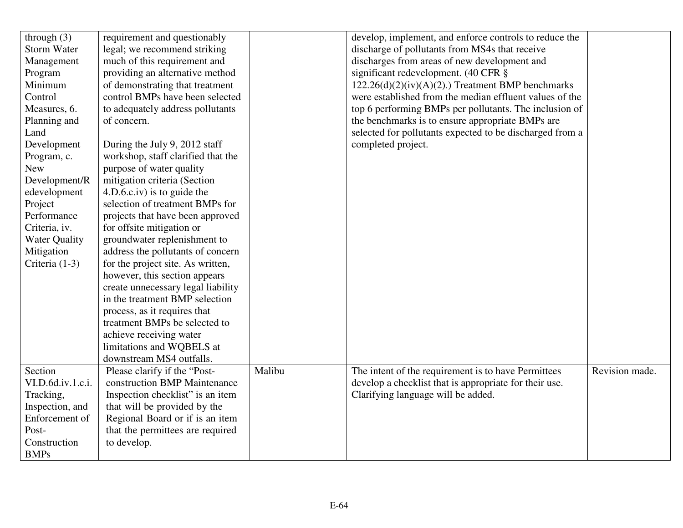| through $(3)$        | requirement and questionably       |        | develop, implement, and enforce controls to reduce the   |                |
|----------------------|------------------------------------|--------|----------------------------------------------------------|----------------|
| <b>Storm Water</b>   | legal; we recommend striking       |        | discharge of pollutants from MS4s that receive           |                |
| Management           | much of this requirement and       |        | discharges from areas of new development and             |                |
| Program              | providing an alternative method    |        | significant redevelopment. (40 CFR §                     |                |
| Minimum              | of demonstrating that treatment    |        | $122.26(d)(2)(iv)(A)(2)$ .) Treatment BMP benchmarks     |                |
| Control              | control BMPs have been selected    |        | were established from the median effluent values of the  |                |
| Measures, 6.         | to adequately address pollutants   |        | top 6 performing BMPs per pollutants. The inclusion of   |                |
| Planning and         | of concern.                        |        | the benchmarks is to ensure appropriate BMPs are         |                |
| Land                 |                                    |        | selected for pollutants expected to be discharged from a |                |
| Development          | During the July 9, 2012 staff      |        | completed project.                                       |                |
| Program, c.          | workshop, staff clarified that the |        |                                                          |                |
| <b>New</b>           | purpose of water quality           |        |                                                          |                |
| Development/R        | mitigation criteria (Section       |        |                                                          |                |
| edevelopment         | $4.D.6.c.iv)$ is to guide the      |        |                                                          |                |
| Project              | selection of treatment BMPs for    |        |                                                          |                |
| Performance          | projects that have been approved   |        |                                                          |                |
| Criteria, iv.        | for offsite mitigation or          |        |                                                          |                |
| <b>Water Quality</b> | groundwater replenishment to       |        |                                                          |                |
| Mitigation           | address the pollutants of concern  |        |                                                          |                |
| Criteria $(1-3)$     | for the project site. As written,  |        |                                                          |                |
|                      | however, this section appears      |        |                                                          |                |
|                      | create unnecessary legal liability |        |                                                          |                |
|                      | in the treatment BMP selection     |        |                                                          |                |
|                      | process, as it requires that       |        |                                                          |                |
|                      | treatment BMPs be selected to      |        |                                                          |                |
|                      | achieve receiving water            |        |                                                          |                |
|                      | limitations and WQBELS at          |        |                                                          |                |
|                      | downstream MS4 outfalls.           |        |                                                          |                |
| Section              | Please clarify if the "Post-       | Malibu | The intent of the requirement is to have Permittees      | Revision made. |
| VI.D.6d.iv.1.c.i.    | construction BMP Maintenance       |        | develop a checklist that is appropriate for their use.   |                |
| Tracking,            | Inspection checklist" is an item   |        | Clarifying language will be added.                       |                |
| Inspection, and      | that will be provided by the       |        |                                                          |                |
| Enforcement of       | Regional Board or if is an item    |        |                                                          |                |
| Post-                | that the permittees are required   |        |                                                          |                |
| Construction         | to develop.                        |        |                                                          |                |
| <b>BMPs</b>          |                                    |        |                                                          |                |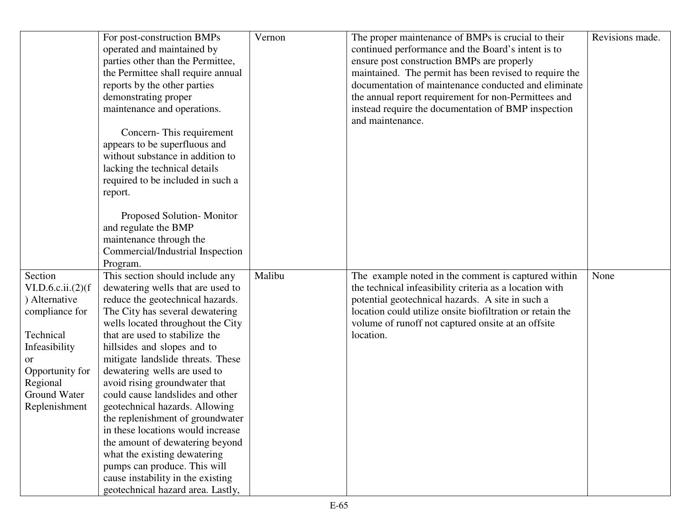|                                                                                                                                                                       | For post-construction BMPs<br>operated and maintained by<br>parties other than the Permittee,<br>the Permittee shall require annual<br>reports by the other parties<br>demonstrating proper<br>maintenance and operations.<br>Concern-This requirement<br>appears to be superfluous and<br>without substance in addition to<br>lacking the technical details<br>required to be included in such a<br>report.                                                                                                                                                                                                                                                                        | Vernon | The proper maintenance of BMPs is crucial to their<br>continued performance and the Board's intent is to<br>ensure post construction BMPs are properly<br>maintained. The permit has been revised to require the<br>documentation of maintenance conducted and eliminate<br>the annual report requirement for non-Permittees and<br>instead require the documentation of BMP inspection<br>and maintenance. | Revisions made. |
|-----------------------------------------------------------------------------------------------------------------------------------------------------------------------|-------------------------------------------------------------------------------------------------------------------------------------------------------------------------------------------------------------------------------------------------------------------------------------------------------------------------------------------------------------------------------------------------------------------------------------------------------------------------------------------------------------------------------------------------------------------------------------------------------------------------------------------------------------------------------------|--------|-------------------------------------------------------------------------------------------------------------------------------------------------------------------------------------------------------------------------------------------------------------------------------------------------------------------------------------------------------------------------------------------------------------|-----------------|
|                                                                                                                                                                       | Proposed Solution-Monitor<br>and regulate the BMP<br>maintenance through the<br>Commercial/Industrial Inspection<br>Program.                                                                                                                                                                                                                                                                                                                                                                                                                                                                                                                                                        |        |                                                                                                                                                                                                                                                                                                                                                                                                             |                 |
| Section<br>VI.D.6.c.ii. (2)(f)<br>) Alternative<br>compliance for<br>Technical<br>Infeasibility<br>or<br>Opportunity for<br>Regional<br>Ground Water<br>Replenishment | This section should include any<br>dewatering wells that are used to<br>reduce the geotechnical hazards.<br>The City has several dewatering<br>wells located throughout the City<br>that are used to stabilize the<br>hillsides and slopes and to<br>mitigate landslide threats. These<br>dewatering wells are used to<br>avoid rising groundwater that<br>could cause landslides and other<br>geotechnical hazards. Allowing<br>the replenishment of groundwater<br>in these locations would increase<br>the amount of dewatering beyond<br>what the existing dewatering<br>pumps can produce. This will<br>cause instability in the existing<br>geotechnical hazard area. Lastly, | Malibu | The example noted in the comment is captured within<br>the technical infeasibility criteria as a location with<br>potential geotechnical hazards. A site in such a<br>location could utilize onsite biofiltration or retain the<br>volume of runoff not captured onsite at an offsite<br>location.                                                                                                          | None            |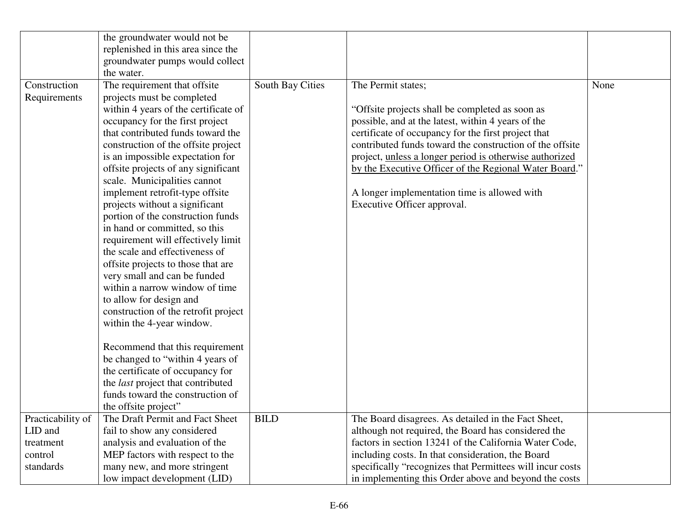|                   | the groundwater would not be             |                  |                                                           |      |
|-------------------|------------------------------------------|------------------|-----------------------------------------------------------|------|
|                   | replenished in this area since the       |                  |                                                           |      |
|                   | groundwater pumps would collect          |                  |                                                           |      |
|                   | the water.                               |                  |                                                           |      |
| Construction      | The requirement that offsite             | South Bay Cities | The Permit states;                                        | None |
| Requirements      | projects must be completed               |                  |                                                           |      |
|                   | within 4 years of the certificate of     |                  | "Offsite projects shall be completed as soon as           |      |
|                   | occupancy for the first project          |                  | possible, and at the latest, within 4 years of the        |      |
|                   | that contributed funds toward the        |                  | certificate of occupancy for the first project that       |      |
|                   | construction of the offsite project      |                  | contributed funds toward the construction of the offsite  |      |
|                   | is an impossible expectation for         |                  | project, unless a longer period is otherwise authorized   |      |
|                   | offsite projects of any significant      |                  | by the Executive Officer of the Regional Water Board."    |      |
|                   | scale. Municipalities cannot             |                  |                                                           |      |
|                   | implement retrofit-type offsite          |                  | A longer implementation time is allowed with              |      |
|                   | projects without a significant           |                  | Executive Officer approval.                               |      |
|                   | portion of the construction funds        |                  |                                                           |      |
|                   | in hand or committed, so this            |                  |                                                           |      |
|                   | requirement will effectively limit       |                  |                                                           |      |
|                   | the scale and effectiveness of           |                  |                                                           |      |
|                   | offsite projects to those that are       |                  |                                                           |      |
|                   | very small and can be funded             |                  |                                                           |      |
|                   | within a narrow window of time           |                  |                                                           |      |
|                   | to allow for design and                  |                  |                                                           |      |
|                   | construction of the retrofit project     |                  |                                                           |      |
|                   | within the 4-year window.                |                  |                                                           |      |
|                   | Recommend that this requirement          |                  |                                                           |      |
|                   | be changed to "within 4 years of         |                  |                                                           |      |
|                   | the certificate of occupancy for         |                  |                                                           |      |
|                   | the <i>last</i> project that contributed |                  |                                                           |      |
|                   | funds toward the construction of         |                  |                                                           |      |
|                   | the offsite project"                     |                  |                                                           |      |
| Practicability of | The Draft Permit and Fact Sheet          | <b>BILD</b>      | The Board disagrees. As detailed in the Fact Sheet,       |      |
| LID and           | fail to show any considered              |                  | although not required, the Board has considered the       |      |
| treatment         | analysis and evaluation of the           |                  | factors in section 13241 of the California Water Code,    |      |
| control           | MEP factors with respect to the          |                  | including costs. In that consideration, the Board         |      |
| standards         | many new, and more stringent             |                  | specifically "recognizes that Permittees will incur costs |      |
|                   | low impact development (LID)             |                  | in implementing this Order above and beyond the costs     |      |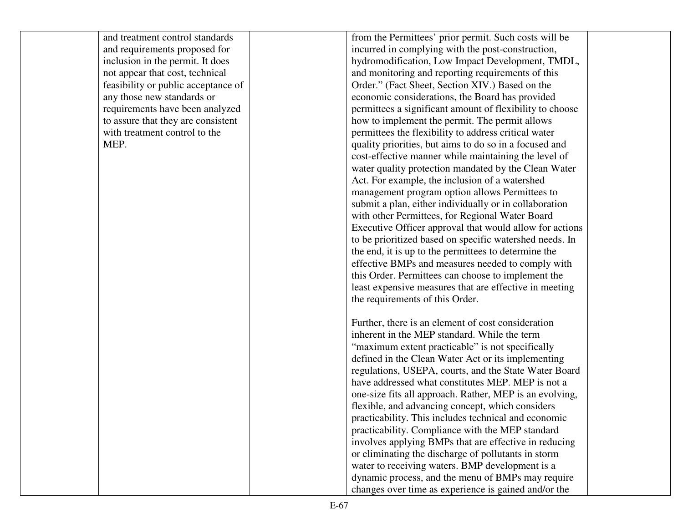| and treatment control standards     | from the Permittees' prior permit. Such costs will be    |  |
|-------------------------------------|----------------------------------------------------------|--|
| and requirements proposed for       | incurred in complying with the post-construction,        |  |
| inclusion in the permit. It does    | hydromodification, Low Impact Development, TMDL,         |  |
| not appear that cost, technical     | and monitoring and reporting requirements of this        |  |
| feasibility or public acceptance of | Order." (Fact Sheet, Section XIV.) Based on the          |  |
| any those new standards or          | economic considerations, the Board has provided          |  |
| requirements have been analyzed     | permittees a significant amount of flexibility to choose |  |
| to assure that they are consistent  | how to implement the permit. The permit allows           |  |
| with treatment control to the       | permittees the flexibility to address critical water     |  |
| MEP.                                | quality priorities, but aims to do so in a focused and   |  |
|                                     | cost-effective manner while maintaining the level of     |  |
|                                     | water quality protection mandated by the Clean Water     |  |
|                                     | Act. For example, the inclusion of a watershed           |  |
|                                     | management program option allows Permittees to           |  |
|                                     | submit a plan, either individually or in collaboration   |  |
|                                     | with other Permittees, for Regional Water Board          |  |
|                                     | Executive Officer approval that would allow for actions  |  |
|                                     | to be prioritized based on specific watershed needs. In  |  |
|                                     | the end, it is up to the permittees to determine the     |  |
|                                     | effective BMPs and measures needed to comply with        |  |
|                                     | this Order. Permittees can choose to implement the       |  |
|                                     | least expensive measures that are effective in meeting   |  |
|                                     | the requirements of this Order.                          |  |
|                                     |                                                          |  |
|                                     | Further, there is an element of cost consideration       |  |
|                                     | inherent in the MEP standard. While the term             |  |
|                                     | "maximum extent practicable" is not specifically         |  |
|                                     | defined in the Clean Water Act or its implementing       |  |
|                                     | regulations, USEPA, courts, and the State Water Board    |  |
|                                     | have addressed what constitutes MEP. MEP is not a        |  |
|                                     | one-size fits all approach. Rather, MEP is an evolving,  |  |
|                                     | flexible, and advancing concept, which considers         |  |
|                                     | practicability. This includes technical and economic     |  |
|                                     | practicability. Compliance with the MEP standard         |  |
|                                     | involves applying BMPs that are effective in reducing    |  |
|                                     | or eliminating the discharge of pollutants in storm      |  |
|                                     | water to receiving waters. BMP development is a          |  |
|                                     | dynamic process, and the menu of BMPs may require        |  |
|                                     | changes over time as experience is gained and/or the     |  |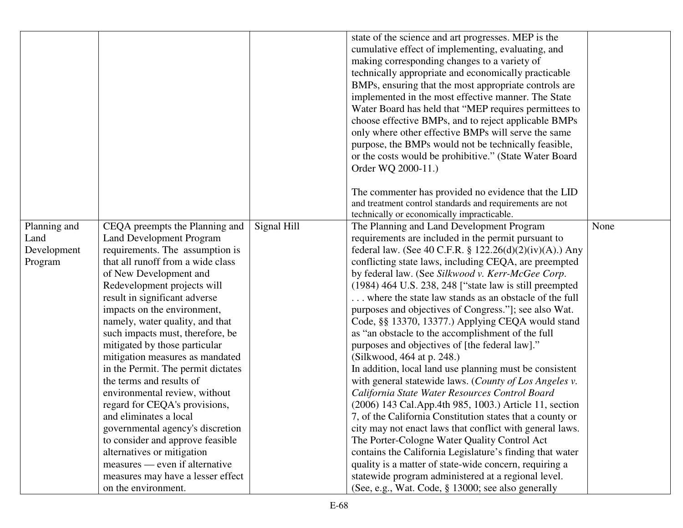|                                                |                                                                                                                                                                                                                                                                                                                                                                                                                                                                                                                                                                                                                                                                                                                                                                                 |             | state of the science and art progresses. MEP is the<br>cumulative effect of implementing, evaluating, and<br>making corresponding changes to a variety of<br>technically appropriate and economically practicable<br>BMPs, ensuring that the most appropriate controls are<br>implemented in the most effective manner. The State<br>Water Board has held that "MEP requires permittees to<br>choose effective BMPs, and to reject applicable BMPs<br>only where other effective BMPs will serve the same<br>purpose, the BMPs would not be technically feasible,<br>or the costs would be prohibitive." (State Water Board<br>Order WQ 2000-11.)                                                                                                                                                                                                                                                                                                                                                                                                                                                                                                                                                                                                                                               |      |
|------------------------------------------------|---------------------------------------------------------------------------------------------------------------------------------------------------------------------------------------------------------------------------------------------------------------------------------------------------------------------------------------------------------------------------------------------------------------------------------------------------------------------------------------------------------------------------------------------------------------------------------------------------------------------------------------------------------------------------------------------------------------------------------------------------------------------------------|-------------|-------------------------------------------------------------------------------------------------------------------------------------------------------------------------------------------------------------------------------------------------------------------------------------------------------------------------------------------------------------------------------------------------------------------------------------------------------------------------------------------------------------------------------------------------------------------------------------------------------------------------------------------------------------------------------------------------------------------------------------------------------------------------------------------------------------------------------------------------------------------------------------------------------------------------------------------------------------------------------------------------------------------------------------------------------------------------------------------------------------------------------------------------------------------------------------------------------------------------------------------------------------------------------------------------|------|
|                                                |                                                                                                                                                                                                                                                                                                                                                                                                                                                                                                                                                                                                                                                                                                                                                                                 |             | The commenter has provided no evidence that the LID<br>and treatment control standards and requirements are not<br>technically or economically impracticable.                                                                                                                                                                                                                                                                                                                                                                                                                                                                                                                                                                                                                                                                                                                                                                                                                                                                                                                                                                                                                                                                                                                                   |      |
| Planning and<br>Land<br>Development<br>Program | CEQA preempts the Planning and<br><b>Land Development Program</b><br>requirements. The assumption is<br>that all runoff from a wide class<br>of New Development and<br>Redevelopment projects will<br>result in significant adverse<br>impacts on the environment,<br>namely, water quality, and that<br>such impacts must, therefore, be<br>mitigated by those particular<br>mitigation measures as mandated<br>in the Permit. The permit dictates<br>the terms and results of<br>environmental review, without<br>regard for CEQA's provisions,<br>and eliminates a local<br>governmental agency's discretion<br>to consider and approve feasible<br>alternatives or mitigation<br>measures — even if alternative<br>measures may have a lesser effect<br>on the environment. | Signal Hill | The Planning and Land Development Program<br>requirements are included in the permit pursuant to<br>federal law. (See 40 C.F.R. § 122.26(d)(2)(iv)(A).) Any<br>conflicting state laws, including CEQA, are preempted<br>by federal law. (See Silkwood v. Kerr-McGee Corp.<br>$(1984)$ 464 U.S. 238, 248 ["state law is still preempted<br>where the state law stands as an obstacle of the full<br>purposes and objectives of Congress."]; see also Wat.<br>Code, §§ 13370, 13377.) Applying CEQA would stand<br>as "an obstacle to the accomplishment of the full<br>purposes and objectives of [the federal law]."<br>(Silkwood, 464 at p. 248.)<br>In addition, local land use planning must be consistent<br>with general statewide laws. (County of Los Angeles v.<br>California State Water Resources Control Board<br>(2006) 143 Cal.App.4th 985, 1003.) Article 11, section<br>7, of the California Constitution states that a county or<br>city may not enact laws that conflict with general laws.<br>The Porter-Cologne Water Quality Control Act<br>contains the California Legislature's finding that water<br>quality is a matter of state-wide concern, requiring a<br>statewide program administered at a regional level.<br>(See, e.g., Wat. Code, § 13000; see also generally | None |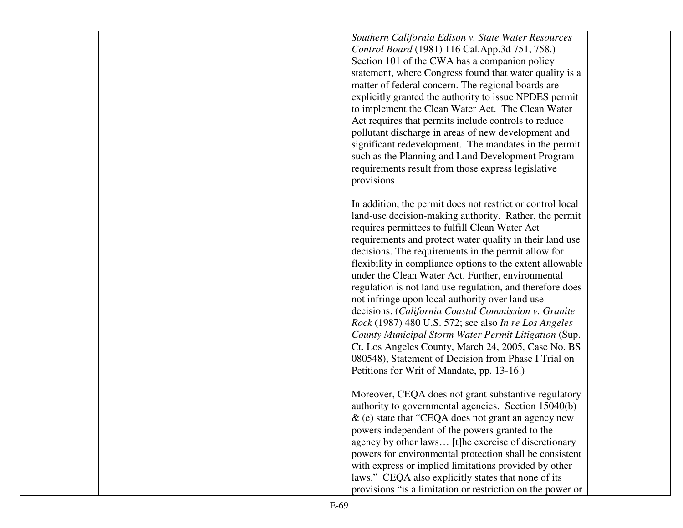|  | Southern California Edison v. State Water Resources        |  |
|--|------------------------------------------------------------|--|
|  | Control Board (1981) 116 Cal.App.3d 751, 758.)             |  |
|  | Section 101 of the CWA has a companion policy              |  |
|  | statement, where Congress found that water quality is a    |  |
|  | matter of federal concern. The regional boards are         |  |
|  | explicitly granted the authority to issue NPDES permit     |  |
|  | to implement the Clean Water Act. The Clean Water          |  |
|  | Act requires that permits include controls to reduce       |  |
|  | pollutant discharge in areas of new development and        |  |
|  | significant redevelopment. The mandates in the permit      |  |
|  | such as the Planning and Land Development Program          |  |
|  |                                                            |  |
|  | requirements result from those express legislative         |  |
|  | provisions.                                                |  |
|  | In addition, the permit does not restrict or control local |  |
|  |                                                            |  |
|  | land-use decision-making authority. Rather, the permit     |  |
|  | requires permittees to fulfill Clean Water Act             |  |
|  | requirements and protect water quality in their land use   |  |
|  | decisions. The requirements in the permit allow for        |  |
|  | flexibility in compliance options to the extent allowable  |  |
|  | under the Clean Water Act. Further, environmental          |  |
|  | regulation is not land use regulation, and therefore does  |  |
|  | not infringe upon local authority over land use            |  |
|  | decisions. (California Coastal Commission v. Granite       |  |
|  | Rock (1987) 480 U.S. 572; see also In re Los Angeles       |  |
|  | County Municipal Storm Water Permit Litigation (Sup.       |  |
|  | Ct. Los Angeles County, March 24, 2005, Case No. BS        |  |
|  | 080548), Statement of Decision from Phase I Trial on       |  |
|  | Petitions for Writ of Mandate, pp. 13-16.)                 |  |
|  |                                                            |  |
|  | Moreover, CEQA does not grant substantive regulatory       |  |
|  | authority to governmental agencies. Section 15040(b)       |  |
|  | & (e) state that "CEQA does not grant an agency new        |  |
|  | powers independent of the powers granted to the            |  |
|  | agency by other laws [t]he exercise of discretionary       |  |
|  | powers for environmental protection shall be consistent    |  |
|  | with express or implied limitations provided by other      |  |
|  | laws." CEQA also explicitly states that none of its        |  |
|  | provisions "is a limitation or restriction on the power or |  |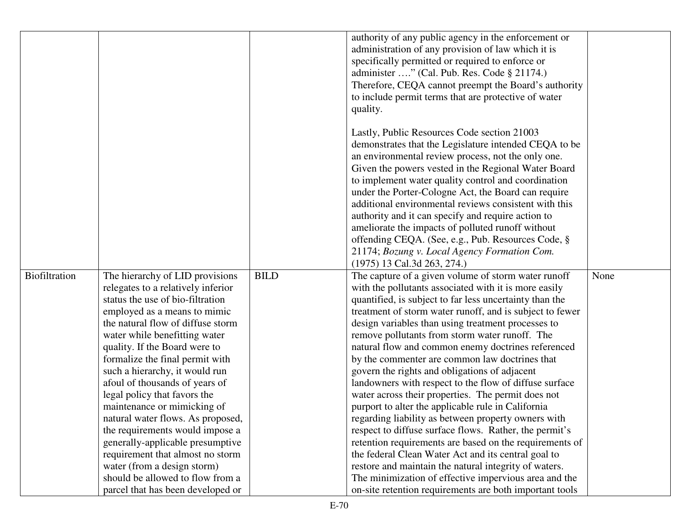|               |                                                                      |             | authority of any public agency in the enforcement or                                                           |      |
|---------------|----------------------------------------------------------------------|-------------|----------------------------------------------------------------------------------------------------------------|------|
|               |                                                                      |             | administration of any provision of law which it is                                                             |      |
|               |                                                                      |             | specifically permitted or required to enforce or                                                               |      |
|               |                                                                      |             | administer " (Cal. Pub. Res. Code § 21174.)                                                                    |      |
|               |                                                                      |             | Therefore, CEQA cannot preempt the Board's authority                                                           |      |
|               |                                                                      |             | to include permit terms that are protective of water                                                           |      |
|               |                                                                      |             | quality.                                                                                                       |      |
|               |                                                                      |             |                                                                                                                |      |
|               |                                                                      |             | Lastly, Public Resources Code section 21003                                                                    |      |
|               |                                                                      |             | demonstrates that the Legislature intended CEQA to be                                                          |      |
|               |                                                                      |             | an environmental review process, not the only one.                                                             |      |
|               |                                                                      |             | Given the powers vested in the Regional Water Board                                                            |      |
|               |                                                                      |             | to implement water quality control and coordination                                                            |      |
|               |                                                                      |             | under the Porter-Cologne Act, the Board can require                                                            |      |
|               |                                                                      |             | additional environmental reviews consistent with this                                                          |      |
|               |                                                                      |             | authority and it can specify and require action to                                                             |      |
|               |                                                                      |             | ameliorate the impacts of polluted runoff without                                                              |      |
|               |                                                                      |             | offending CEQA. (See, e.g., Pub. Resources Code, §                                                             |      |
|               |                                                                      |             | 21174; Bozung v. Local Agency Formation Com.                                                                   |      |
|               |                                                                      |             | (1975) 13 Cal.3d 263, 274.)                                                                                    |      |
| Biofiltration | The hierarchy of LID provisions                                      | <b>BILD</b> | The capture of a given volume of storm water runoff                                                            | None |
|               | relegates to a relatively inferior                                   |             | with the pollutants associated with it is more easily                                                          |      |
|               | status the use of bio-filtration                                     |             | quantified, is subject to far less uncertainty than the                                                        |      |
|               | employed as a means to mimic                                         |             | treatment of storm water runoff, and is subject to fewer                                                       |      |
|               | the natural flow of diffuse storm                                    |             | design variables than using treatment processes to                                                             |      |
|               | water while benefitting water                                        |             | remove pollutants from storm water runoff. The                                                                 |      |
|               | quality. If the Board were to                                        |             | natural flow and common enemy doctrines referenced                                                             |      |
|               | formalize the final permit with                                      |             | by the commenter are common law doctrines that                                                                 |      |
|               | such a hierarchy, it would run                                       |             | govern the rights and obligations of adjacent                                                                  |      |
|               | afoul of thousands of years of                                       |             | landowners with respect to the flow of diffuse surface                                                         |      |
|               | legal policy that favors the                                         |             | water across their properties. The permit does not                                                             |      |
|               | maintenance or mimicking of                                          |             | purport to alter the applicable rule in California                                                             |      |
|               | natural water flows. As proposed,                                    |             | regarding liability as between property owners with                                                            |      |
|               | the requirements would impose a                                      |             | respect to diffuse surface flows. Rather, the permit's                                                         |      |
|               |                                                                      |             |                                                                                                                |      |
|               |                                                                      |             | retention requirements are based on the requirements of                                                        |      |
|               | generally-applicable presumptive<br>requirement that almost no storm |             | the federal Clean Water Act and its central goal to                                                            |      |
|               | water (from a design storm)                                          |             |                                                                                                                |      |
|               | should be allowed to flow from a                                     |             | restore and maintain the natural integrity of waters.<br>The minimization of effective impervious area and the |      |
|               | parcel that has been developed or                                    |             | on-site retention requirements are both important tools                                                        |      |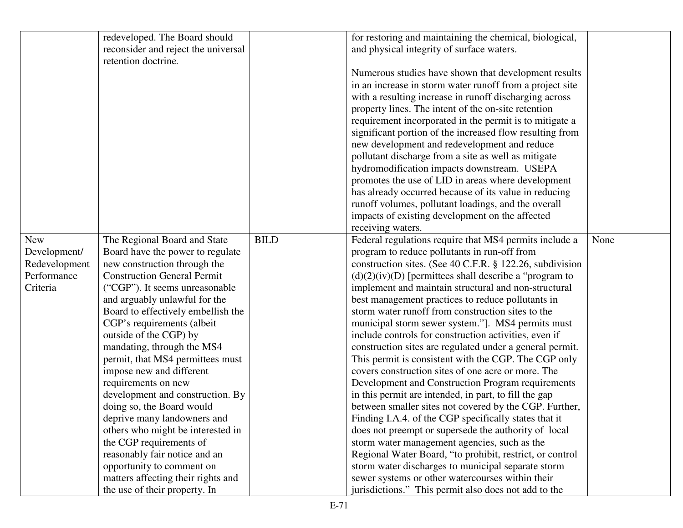|               | redeveloped. The Board should       |             | for restoring and maintaining the chemical, biological,   |      |
|---------------|-------------------------------------|-------------|-----------------------------------------------------------|------|
|               | reconsider and reject the universal |             | and physical integrity of surface waters.                 |      |
|               | retention doctrine.                 |             |                                                           |      |
|               |                                     |             | Numerous studies have shown that development results      |      |
|               |                                     |             | in an increase in storm water runoff from a project site  |      |
|               |                                     |             | with a resulting increase in runoff discharging across    |      |
|               |                                     |             | property lines. The intent of the on-site retention       |      |
|               |                                     |             | requirement incorporated in the permit is to mitigate a   |      |
|               |                                     |             | significant portion of the increased flow resulting from  |      |
|               |                                     |             | new development and redevelopment and reduce              |      |
|               |                                     |             | pollutant discharge from a site as well as mitigate       |      |
|               |                                     |             | hydromodification impacts downstream. USEPA               |      |
|               |                                     |             | promotes the use of LID in areas where development        |      |
|               |                                     |             | has already occurred because of its value in reducing     |      |
|               |                                     |             | runoff volumes, pollutant loadings, and the overall       |      |
|               |                                     |             | impacts of existing development on the affected           |      |
|               |                                     |             | receiving waters.                                         |      |
| <b>New</b>    | The Regional Board and State        | <b>BILD</b> | Federal regulations require that MS4 permits include a    | None |
| Development/  | Board have the power to regulate    |             | program to reduce pollutants in run-off from              |      |
| Redevelopment | new construction through the        |             | construction sites. (See 40 C.F.R. § 122.26, subdivision  |      |
| Performance   | <b>Construction General Permit</b>  |             | $(d)(2)(iv)(D)$ [permittees shall describe a "program to" |      |
| Criteria      | ("CGP"). It seems unreasonable      |             | implement and maintain structural and non-structural      |      |
|               | and arguably unlawful for the       |             | best management practices to reduce pollutants in         |      |
|               | Board to effectively embellish the  |             | storm water runoff from construction sites to the         |      |
|               | CGP's requirements (albeit          |             | municipal storm sewer system."]. MS4 permits must         |      |
|               | outside of the CGP) by              |             | include controls for construction activities, even if     |      |
|               | mandating, through the MS4          |             | construction sites are regulated under a general permit.  |      |
|               | permit, that MS4 permittees must    |             | This permit is consistent with the CGP. The CGP only      |      |
|               | impose new and different            |             | covers construction sites of one acre or more. The        |      |
|               | requirements on new                 |             | Development and Construction Program requirements         |      |
|               | development and construction. By    |             | in this permit are intended, in part, to fill the gap     |      |
|               | doing so, the Board would           |             | between smaller sites not covered by the CGP. Further,    |      |
|               | deprive many landowners and         |             | Finding I.A.4. of the CGP specifically states that it     |      |
|               | others who might be interested in   |             | does not preempt or supersede the authority of local      |      |
|               | the CGP requirements of             |             | storm water management agencies, such as the              |      |
|               | reasonably fair notice and an       |             | Regional Water Board, "to prohibit, restrict, or control  |      |
|               | opportunity to comment on           |             | storm water discharges to municipal separate storm        |      |
|               | matters affecting their rights and  |             | sewer systems or other watercourses within their          |      |
|               | the use of their property. In       |             | jurisdictions." This permit also does not add to the      |      |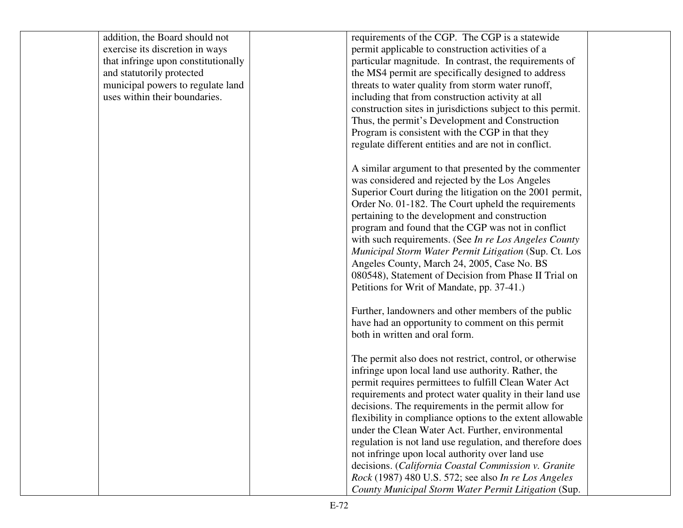| addition, the Board should not      | requirements of the CGP. The CGP is a statewide                                                                 |  |
|-------------------------------------|-----------------------------------------------------------------------------------------------------------------|--|
| exercise its discretion in ways     | permit applicable to construction activities of a                                                               |  |
| that infringe upon constitutionally | particular magnitude. In contrast, the requirements of                                                          |  |
| and statutorily protected           | the MS4 permit are specifically designed to address                                                             |  |
| municipal powers to regulate land   | threats to water quality from storm water runoff,                                                               |  |
| uses within their boundaries.       | including that from construction activity at all                                                                |  |
|                                     | construction sites in jurisdictions subject to this permit.                                                     |  |
|                                     | Thus, the permit's Development and Construction                                                                 |  |
|                                     | Program is consistent with the CGP in that they                                                                 |  |
|                                     | regulate different entities and are not in conflict.                                                            |  |
|                                     | A similar argument to that presented by the commenter                                                           |  |
|                                     | was considered and rejected by the Los Angeles                                                                  |  |
|                                     | Superior Court during the litigation on the 2001 permit,                                                        |  |
|                                     | Order No. 01-182. The Court upheld the requirements                                                             |  |
|                                     | pertaining to the development and construction                                                                  |  |
|                                     | program and found that the CGP was not in conflict                                                              |  |
|                                     |                                                                                                                 |  |
|                                     | with such requirements. (See In re Los Angeles County<br>Municipal Storm Water Permit Litigation (Sup. Ct. Los  |  |
|                                     |                                                                                                                 |  |
|                                     | Angeles County, March 24, 2005, Case No. BS<br>080548), Statement of Decision from Phase II Trial on            |  |
|                                     |                                                                                                                 |  |
|                                     | Petitions for Writ of Mandate, pp. 37-41.)                                                                      |  |
|                                     | Further, landowners and other members of the public                                                             |  |
|                                     | have had an opportunity to comment on this permit                                                               |  |
|                                     | both in written and oral form.                                                                                  |  |
|                                     |                                                                                                                 |  |
|                                     | The permit also does not restrict, control, or otherwise<br>infringe upon local land use authority. Rather, the |  |
|                                     | permit requires permittees to fulfill Clean Water Act                                                           |  |
|                                     | requirements and protect water quality in their land use                                                        |  |
|                                     |                                                                                                                 |  |
|                                     | decisions. The requirements in the permit allow for                                                             |  |
|                                     | flexibility in compliance options to the extent allowable<br>under the Clean Water Act. Further, environmental  |  |
|                                     |                                                                                                                 |  |
|                                     | regulation is not land use regulation, and therefore does                                                       |  |
|                                     | not infringe upon local authority over land use                                                                 |  |
|                                     | decisions. (California Coastal Commission v. Granite                                                            |  |
|                                     | Rock (1987) 480 U.S. 572; see also In re Los Angeles                                                            |  |
|                                     | County Municipal Storm Water Permit Litigation (Sup.                                                            |  |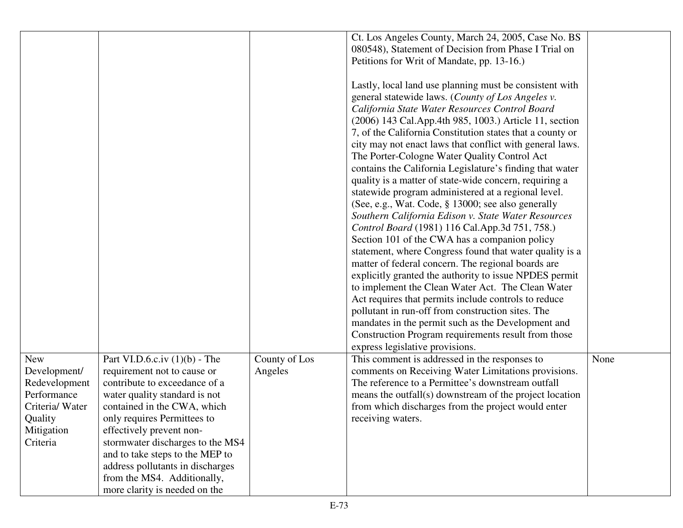|                            |                                                                |                          | Ct. Los Angeles County, March 24, 2005, Case No. BS<br>080548), Statement of Decision from Phase I Trial on<br>Petitions for Writ of Mandate, pp. 13-16.)<br>Lastly, local land use planning must be consistent with<br>general statewide laws. (County of Los Angeles v.<br>California State Water Resources Control Board<br>(2006) 143 Cal.App.4th 985, 1003.) Article 11, section<br>7, of the California Constitution states that a county or<br>city may not enact laws that conflict with general laws.<br>The Porter-Cologne Water Quality Control Act<br>contains the California Legislature's finding that water<br>quality is a matter of state-wide concern, requiring a<br>statewide program administered at a regional level.<br>(See, e.g., Wat. Code, § 13000; see also generally<br>Southern California Edison v. State Water Resources<br>Control Board (1981) 116 Cal.App.3d 751, 758.)<br>Section 101 of the CWA has a companion policy<br>statement, where Congress found that water quality is a<br>matter of federal concern. The regional boards are<br>explicitly granted the authority to issue NPDES permit<br>to implement the Clean Water Act. The Clean Water<br>Act requires that permits include controls to reduce<br>pollutant in run-off from construction sites. The<br>mandates in the permit such as the Development and<br>Construction Program requirements result from those<br>express legislative provisions. |      |
|----------------------------|----------------------------------------------------------------|--------------------------|----------------------------------------------------------------------------------------------------------------------------------------------------------------------------------------------------------------------------------------------------------------------------------------------------------------------------------------------------------------------------------------------------------------------------------------------------------------------------------------------------------------------------------------------------------------------------------------------------------------------------------------------------------------------------------------------------------------------------------------------------------------------------------------------------------------------------------------------------------------------------------------------------------------------------------------------------------------------------------------------------------------------------------------------------------------------------------------------------------------------------------------------------------------------------------------------------------------------------------------------------------------------------------------------------------------------------------------------------------------------------------------------------------------------------------------------------------|------|
| <b>New</b><br>Development/ | Part VI.D.6.c.iv $(1)(b)$ - The<br>requirement not to cause or | County of Los<br>Angeles | This comment is addressed in the responses to<br>comments on Receiving Water Limitations provisions.                                                                                                                                                                                                                                                                                                                                                                                                                                                                                                                                                                                                                                                                                                                                                                                                                                                                                                                                                                                                                                                                                                                                                                                                                                                                                                                                                     | None |
| Redevelopment              | contribute to exceedance of a                                  |                          | The reference to a Permittee's downstream outfall                                                                                                                                                                                                                                                                                                                                                                                                                                                                                                                                                                                                                                                                                                                                                                                                                                                                                                                                                                                                                                                                                                                                                                                                                                                                                                                                                                                                        |      |
| Performance                | water quality standard is not                                  |                          | means the outfall(s) downstream of the project location                                                                                                                                                                                                                                                                                                                                                                                                                                                                                                                                                                                                                                                                                                                                                                                                                                                                                                                                                                                                                                                                                                                                                                                                                                                                                                                                                                                                  |      |
| Criteria/ Water            | contained in the CWA, which                                    |                          | from which discharges from the project would enter                                                                                                                                                                                                                                                                                                                                                                                                                                                                                                                                                                                                                                                                                                                                                                                                                                                                                                                                                                                                                                                                                                                                                                                                                                                                                                                                                                                                       |      |
| Quality                    | only requires Permittees to                                    |                          | receiving waters.                                                                                                                                                                                                                                                                                                                                                                                                                                                                                                                                                                                                                                                                                                                                                                                                                                                                                                                                                                                                                                                                                                                                                                                                                                                                                                                                                                                                                                        |      |
| Mitigation                 | effectively prevent non-                                       |                          |                                                                                                                                                                                                                                                                                                                                                                                                                                                                                                                                                                                                                                                                                                                                                                                                                                                                                                                                                                                                                                                                                                                                                                                                                                                                                                                                                                                                                                                          |      |
| Criteria                   | stormwater discharges to the MS4                               |                          |                                                                                                                                                                                                                                                                                                                                                                                                                                                                                                                                                                                                                                                                                                                                                                                                                                                                                                                                                                                                                                                                                                                                                                                                                                                                                                                                                                                                                                                          |      |
|                            | and to take steps to the MEP to                                |                          |                                                                                                                                                                                                                                                                                                                                                                                                                                                                                                                                                                                                                                                                                                                                                                                                                                                                                                                                                                                                                                                                                                                                                                                                                                                                                                                                                                                                                                                          |      |
|                            | address pollutants in discharges                               |                          |                                                                                                                                                                                                                                                                                                                                                                                                                                                                                                                                                                                                                                                                                                                                                                                                                                                                                                                                                                                                                                                                                                                                                                                                                                                                                                                                                                                                                                                          |      |
|                            | from the MS4. Additionally,                                    |                          |                                                                                                                                                                                                                                                                                                                                                                                                                                                                                                                                                                                                                                                                                                                                                                                                                                                                                                                                                                                                                                                                                                                                                                                                                                                                                                                                                                                                                                                          |      |
|                            | more clarity is needed on the                                  |                          |                                                                                                                                                                                                                                                                                                                                                                                                                                                                                                                                                                                                                                                                                                                                                                                                                                                                                                                                                                                                                                                                                                                                                                                                                                                                                                                                                                                                                                                          |      |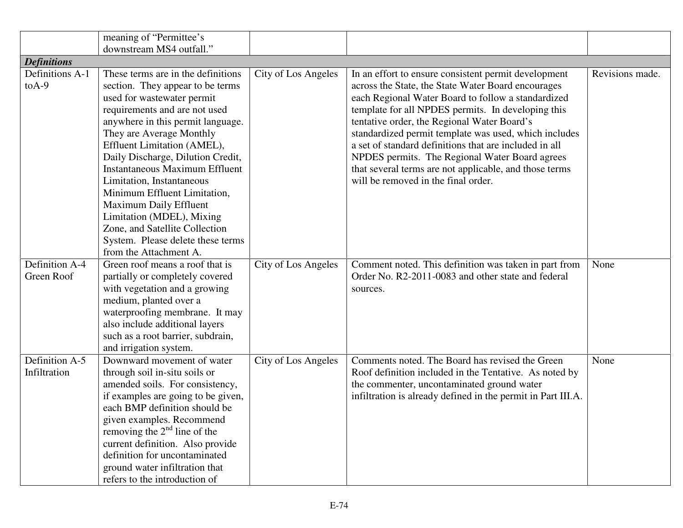|                    | meaning of "Permittee's                                                                                                                                                                                                              |                     |                                                              |                 |
|--------------------|--------------------------------------------------------------------------------------------------------------------------------------------------------------------------------------------------------------------------------------|---------------------|--------------------------------------------------------------|-----------------|
|                    | downstream MS4 outfall."                                                                                                                                                                                                             |                     |                                                              |                 |
| <b>Definitions</b> |                                                                                                                                                                                                                                      |                     |                                                              |                 |
| Definitions A-1    | These terms are in the definitions                                                                                                                                                                                                   | City of Los Angeles | In an effort to ensure consistent permit development         | Revisions made. |
| $to A-9$           | section. They appear to be terms                                                                                                                                                                                                     |                     | across the State, the State Water Board encourages           |                 |
|                    | used for wastewater permit                                                                                                                                                                                                           |                     | each Regional Water Board to follow a standardized           |                 |
|                    | requirements and are not used                                                                                                                                                                                                        |                     | template for all NPDES permits. In developing this           |                 |
|                    | anywhere in this permit language.                                                                                                                                                                                                    |                     | tentative order, the Regional Water Board's                  |                 |
|                    | They are Average Monthly                                                                                                                                                                                                             |                     | standardized permit template was used, which includes        |                 |
|                    | Effluent Limitation (AMEL),                                                                                                                                                                                                          |                     | a set of standard definitions that are included in all       |                 |
|                    | Daily Discharge, Dilution Credit,                                                                                                                                                                                                    |                     | NPDES permits. The Regional Water Board agrees               |                 |
|                    | <b>Instantaneous Maximum Effluent</b>                                                                                                                                                                                                |                     | that several terms are not applicable, and those terms       |                 |
|                    | Limitation, Instantaneous                                                                                                                                                                                                            |                     | will be removed in the final order.                          |                 |
|                    | Minimum Effluent Limitation,                                                                                                                                                                                                         |                     |                                                              |                 |
|                    | Maximum Daily Effluent                                                                                                                                                                                                               |                     |                                                              |                 |
|                    | Limitation (MDEL), Mixing                                                                                                                                                                                                            |                     |                                                              |                 |
|                    | Zone, and Satellite Collection                                                                                                                                                                                                       |                     |                                                              |                 |
|                    | System. Please delete these terms                                                                                                                                                                                                    |                     |                                                              |                 |
|                    | from the Attachment A.                                                                                                                                                                                                               |                     |                                                              |                 |
| Definition A-4     | Green roof means a roof that is                                                                                                                                                                                                      | City of Los Angeles | Comment noted. This definition was taken in part from        | None            |
| Green Roof         | partially or completely covered                                                                                                                                                                                                      |                     | Order No. R2-2011-0083 and other state and federal           |                 |
|                    | with vegetation and a growing                                                                                                                                                                                                        |                     | sources.                                                     |                 |
|                    | medium, planted over a                                                                                                                                                                                                               |                     |                                                              |                 |
|                    | waterproofing membrane. It may                                                                                                                                                                                                       |                     |                                                              |                 |
|                    | also include additional layers                                                                                                                                                                                                       |                     |                                                              |                 |
|                    | such as a root barrier, subdrain,                                                                                                                                                                                                    |                     |                                                              |                 |
|                    | and irrigation system.                                                                                                                                                                                                               |                     |                                                              |                 |
| Definition A-5     | Downward movement of water                                                                                                                                                                                                           | City of Los Angeles | Comments noted. The Board has revised the Green              | None            |
| Infiltration       | through soil in-situ soils or                                                                                                                                                                                                        |                     | Roof definition included in the Tentative. As noted by       |                 |
|                    | amended soils. For consistency,                                                                                                                                                                                                      |                     | the commenter, uncontaminated ground water                   |                 |
|                    | if examples are going to be given,                                                                                                                                                                                                   |                     | infiltration is already defined in the permit in Part III.A. |                 |
|                    |                                                                                                                                                                                                                                      |                     |                                                              |                 |
|                    |                                                                                                                                                                                                                                      |                     |                                                              |                 |
|                    |                                                                                                                                                                                                                                      |                     |                                                              |                 |
|                    |                                                                                                                                                                                                                                      |                     |                                                              |                 |
|                    |                                                                                                                                                                                                                                      |                     |                                                              |                 |
|                    |                                                                                                                                                                                                                                      |                     |                                                              |                 |
|                    | each BMP definition should be<br>given examples. Recommend<br>removing the $2nd$ line of the<br>current definition. Also provide<br>definition for uncontaminated<br>ground water infiltration that<br>refers to the introduction of |                     |                                                              |                 |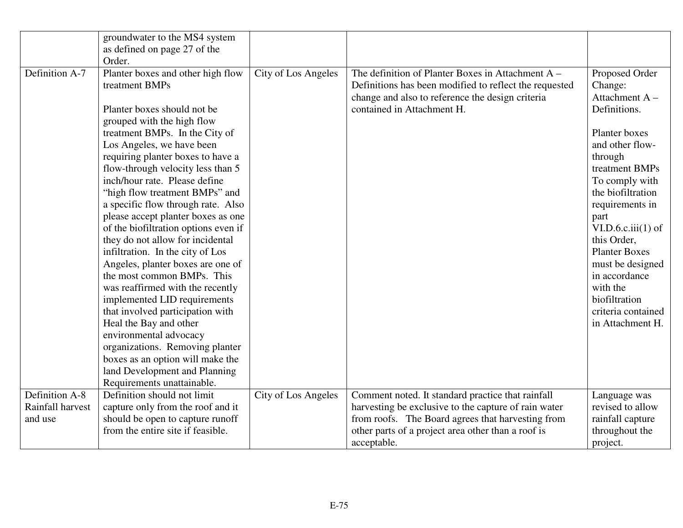|                  | groundwater to the MS4 system<br>as defined on page 27 of the                                                                                                                                                                                                                                                                                                                                                                                                                                                                                                                                                                                                                                                                                                                                                                                                                                           |                     |                                                                                                                                                                                               |                                                                                                                                                                                                                                                                                                                                                                        |
|------------------|---------------------------------------------------------------------------------------------------------------------------------------------------------------------------------------------------------------------------------------------------------------------------------------------------------------------------------------------------------------------------------------------------------------------------------------------------------------------------------------------------------------------------------------------------------------------------------------------------------------------------------------------------------------------------------------------------------------------------------------------------------------------------------------------------------------------------------------------------------------------------------------------------------|---------------------|-----------------------------------------------------------------------------------------------------------------------------------------------------------------------------------------------|------------------------------------------------------------------------------------------------------------------------------------------------------------------------------------------------------------------------------------------------------------------------------------------------------------------------------------------------------------------------|
| Definition A-7   | Order.<br>Planter boxes and other high flow<br>treatment BMPs<br>Planter boxes should not be<br>grouped with the high flow<br>treatment BMPs. In the City of<br>Los Angeles, we have been<br>requiring planter boxes to have a<br>flow-through velocity less than 5<br>inch/hour rate. Please define<br>"high flow treatment BMPs" and<br>a specific flow through rate. Also<br>please accept planter boxes as one<br>of the biofiltration options even if<br>they do not allow for incidental<br>infiltration. In the city of Los<br>Angeles, planter boxes are one of<br>the most common BMPs. This<br>was reaffirmed with the recently<br>implemented LID requirements<br>that involved participation with<br>Heal the Bay and other<br>environmental advocacy<br>organizations. Removing planter<br>boxes as an option will make the<br>land Development and Planning<br>Requirements unattainable. | City of Los Angeles | The definition of Planter Boxes in Attachment A -<br>Definitions has been modified to reflect the requested<br>change and also to reference the design criteria<br>contained in Attachment H. | Proposed Order<br>Change:<br>Attachment A-<br>Definitions.<br>Planter boxes<br>and other flow-<br>through<br>treatment BMPs<br>To comply with<br>the biofiltration<br>requirements in<br>part<br>VI.D.6.c.iii(1) of<br>this Order,<br><b>Planter Boxes</b><br>must be designed<br>in accordance<br>with the<br>biofiltration<br>criteria contained<br>in Attachment H. |
| Definition A-8   | Definition should not limit                                                                                                                                                                                                                                                                                                                                                                                                                                                                                                                                                                                                                                                                                                                                                                                                                                                                             | City of Los Angeles | Comment noted. It standard practice that rainfall                                                                                                                                             | Language was                                                                                                                                                                                                                                                                                                                                                           |
| Rainfall harvest | capture only from the roof and it                                                                                                                                                                                                                                                                                                                                                                                                                                                                                                                                                                                                                                                                                                                                                                                                                                                                       |                     | harvesting be exclusive to the capture of rain water                                                                                                                                          | revised to allow                                                                                                                                                                                                                                                                                                                                                       |
| and use          | should be open to capture runoff                                                                                                                                                                                                                                                                                                                                                                                                                                                                                                                                                                                                                                                                                                                                                                                                                                                                        |                     | from roofs. The Board agrees that harvesting from                                                                                                                                             | rainfall capture                                                                                                                                                                                                                                                                                                                                                       |
|                  | from the entire site if feasible.                                                                                                                                                                                                                                                                                                                                                                                                                                                                                                                                                                                                                                                                                                                                                                                                                                                                       |                     | other parts of a project area other than a roof is                                                                                                                                            | throughout the                                                                                                                                                                                                                                                                                                                                                         |
|                  |                                                                                                                                                                                                                                                                                                                                                                                                                                                                                                                                                                                                                                                                                                                                                                                                                                                                                                         |                     | acceptable.                                                                                                                                                                                   | project.                                                                                                                                                                                                                                                                                                                                                               |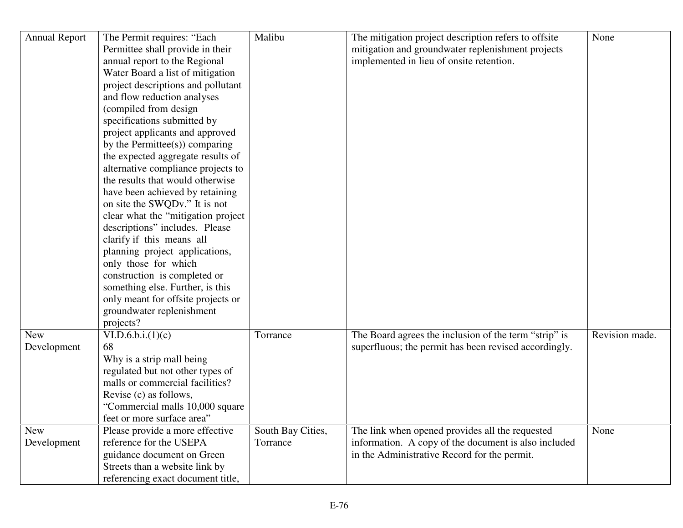| <b>Annual Report</b> | The Permit requires: "Each         | Malibu            | The mitigation project description refers to offsite  | None           |
|----------------------|------------------------------------|-------------------|-------------------------------------------------------|----------------|
|                      | Permittee shall provide in their   |                   | mitigation and groundwater replenishment projects     |                |
|                      | annual report to the Regional      |                   | implemented in lieu of onsite retention.              |                |
|                      | Water Board a list of mitigation   |                   |                                                       |                |
|                      | project descriptions and pollutant |                   |                                                       |                |
|                      | and flow reduction analyses        |                   |                                                       |                |
|                      | (compiled from design              |                   |                                                       |                |
|                      | specifications submitted by        |                   |                                                       |                |
|                      | project applicants and approved    |                   |                                                       |                |
|                      | by the Permittee(s)) comparing     |                   |                                                       |                |
|                      | the expected aggregate results of  |                   |                                                       |                |
|                      | alternative compliance projects to |                   |                                                       |                |
|                      | the results that would otherwise   |                   |                                                       |                |
|                      | have been achieved by retaining    |                   |                                                       |                |
|                      | on site the SWQDv." It is not      |                   |                                                       |                |
|                      | clear what the "mitigation project |                   |                                                       |                |
|                      | descriptions" includes. Please     |                   |                                                       |                |
|                      | clarify if this means all          |                   |                                                       |                |
|                      | planning project applications,     |                   |                                                       |                |
|                      | only those for which               |                   |                                                       |                |
|                      | construction is completed or       |                   |                                                       |                |
|                      | something else. Further, is this   |                   |                                                       |                |
|                      | only meant for offsite projects or |                   |                                                       |                |
|                      | groundwater replenishment          |                   |                                                       |                |
|                      | projects?                          |                   |                                                       |                |
| <b>New</b>           | VI.D.6.b.i.(1)(c)                  | Torrance          | The Board agrees the inclusion of the term "strip" is | Revision made. |
| Development          | 68                                 |                   | superfluous; the permit has been revised accordingly. |                |
|                      | Why is a strip mall being          |                   |                                                       |                |
|                      | regulated but not other types of   |                   |                                                       |                |
|                      | malls or commercial facilities?    |                   |                                                       |                |
|                      | Revise (c) as follows,             |                   |                                                       |                |
|                      | "Commercial malls 10,000 square    |                   |                                                       |                |
|                      | feet or more surface area'         |                   |                                                       |                |
| <b>New</b>           | Please provide a more effective    | South Bay Cities, | The link when opened provides all the requested       | None           |
| Development          | reference for the USEPA            | Torrance          | information. A copy of the document is also included  |                |
|                      | guidance document on Green         |                   | in the Administrative Record for the permit.          |                |
|                      | Streets than a website link by     |                   |                                                       |                |
|                      | referencing exact document title,  |                   |                                                       |                |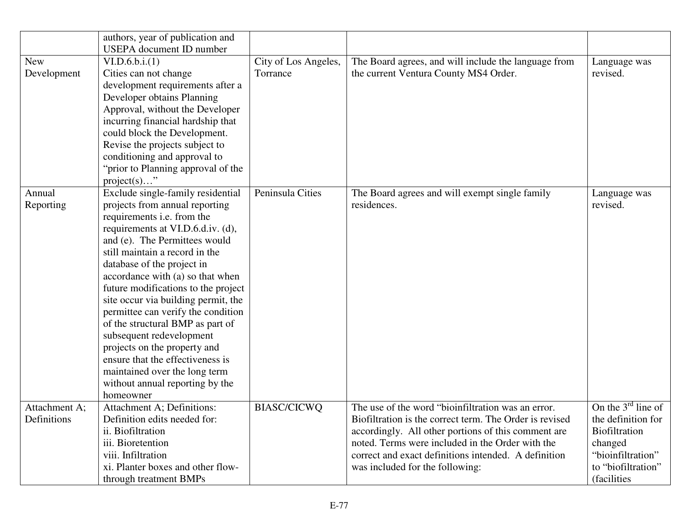|               | authors, year of publication and    |                      |                                                         |                         |
|---------------|-------------------------------------|----------------------|---------------------------------------------------------|-------------------------|
|               | <b>USEPA</b> document ID number     |                      |                                                         |                         |
| <b>New</b>    | VI.D.6.b.i.(1)                      | City of Los Angeles, | The Board agrees, and will include the language from    | Language was            |
| Development   | Cities can not change               | Torrance             | the current Ventura County MS4 Order.                   | revised.                |
|               | development requirements after a    |                      |                                                         |                         |
|               | Developer obtains Planning          |                      |                                                         |                         |
|               | Approval, without the Developer     |                      |                                                         |                         |
|               | incurring financial hardship that   |                      |                                                         |                         |
|               | could block the Development.        |                      |                                                         |                         |
|               | Revise the projects subject to      |                      |                                                         |                         |
|               | conditioning and approval to        |                      |                                                         |                         |
|               | "prior to Planning approval of the  |                      |                                                         |                         |
|               | $project(s) \dots$ "                |                      |                                                         |                         |
| Annual        | Exclude single-family residential   | Peninsula Cities     | The Board agrees and will exempt single family          | Language was            |
| Reporting     | projects from annual reporting      |                      | residences.                                             | revised.                |
|               | requirements i.e. from the          |                      |                                                         |                         |
|               | requirements at VI.D.6.d.iv. (d),   |                      |                                                         |                         |
|               | and (e). The Permittees would       |                      |                                                         |                         |
|               | still maintain a record in the      |                      |                                                         |                         |
|               | database of the project in          |                      |                                                         |                         |
|               | accordance with (a) so that when    |                      |                                                         |                         |
|               | future modifications to the project |                      |                                                         |                         |
|               | site occur via building permit, the |                      |                                                         |                         |
|               | permittee can verify the condition  |                      |                                                         |                         |
|               | of the structural BMP as part of    |                      |                                                         |                         |
|               | subsequent redevelopment            |                      |                                                         |                         |
|               | projects on the property and        |                      |                                                         |                         |
|               | ensure that the effectiveness is    |                      |                                                         |                         |
|               | maintained over the long term       |                      |                                                         |                         |
|               | without annual reporting by the     |                      |                                                         |                         |
|               | homeowner                           |                      |                                                         |                         |
| Attachment A; | Attachment A; Definitions:          | <b>BIASC/CICWQ</b>   | The use of the word "bioinfiltration was an error.      | On the $3^{rd}$ line of |
| Definitions   | Definition edits needed for:        |                      | Biofiltration is the correct term. The Order is revised | the definition for      |
|               | ii. Biofiltration                   |                      | accordingly. All other portions of this comment are     | <b>Biofiltration</b>    |
|               | iii. Bioretention                   |                      | noted. Terms were included in the Order with the        | changed                 |
|               | viii. Infiltration                  |                      | correct and exact definitions intended. A definition    | "bioinfiltration"       |
|               | xi. Planter boxes and other flow-   |                      | was included for the following:                         | to "biofiltration"      |
|               | through treatment BMPs              |                      |                                                         | <i>(facilities)</i>     |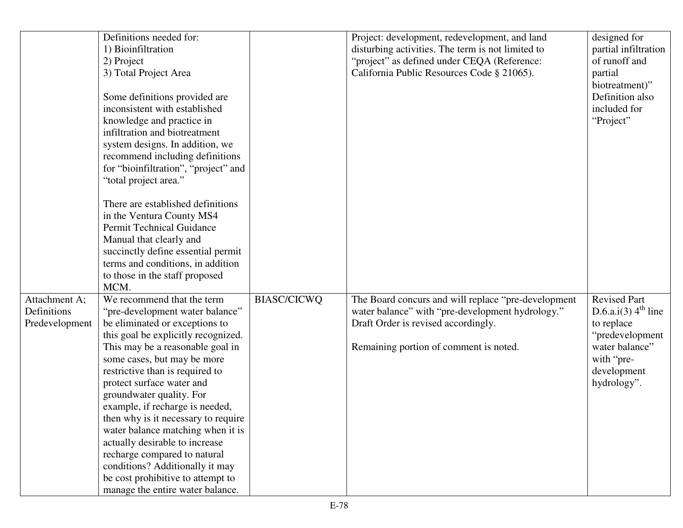|                | Definitions needed for:              |                    | Project: development, redevelopment, and land       | designed for             |
|----------------|--------------------------------------|--------------------|-----------------------------------------------------|--------------------------|
|                | 1) Bioinfiltration                   |                    | disturbing activities. The term is not limited to   | partial infiltration     |
|                | 2) Project                           |                    | "project" as defined under CEQA (Reference:         | of runoff and            |
|                | 3) Total Project Area                |                    | California Public Resources Code § 21065).          | partial                  |
|                |                                      |                    |                                                     | biotreatment)"           |
|                | Some definitions provided are        |                    |                                                     | Definition also          |
|                | inconsistent with established        |                    |                                                     | included for             |
|                | knowledge and practice in            |                    |                                                     | "Project"                |
|                | infiltration and biotreatment        |                    |                                                     |                          |
|                | system designs. In addition, we      |                    |                                                     |                          |
|                | recommend including definitions      |                    |                                                     |                          |
|                | for "bioinfiltration", "project" and |                    |                                                     |                          |
|                | "total project area."                |                    |                                                     |                          |
|                |                                      |                    |                                                     |                          |
|                | There are established definitions    |                    |                                                     |                          |
|                | in the Ventura County MS4            |                    |                                                     |                          |
|                | <b>Permit Technical Guidance</b>     |                    |                                                     |                          |
|                | Manual that clearly and              |                    |                                                     |                          |
|                | succinctly define essential permit   |                    |                                                     |                          |
|                | terms and conditions, in addition    |                    |                                                     |                          |
|                | to those in the staff proposed       |                    |                                                     |                          |
|                | MCM.                                 |                    |                                                     |                          |
| Attachment A;  | We recommend that the term           | <b>BIASC/CICWQ</b> | The Board concurs and will replace "pre-development | <b>Revised Part</b>      |
| Definitions    | "pre-development water balance"      |                    | water balance" with "pre-development hydrology."    | D.6.a.i(3) $4^{th}$ line |
| Predevelopment | be eliminated or exceptions to       |                    | Draft Order is revised accordingly.                 | to replace               |
|                | this goal be explicitly recognized.  |                    |                                                     | "predevelopment          |
|                | This may be a reasonable goal in     |                    | Remaining portion of comment is noted.              | water balance"           |
|                | some cases, but may be more          |                    |                                                     | with "pre-               |
|                | restrictive than is required to      |                    |                                                     | development              |
|                | protect surface water and            |                    |                                                     | hydrology".              |
|                | groundwater quality. For             |                    |                                                     |                          |
|                | example, if recharge is needed,      |                    |                                                     |                          |
|                | then why is it necessary to require  |                    |                                                     |                          |
|                | water balance matching when it is    |                    |                                                     |                          |
|                | actually desirable to increase       |                    |                                                     |                          |
|                | recharge compared to natural         |                    |                                                     |                          |
|                | conditions? Additionally it may      |                    |                                                     |                          |
|                | be cost prohibitive to attempt to    |                    |                                                     |                          |
|                | manage the entire water balance.     |                    |                                                     |                          |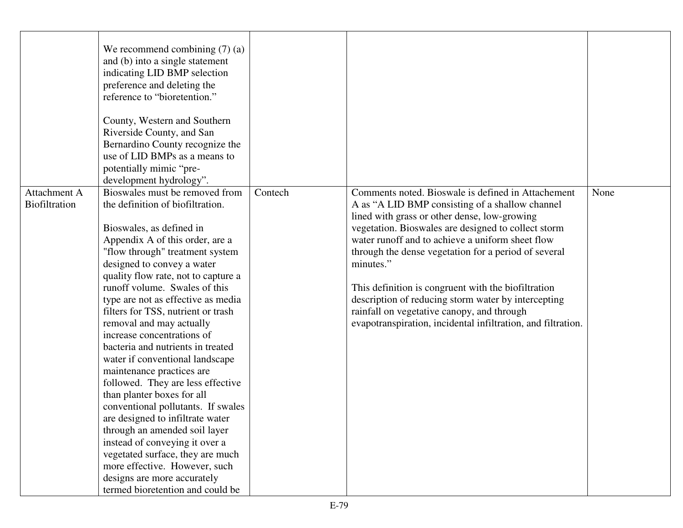|                               | We recommend combining $(7)$ (a)<br>and (b) into a single statement<br>indicating LID BMP selection<br>preference and deleting the<br>reference to "bioretention."<br>County, Western and Southern<br>Riverside County, and San<br>Bernardino County recognize the<br>use of LID BMPs as a means to<br>potentially mimic "pre-<br>development hydrology".                                                                                                                                                                                                                                                                                                                                                                                                                                                                                                                     |         |                                                                                                                                                                                                                                                                                                                                                                                                                                                                                                                                                                   |      |
|-------------------------------|-------------------------------------------------------------------------------------------------------------------------------------------------------------------------------------------------------------------------------------------------------------------------------------------------------------------------------------------------------------------------------------------------------------------------------------------------------------------------------------------------------------------------------------------------------------------------------------------------------------------------------------------------------------------------------------------------------------------------------------------------------------------------------------------------------------------------------------------------------------------------------|---------|-------------------------------------------------------------------------------------------------------------------------------------------------------------------------------------------------------------------------------------------------------------------------------------------------------------------------------------------------------------------------------------------------------------------------------------------------------------------------------------------------------------------------------------------------------------------|------|
| Attachment A<br>Biofiltration | Bioswales must be removed from<br>the definition of biofiltration.<br>Bioswales, as defined in<br>Appendix A of this order, are a<br>"flow through" treatment system<br>designed to convey a water<br>quality flow rate, not to capture a<br>runoff volume. Swales of this<br>type are not as effective as media<br>filters for TSS, nutrient or trash<br>removal and may actually<br>increase concentrations of<br>bacteria and nutrients in treated<br>water if conventional landscape<br>maintenance practices are<br>followed. They are less effective<br>than planter boxes for all<br>conventional pollutants. If swales<br>are designed to infiltrate water<br>through an amended soil layer<br>instead of conveying it over a<br>vegetated surface, they are much<br>more effective. However, such<br>designs are more accurately<br>termed bioretention and could be | Contech | Comments noted. Bioswale is defined in Attachement<br>A as "A LID BMP consisting of a shallow channel<br>lined with grass or other dense, low-growing<br>vegetation. Bioswales are designed to collect storm<br>water runoff and to achieve a uniform sheet flow<br>through the dense vegetation for a period of several<br>minutes."<br>This definition is congruent with the biofiltration<br>description of reducing storm water by intercepting<br>rainfall on vegetative canopy, and through<br>evapotranspiration, incidental infiltration, and filtration. | None |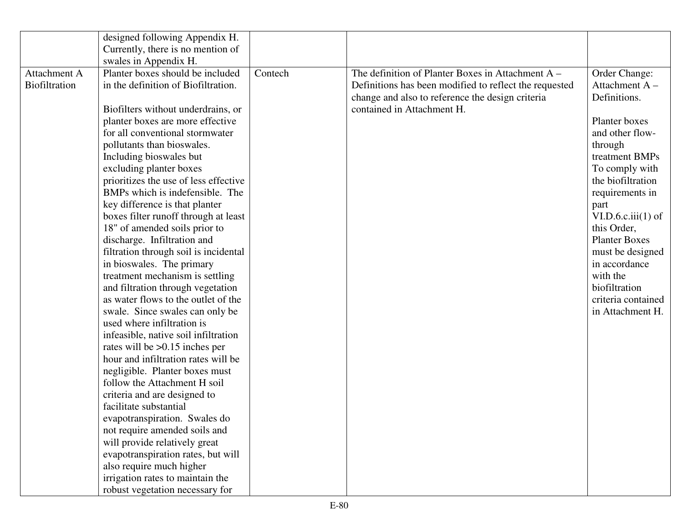|               | designed following Appendix H.        |         |                                                        |                      |
|---------------|---------------------------------------|---------|--------------------------------------------------------|----------------------|
|               | Currently, there is no mention of     |         |                                                        |                      |
|               | swales in Appendix H.                 |         |                                                        |                      |
| Attachment A  | Planter boxes should be included      | Contech | The definition of Planter Boxes in Attachment $A -$    | Order Change:        |
| Biofiltration | in the definition of Biofiltration.   |         | Definitions has been modified to reflect the requested | Attachment $A -$     |
|               |                                       |         | change and also to reference the design criteria       | Definitions.         |
|               | Biofilters without underdrains, or    |         | contained in Attachment H.                             |                      |
|               | planter boxes are more effective      |         |                                                        | Planter boxes        |
|               | for all conventional stormwater       |         |                                                        | and other flow-      |
|               | pollutants than bioswales.            |         |                                                        | through              |
|               | Including bioswales but               |         |                                                        | treatment BMPs       |
|               | excluding planter boxes               |         |                                                        | To comply with       |
|               | prioritizes the use of less effective |         |                                                        | the biofiltration    |
|               | BMPs which is indefensible. The       |         |                                                        | requirements in      |
|               | key difference is that planter        |         |                                                        | part                 |
|               | boxes filter runoff through at least  |         |                                                        | VI.D.6.c.iii(1) of   |
|               | 18" of amended soils prior to         |         |                                                        | this Order,          |
|               | discharge. Infiltration and           |         |                                                        | <b>Planter Boxes</b> |
|               | filtration through soil is incidental |         |                                                        | must be designed     |
|               | in bioswales. The primary             |         |                                                        | in accordance        |
|               | treatment mechanism is settling       |         |                                                        | with the             |
|               | and filtration through vegetation     |         |                                                        | biofiltration        |
|               | as water flows to the outlet of the   |         |                                                        | criteria contained   |
|               | swale. Since swales can only be       |         |                                                        | in Attachment H.     |
|               | used where infiltration is            |         |                                                        |                      |
|               | infeasible, native soil infiltration  |         |                                                        |                      |
|               | rates will be $>0.15$ inches per      |         |                                                        |                      |
|               | hour and infiltration rates will be   |         |                                                        |                      |
|               | negligible. Planter boxes must        |         |                                                        |                      |
|               | follow the Attachment H soil          |         |                                                        |                      |
|               | criteria and are designed to          |         |                                                        |                      |
|               | facilitate substantial                |         |                                                        |                      |
|               | evapotranspiration. Swales do         |         |                                                        |                      |
|               | not require amended soils and         |         |                                                        |                      |
|               | will provide relatively great         |         |                                                        |                      |
|               | evapotranspiration rates, but will    |         |                                                        |                      |
|               | also require much higher              |         |                                                        |                      |
|               | irrigation rates to maintain the      |         |                                                        |                      |
|               | robust vegetation necessary for       |         |                                                        |                      |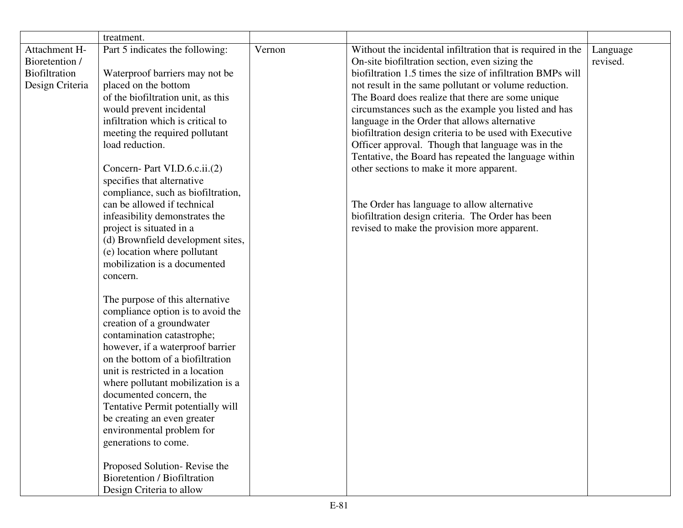|                                                                     | treatment.                                                                                                                                                                                                                                                                                                                                                                                                                                                                                                                                                                                                                                                                                                                                                                                                                                                                                                                                                                                                                                                                                                   |        |                                                                                                                                                                                                                                                                                                                                                                                                                                                                                                                                                                                                                                                                                                                                                                             |                      |
|---------------------------------------------------------------------|--------------------------------------------------------------------------------------------------------------------------------------------------------------------------------------------------------------------------------------------------------------------------------------------------------------------------------------------------------------------------------------------------------------------------------------------------------------------------------------------------------------------------------------------------------------------------------------------------------------------------------------------------------------------------------------------------------------------------------------------------------------------------------------------------------------------------------------------------------------------------------------------------------------------------------------------------------------------------------------------------------------------------------------------------------------------------------------------------------------|--------|-----------------------------------------------------------------------------------------------------------------------------------------------------------------------------------------------------------------------------------------------------------------------------------------------------------------------------------------------------------------------------------------------------------------------------------------------------------------------------------------------------------------------------------------------------------------------------------------------------------------------------------------------------------------------------------------------------------------------------------------------------------------------------|----------------------|
| Attachment H-<br>Bioretention /<br>Biofiltration<br>Design Criteria | Part 5 indicates the following:<br>Waterproof barriers may not be<br>placed on the bottom<br>of the biofiltration unit, as this<br>would prevent incidental<br>infiltration which is critical to<br>meeting the required pollutant<br>load reduction.<br>Concern- Part VI.D.6.c.ii.(2)<br>specifies that alternative<br>compliance, such as biofiltration,<br>can be allowed if technical<br>infeasibility demonstrates the<br>project is situated in a<br>(d) Brownfield development sites,<br>(e) location where pollutant<br>mobilization is a documented<br>concern.<br>The purpose of this alternative<br>compliance option is to avoid the<br>creation of a groundwater<br>contamination catastrophe;<br>however, if a waterproof barrier<br>on the bottom of a biofiltration<br>unit is restricted in a location<br>where pollutant mobilization is a<br>documented concern, the<br>Tentative Permit potentially will<br>be creating an even greater<br>environmental problem for<br>generations to come.<br>Proposed Solution-Revise the<br>Bioretention / Biofiltration<br>Design Criteria to allow | Vernon | Without the incidental infiltration that is required in the<br>On-site biofiltration section, even sizing the<br>biofiltration 1.5 times the size of infiltration BMPs will<br>not result in the same pollutant or volume reduction.<br>The Board does realize that there are some unique<br>circumstances such as the example you listed and has<br>language in the Order that allows alternative<br>biofiltration design criteria to be used with Executive<br>Officer approval. Though that language was in the<br>Tentative, the Board has repeated the language within<br>other sections to make it more apparent.<br>The Order has language to allow alternative<br>biofiltration design criteria. The Order has been<br>revised to make the provision more apparent. | Language<br>revised. |